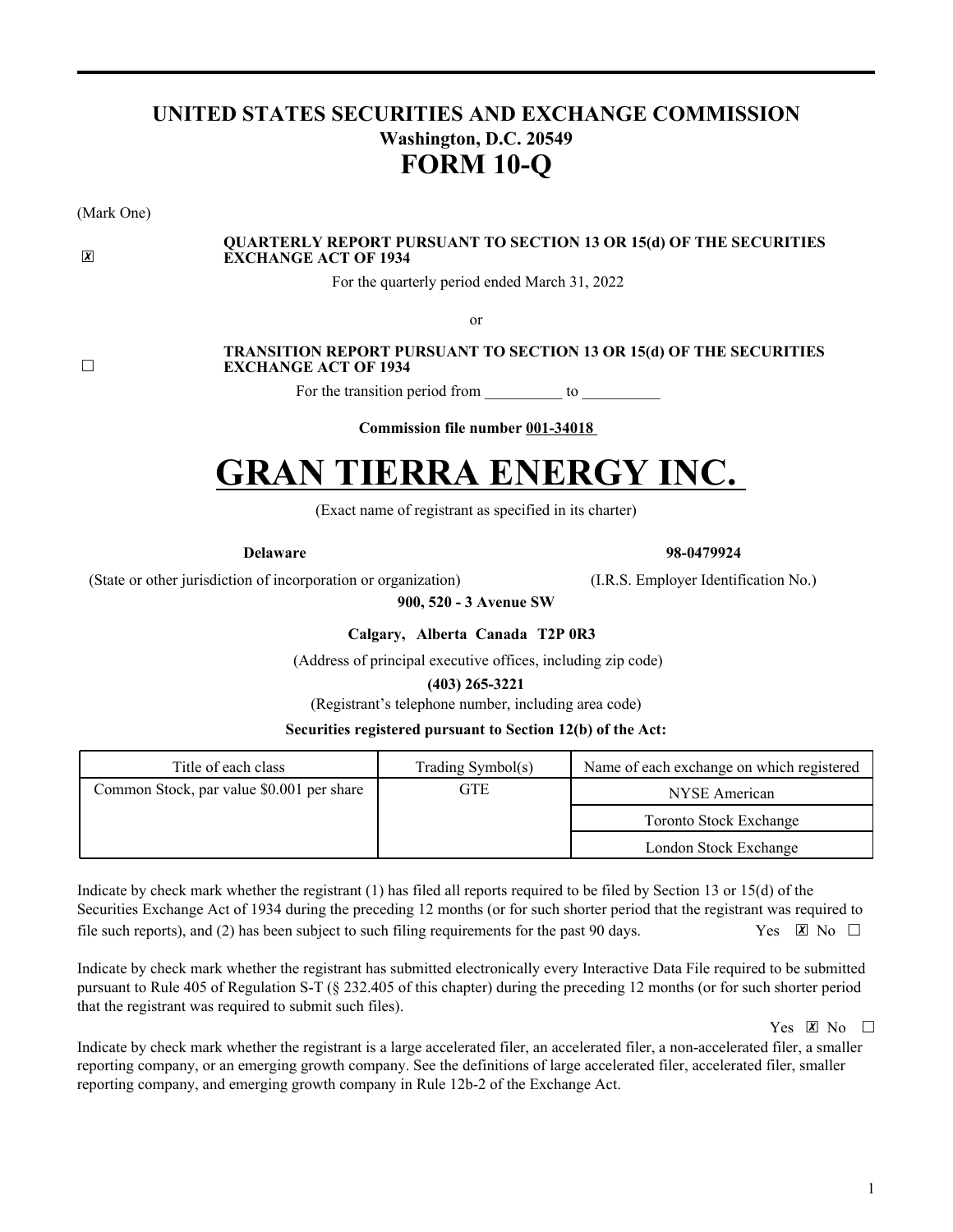# **UNITED STATES SECURITIES AND EXCHANGE COMMISSION Washington, D.C. 20549 FORM 10-Q**

(Mark One)

#### **QUARTERLY REPORT PURSUANT TO SECTION 13 OR 15(d) OF THE SECURITIES EXCHANGE ACT OF 1934**

For the quarterly period ended March 31, 2022

or

☐

 $|\overline{x}|$ 

#### **TRANSITION REPORT PURSUANT TO SECTION 13 OR 15(d) OF THE SECURITIES EXCHANGE ACT OF 1934**

For the transition period from \_\_\_\_\_\_\_\_\_\_ to \_\_\_\_\_\_\_\_\_\_

**Commission file number 001-34018**

# **GRAN TIERRA ENERGY INC.**

(Exact name of registrant as specified in its charter)

**Delaware 98-0479924**

(State or other jurisdiction of incorporation or organization) (I.R.S. Employer Identification No.)

**900, 520 - 3 Avenue SW**

**Calgary, Alberta Canada T2P 0R3**

(Address of principal executive offices, including zip code)

**(403) 265-3221**

(Registrant's telephone number, including area code)

#### **Securities registered pursuant to Section 12(b) of the Act:**

| Title of each class                       | Trading Symbol(s) | Name of each exchange on which registered |
|-------------------------------------------|-------------------|-------------------------------------------|
| Common Stock, par value \$0.001 per share | GTE               | NYSE American                             |
|                                           |                   | <b>Toronto Stock Exchange</b>             |
|                                           |                   | London Stock Exchange                     |

Indicate by check mark whether the registrant (1) has filed all reports required to be filed by Section 13 or 15(d) of the Securities Exchange Act of 1934 during the preceding 12 months (or for such shorter period that the registrant was required to file such reports), and (2) has been subject to such filing requirements for the past 90 days. Yes  $\boxtimes$  No  $\Box$ 

Indicate by check mark whether the registrant has submitted electronically every Interactive Data File required to be submitted pursuant to Rule 405 of Regulation S-T (§ 232.405 of this chapter) during the preceding 12 months (or for such shorter period that the registrant was required to submit such files).

Yes  $X \to N_0$ 

Indicate by check mark whether the registrant is a large accelerated filer, an accelerated filer, a non-accelerated filer, a smaller reporting company, or an emerging growth company. See the definitions of large accelerated filer, accelerated filer, smaller reporting company, and emerging growth company in Rule 12b-2 of the Exchange Act.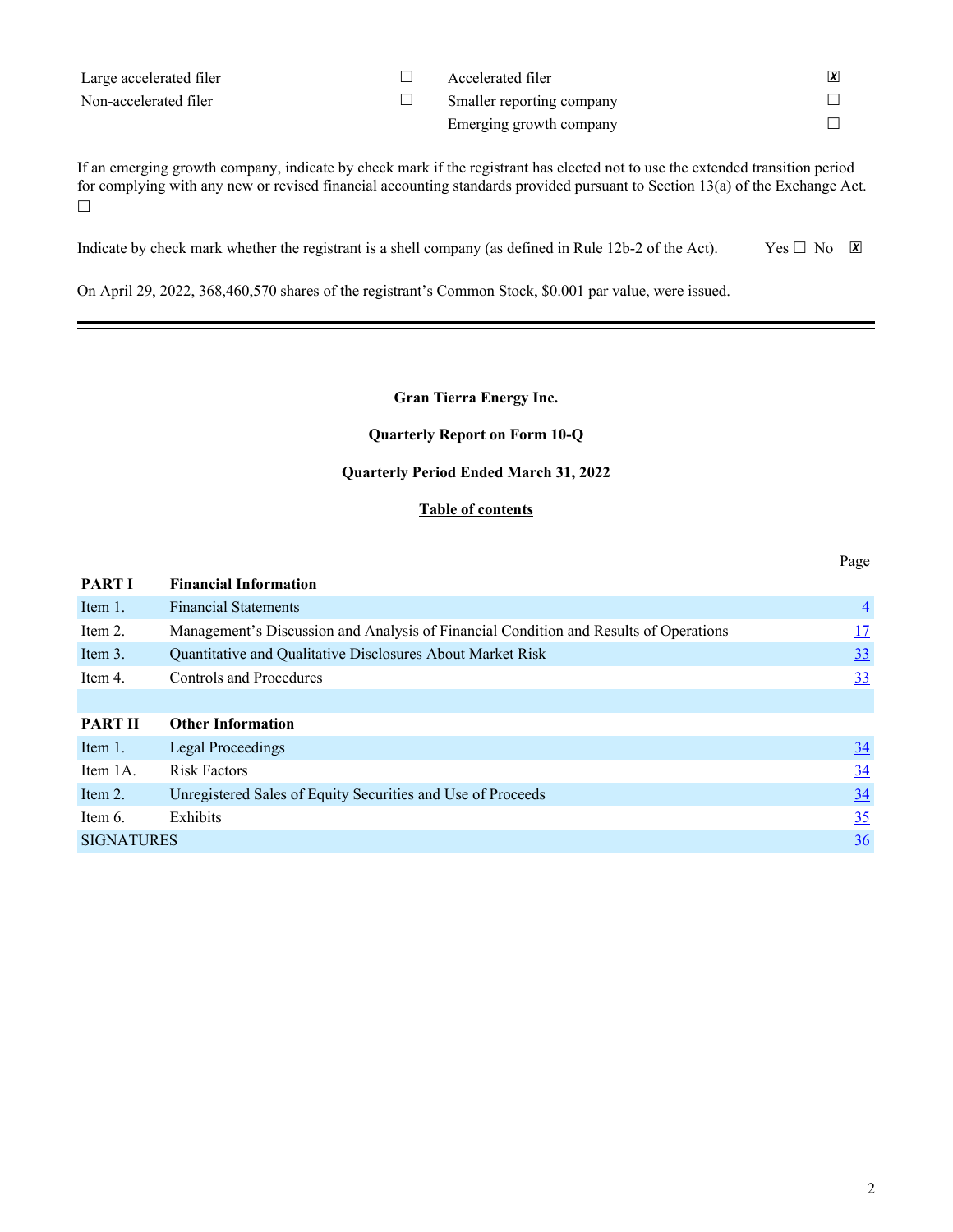| Large accelerated filer | Accelerated filer         |  |
|-------------------------|---------------------------|--|
| Non-accelerated filer   | Smaller reporting company |  |
|                         | Emerging growth company   |  |

If an emerging growth company, indicate by check mark if the registrant has elected not to use the extended transition period for complying with any new or revised financial accounting standards provided pursuant to Section 13(a) of the Exchange Act. ☐

Indicate by check mark whether the registrant is a shell company (as defined in Rule 12b-2 of the Act). Yes  $\Box$  No  $\Box$ 

On April 29, 2022, 368,460,570 shares of the registrant's Common Stock, \$0.001 par value, were issued.

#### **Gran Tierra Energy Inc.**

#### **Quarterly Report on Form 10-Q**

#### **Quarterly Period Ended March 31, 2022**

#### **Table of contents**

Page

| <b>PART I</b>     | <b>Financial Information</b>                                                          |                |
|-------------------|---------------------------------------------------------------------------------------|----------------|
| Item 1.           | <b>Financial Statements</b>                                                           | $\overline{4}$ |
| Item 2.           | Management's Discussion and Analysis of Financial Condition and Results of Operations | <u>17</u>      |
| Item 3.           | Quantitative and Qualitative Disclosures About Market Risk                            | <u>33</u>      |
| Item 4.           | Controls and Procedures                                                               | <u>33</u>      |
|                   |                                                                                       |                |
| <b>PART II</b>    | <b>Other Information</b>                                                              |                |
| Item 1.           | <b>Legal Proceedings</b>                                                              | $\frac{34}{5}$ |
| Item 1A.          | <b>Risk Factors</b>                                                                   | $\frac{34}{5}$ |
| Item 2.           | Unregistered Sales of Equity Securities and Use of Proceeds                           | 34             |
| Item 6.           | Exhibits                                                                              | 35             |
| <b>SIGNATURES</b> |                                                                                       | $\frac{36}{5}$ |
|                   |                                                                                       |                |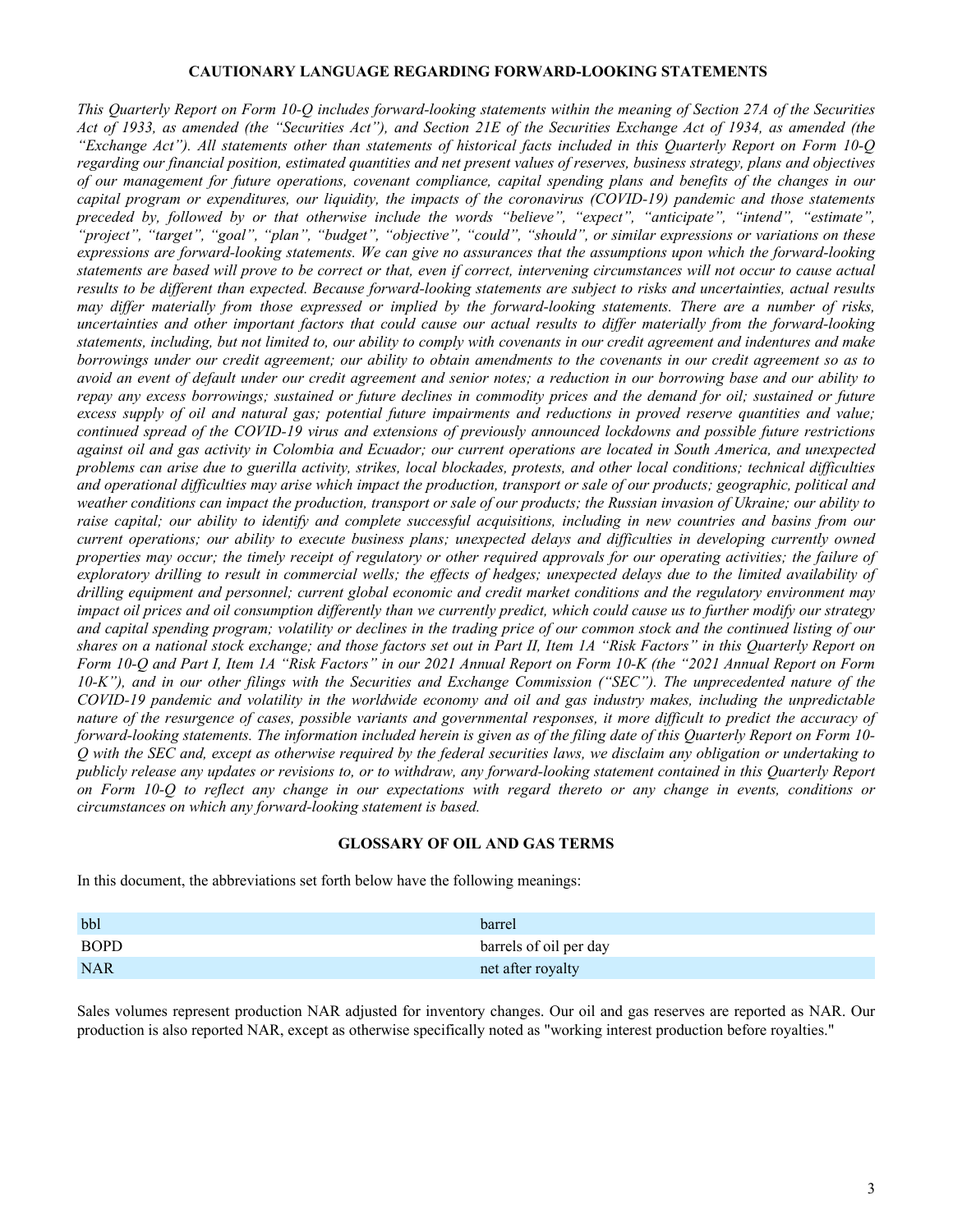#### **CAUTIONARY LANGUAGE REGARDING FORWARD-LOOKING STATEMENTS**

*This Quarterly Report on Form 10-Q includes forward-looking statements within the meaning of Section 27A of the Securities Act of 1933, as amended (the "Securities Act"), and Section 21E of the Securities Exchange Act of 1934, as amended (the "Exchange Act"). All statements other than statements of historical facts included in this Quarterly Report on Form 10-Q regarding our financial position, estimated quantities and net present values of reserves, business strategy, plans and objectives of our management for future operations, covenant compliance, capital spending plans and benefits of the changes in our capital program or expenditures, our liquidity, the impacts of the coronavirus (COVID-19) pandemic and those statements preceded by, followed by or that otherwise include the words "believe", "expect", "anticipate", "intend", "estimate", "project", "target", "goal", "plan", "budget", "objective", "could", "should", or similar expressions or variations on these expressions are forward-looking statements. We can give no assurances that the assumptions upon which the forward-looking statements are based will prove to be correct or that, even if correct, intervening circumstances will not occur to cause actual results to be different than expected. Because forward-looking statements are subject to risks and uncertainties, actual results may differ materially from those expressed or implied by the forward-looking statements. There are a number of risks, uncertainties and other important factors that could cause our actual results to differ materially from the forward-looking statements, including, but not limited to, our ability to comply with covenants in our credit agreement and indentures and make borrowings under our credit agreement; our ability to obtain amendments to the covenants in our credit agreement so as to avoid an event of default under our credit agreement and senior notes; a reduction in our borrowing base and our ability to repay any excess borrowings; sustained or future declines in commodity prices and the demand for oil; sustained or future excess supply of oil and natural gas; potential future impairments and reductions in proved reserve quantities and value; continued spread of the COVID-19 virus and extensions of previously announced lockdowns and possible future restrictions against oil and gas activity in Colombia and Ecuador; our current operations are located in South America, and unexpected problems can arise due to guerilla activity, strikes, local blockades, protests, and other local conditions; technical difficulties and operational difficulties may arise which impact the production, transport or sale of our products; geographic, political and weather conditions can impact the production, transport or sale of our products; the Russian invasion of Ukraine; our ability to*  raise capital; our ability to identify and complete successful acquisitions, including in new countries and basins from our *current operations; our ability to execute business plans; unexpected delays and difficulties in developing currently owned properties may occur; the timely receipt of regulatory or other required approvals for our operating activities; the failure of exploratory drilling to result in commercial wells; the effects of hedges; unexpected delays due to the limited availability of drilling equipment and personnel; current global economic and credit market conditions and the regulatory environment may impact oil prices and oil consumption differently than we currently predict, which could cause us to further modify our strategy*  and capital spending program; volatility or declines in the trading price of our common stock and the continued listing of our *shares on a national stock exchange; and those factors set out in Part II, Item 1A "Risk Factors" in this Quarterly Report on Form 10-Q and Part I, Item 1A "Risk Factors" in our 2021 Annual Report on Form 10-K (the "2021 Annual Report on Form 10-K"), and in our other filings with the Securities and Exchange Commission ("SEC"). The unprecedented nature of the COVID-19 pandemic and volatility in the worldwide economy and oil and gas industry makes, including the unpredictable nature of the resurgence of cases, possible variants and governmental responses, it more difficult to predict the accuracy of forward-looking statements. The information included herein is given as of the filing date of this Quarterly Report on Form 10- Q with the SEC and, except as otherwise required by the federal securities laws, we disclaim any obligation or undertaking to publicly release any updates or revisions to, or to withdraw, any forward-looking statement contained in this Quarterly Report on Form 10-Q to reflect any change in our expectations with regard thereto or any change in events, conditions or circumstances on which any forward-looking statement is based.*

#### **GLOSSARY OF OIL AND GAS TERMS**

In this document, the abbreviations set forth below have the following meanings:

| bbl         | barrel                 |
|-------------|------------------------|
| <b>BOPD</b> | barrels of oil per day |
| <b>NAR</b>  | net after royalty      |

Sales volumes represent production NAR adjusted for inventory changes. Our oil and gas reserves are reported as NAR. Our production is also reported NAR, except as otherwise specifically noted as "working interest production before royalties."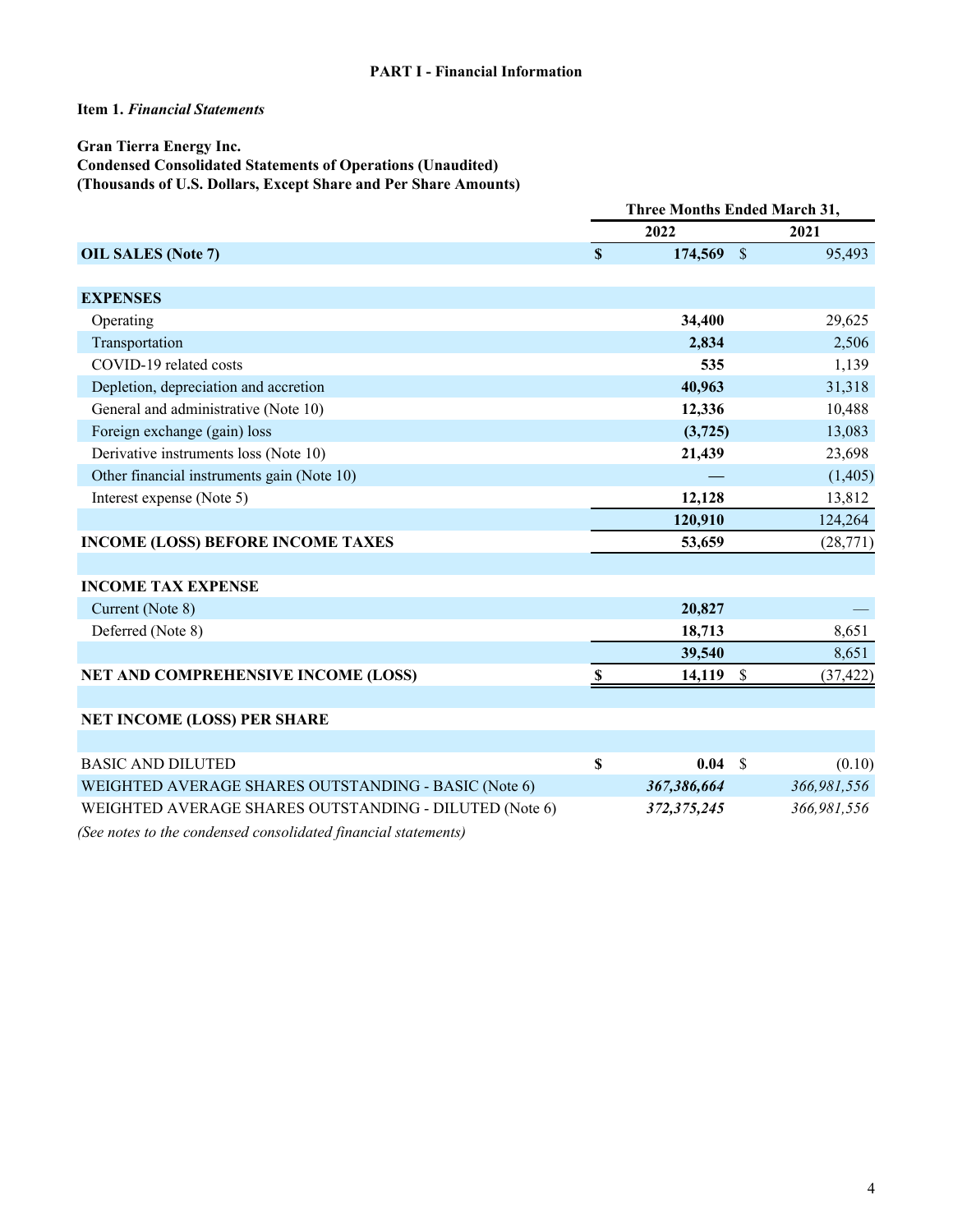#### **Item 1.** *Financial Statements*

#### **Gran Tierra Energy Inc. Condensed Consolidated Statements of Operations (Unaudited) (Thousands of U.S. Dollars, Except Share and Per Share Amounts)**

|                                                                                                                                                                                                                                                                                                                                                                                                                                                                                       | <b>Three Months Ended March 31,</b> |               |               |             |  |  |
|---------------------------------------------------------------------------------------------------------------------------------------------------------------------------------------------------------------------------------------------------------------------------------------------------------------------------------------------------------------------------------------------------------------------------------------------------------------------------------------|-------------------------------------|---------------|---------------|-------------|--|--|
|                                                                                                                                                                                                                                                                                                                                                                                                                                                                                       |                                     | 2022          |               | 2021        |  |  |
| <b>OIL SALES (Note 7)</b>                                                                                                                                                                                                                                                                                                                                                                                                                                                             | $\mathbf S$                         | 174,569       | $\mathcal{S}$ | 95,493      |  |  |
|                                                                                                                                                                                                                                                                                                                                                                                                                                                                                       |                                     |               |               |             |  |  |
| <b>EXPENSES</b>                                                                                                                                                                                                                                                                                                                                                                                                                                                                       |                                     |               |               |             |  |  |
| Operating                                                                                                                                                                                                                                                                                                                                                                                                                                                                             |                                     | 34,400        |               | 29,625      |  |  |
| Transportation                                                                                                                                                                                                                                                                                                                                                                                                                                                                        |                                     | 2,834         |               | 2,506       |  |  |
| COVID-19 related costs                                                                                                                                                                                                                                                                                                                                                                                                                                                                |                                     | 535           |               | 1,139       |  |  |
| Depletion, depreciation and accretion                                                                                                                                                                                                                                                                                                                                                                                                                                                 |                                     | 40,963        |               | 31,318      |  |  |
| General and administrative (Note 10)                                                                                                                                                                                                                                                                                                                                                                                                                                                  |                                     | 12,336        |               | 10,488      |  |  |
| Foreign exchange (gain) loss                                                                                                                                                                                                                                                                                                                                                                                                                                                          |                                     | (3,725)       |               | 13,083      |  |  |
| Derivative instruments loss (Note 10)                                                                                                                                                                                                                                                                                                                                                                                                                                                 |                                     | 21,439        |               | 23,698      |  |  |
| Other financial instruments gain (Note 10)                                                                                                                                                                                                                                                                                                                                                                                                                                            |                                     |               |               | (1,405)     |  |  |
| Interest expense (Note 5)                                                                                                                                                                                                                                                                                                                                                                                                                                                             |                                     | 12,128        |               | 13,812      |  |  |
|                                                                                                                                                                                                                                                                                                                                                                                                                                                                                       |                                     | 120,910       |               | 124,264     |  |  |
| <b>INCOME (LOSS) BEFORE INCOME TAXES</b>                                                                                                                                                                                                                                                                                                                                                                                                                                              |                                     | 53,659        |               | (28, 771)   |  |  |
|                                                                                                                                                                                                                                                                                                                                                                                                                                                                                       |                                     |               |               |             |  |  |
| <b>INCOME TAX EXPENSE</b>                                                                                                                                                                                                                                                                                                                                                                                                                                                             |                                     |               |               |             |  |  |
| Current (Note 8)                                                                                                                                                                                                                                                                                                                                                                                                                                                                      |                                     | 20,827        |               |             |  |  |
| Deferred (Note 8)                                                                                                                                                                                                                                                                                                                                                                                                                                                                     |                                     | 18,713        |               | 8,651       |  |  |
|                                                                                                                                                                                                                                                                                                                                                                                                                                                                                       |                                     | 39,540        |               | 8,651       |  |  |
| NET AND COMPREHENSIVE INCOME (LOSS)                                                                                                                                                                                                                                                                                                                                                                                                                                                   | $\boldsymbol{s}$                    | 14,119        | \$            | (37, 422)   |  |  |
|                                                                                                                                                                                                                                                                                                                                                                                                                                                                                       |                                     |               |               |             |  |  |
| <b>NET INCOME (LOSS) PER SHARE</b>                                                                                                                                                                                                                                                                                                                                                                                                                                                    |                                     |               |               |             |  |  |
|                                                                                                                                                                                                                                                                                                                                                                                                                                                                                       |                                     |               |               |             |  |  |
| <b>BASIC AND DILUTED</b>                                                                                                                                                                                                                                                                                                                                                                                                                                                              | \$                                  | 0.04 S        |               | (0.10)      |  |  |
| WEIGHTED AVERAGE SHARES OUTSTANDING - BASIC (Note 6)                                                                                                                                                                                                                                                                                                                                                                                                                                  |                                     | 367,386,664   |               | 366,981,556 |  |  |
| WEIGHTED AVERAGE SHARES OUTSTANDING - DILUTED (Note 6)                                                                                                                                                                                                                                                                                                                                                                                                                                |                                     | 372, 375, 245 |               | 366,981,556 |  |  |
| $\mathbf{1} \cdot \mathbf{1} \cdot \mathbf{1} \cdot \mathbf{1} \cdot \mathbf{1} \cdot \mathbf{1} \cdot \mathbf{1} \cdot \mathbf{1} \cdot \mathbf{1} \cdot \mathbf{1} \cdot \mathbf{1} \cdot \mathbf{1} \cdot \mathbf{1} \cdot \mathbf{1} \cdot \mathbf{1} \cdot \mathbf{1} \cdot \mathbf{1} \cdot \mathbf{1} \cdot \mathbf{1} \cdot \mathbf{1} \cdot \mathbf{1} \cdot \mathbf{1} \cdot \mathbf{1} \cdot \mathbf{1} \cdot \mathbf{1} \cdot \mathbf{1} \cdot \mathbf{1} \cdot \mathbf{$ |                                     |               |               |             |  |  |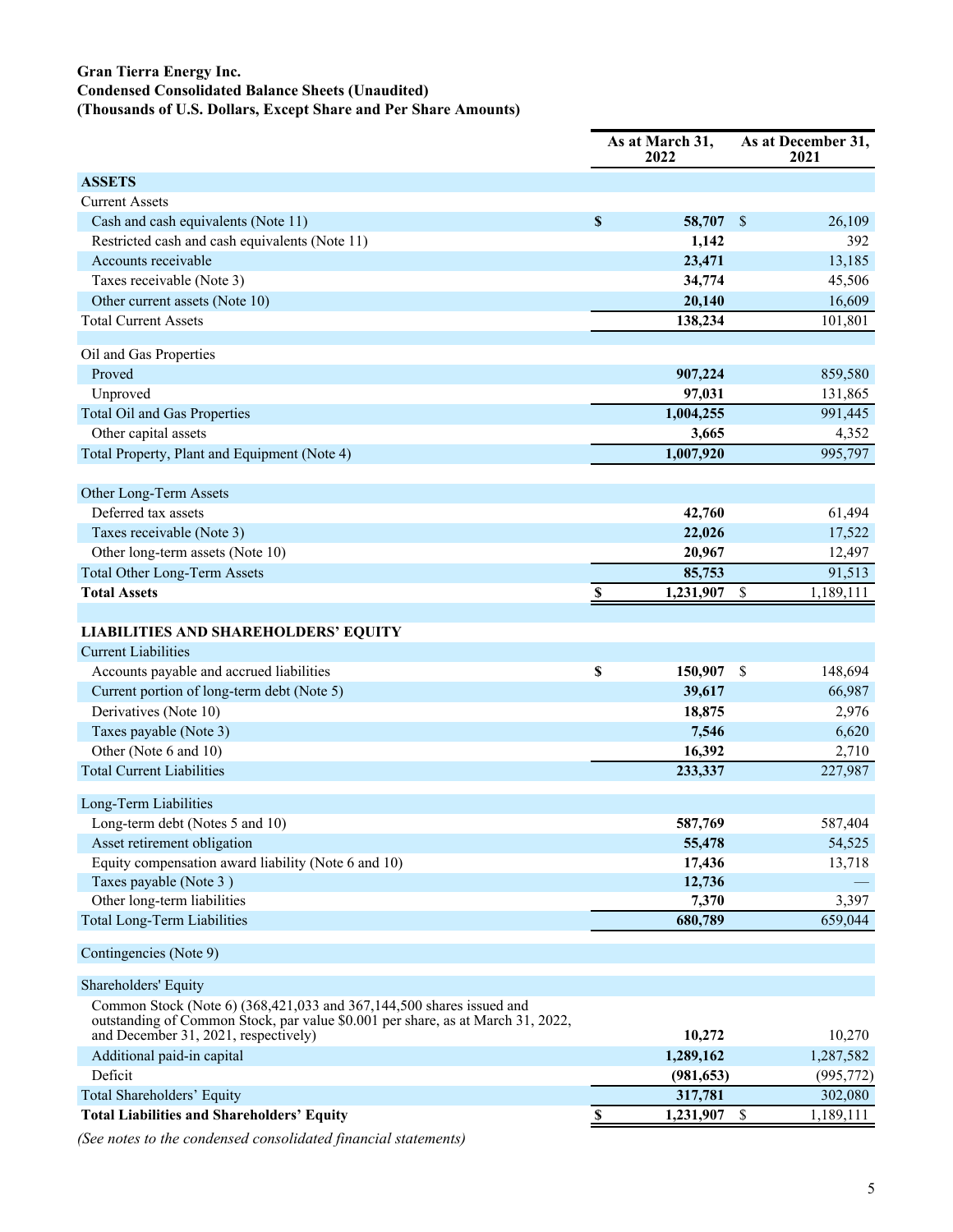#### **Gran Tierra Energy Inc. Condensed Consolidated Balance Sheets (Unaudited) (Thousands of U.S. Dollars, Except Share and Per Share Amounts)**

|                                                                                                                                                                                                 | As at March 31,<br>2022 |            |    | As at December 31,<br>2021 |  |
|-------------------------------------------------------------------------------------------------------------------------------------------------------------------------------------------------|-------------------------|------------|----|----------------------------|--|
| <b>ASSETS</b>                                                                                                                                                                                   |                         |            |    |                            |  |
| <b>Current Assets</b>                                                                                                                                                                           |                         |            |    |                            |  |
| Cash and cash equivalents (Note 11)                                                                                                                                                             | \$                      | 58,707     | \$ | 26,109                     |  |
| Restricted cash and cash equivalents (Note 11)                                                                                                                                                  |                         | 1,142      |    | 392                        |  |
| Accounts receivable                                                                                                                                                                             |                         | 23,471     |    | 13,185                     |  |
| Taxes receivable (Note 3)                                                                                                                                                                       |                         | 34,774     |    | 45,506                     |  |
| Other current assets (Note 10)                                                                                                                                                                  |                         | 20,140     |    | 16,609                     |  |
| <b>Total Current Assets</b>                                                                                                                                                                     |                         | 138,234    |    | 101,801                    |  |
|                                                                                                                                                                                                 |                         |            |    |                            |  |
| Oil and Gas Properties                                                                                                                                                                          |                         |            |    |                            |  |
| Proved                                                                                                                                                                                          |                         | 907,224    |    | 859,580                    |  |
| Unproved                                                                                                                                                                                        |                         | 97,031     |    | 131,865                    |  |
| Total Oil and Gas Properties                                                                                                                                                                    |                         | 1,004,255  |    | 991,445                    |  |
| Other capital assets                                                                                                                                                                            |                         | 3,665      |    | 4,352                      |  |
| Total Property, Plant and Equipment (Note 4)                                                                                                                                                    |                         | 1,007,920  |    | 995,797                    |  |
| Other Long-Term Assets                                                                                                                                                                          |                         |            |    |                            |  |
| Deferred tax assets                                                                                                                                                                             |                         | 42,760     |    | 61,494                     |  |
| Taxes receivable (Note 3)                                                                                                                                                                       |                         | 22,026     |    | 17,522                     |  |
| Other long-term assets (Note 10)                                                                                                                                                                |                         | 20,967     |    | 12,497                     |  |
| <b>Total Other Long-Term Assets</b>                                                                                                                                                             |                         | 85,753     |    | 91,513                     |  |
| <b>Total Assets</b>                                                                                                                                                                             | S                       | 1,231,907  | \$ | 1,189,111                  |  |
|                                                                                                                                                                                                 |                         |            |    |                            |  |
| <b>LIABILITIES AND SHAREHOLDERS' EQUITY</b>                                                                                                                                                     |                         |            |    |                            |  |
| <b>Current Liabilities</b>                                                                                                                                                                      |                         |            |    |                            |  |
| Accounts payable and accrued liabilities                                                                                                                                                        | \$                      | 150,907    | \$ | 148,694                    |  |
| Current portion of long-term debt (Note 5)                                                                                                                                                      |                         | 39,617     |    | 66,987                     |  |
| Derivatives (Note 10)                                                                                                                                                                           |                         | 18,875     |    | 2,976                      |  |
| Taxes payable (Note 3)                                                                                                                                                                          |                         | 7,546      |    | 6,620                      |  |
| Other (Note 6 and 10)                                                                                                                                                                           |                         | 16,392     |    | 2,710                      |  |
| <b>Total Current Liabilities</b>                                                                                                                                                                |                         | 233,337    |    | 227,987                    |  |
| Long-Term Liabilities                                                                                                                                                                           |                         |            |    |                            |  |
| Long-term debt (Notes 5 and 10)                                                                                                                                                                 |                         | 587,769    |    | 587,404                    |  |
| Asset retirement obligation                                                                                                                                                                     |                         | 55,478     |    | 54,525                     |  |
| Equity compensation award liability (Note 6 and 10)                                                                                                                                             |                         | 17,436     |    | 13,718                     |  |
| Taxes payable (Note 3)                                                                                                                                                                          |                         | 12,736     |    |                            |  |
| Other long-term liabilities                                                                                                                                                                     |                         | 7,370      |    | 3,397                      |  |
| <b>Total Long-Term Liabilities</b>                                                                                                                                                              |                         | 680,789    |    | 659,044                    |  |
| Contingencies (Note 9)                                                                                                                                                                          |                         |            |    |                            |  |
| Shareholders' Equity                                                                                                                                                                            |                         |            |    |                            |  |
| Common Stock (Note 6) (368,421,033 and 367,144,500 shares issued and<br>outstanding of Common Stock, par value \$0.001 per share, as at March 31, 2022,<br>and December 31, 2021, respectively) |                         | 10,272     |    | 10,270                     |  |
| Additional paid-in capital                                                                                                                                                                      |                         | 1,289,162  |    | 1,287,582                  |  |
| Deficit                                                                                                                                                                                         |                         | (981, 653) |    | (995, 772)                 |  |
| Total Shareholders' Equity                                                                                                                                                                      |                         | 317,781    |    | 302,080                    |  |
| <b>Total Liabilities and Shareholders' Equity</b>                                                                                                                                               |                         |            |    |                            |  |
|                                                                                                                                                                                                 | <sup>2</sup>            | 1,231,907  | \$ | 1,189,111                  |  |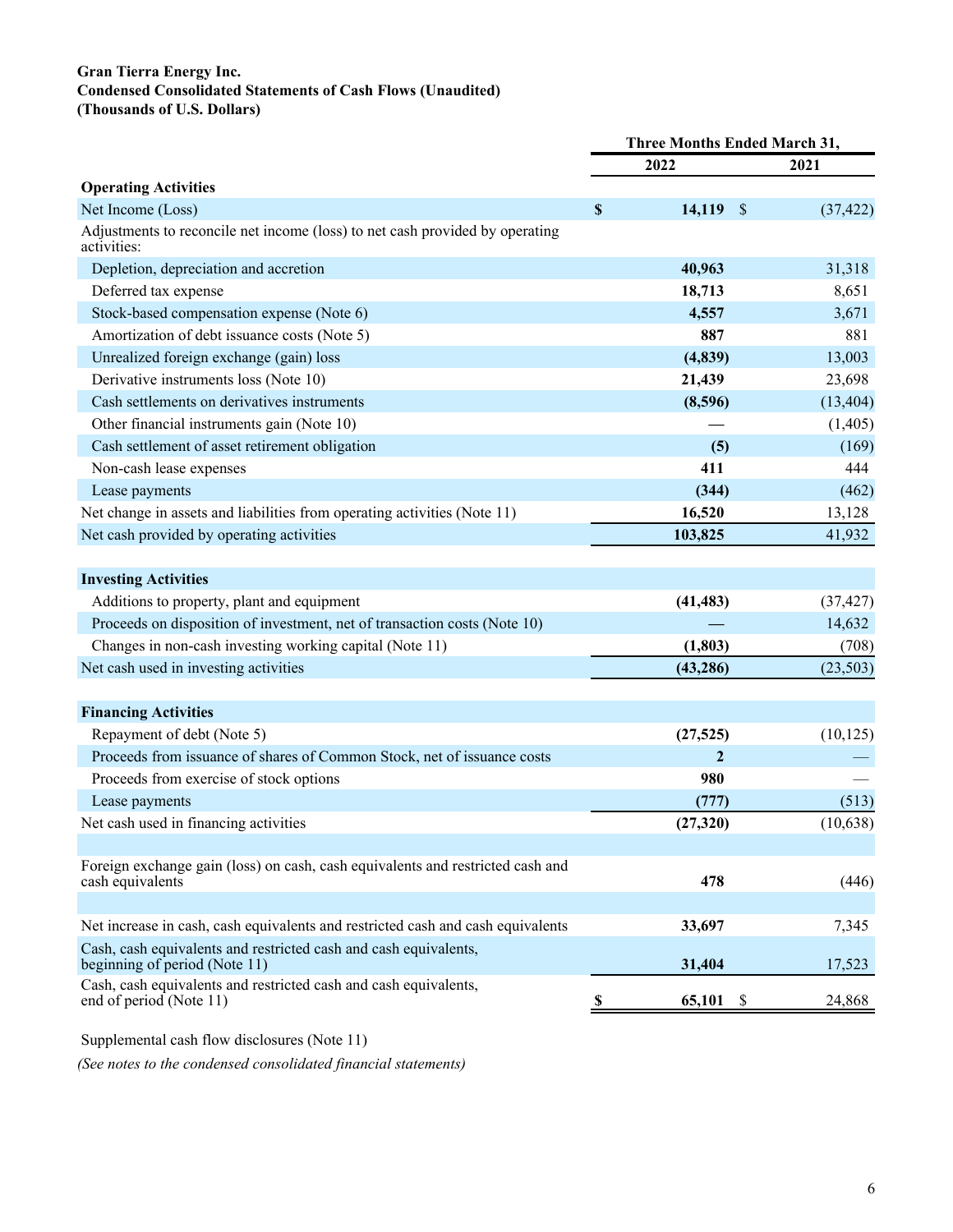#### **Gran Tierra Energy Inc. Condensed Consolidated Statements of Cash Flows (Unaudited) (Thousands of U.S. Dollars)**

|                                                                                                   | Three Months Ended March 31, |                  |           |  |
|---------------------------------------------------------------------------------------------------|------------------------------|------------------|-----------|--|
|                                                                                                   |                              | 2022             | 2021      |  |
| <b>Operating Activities</b>                                                                       |                              |                  |           |  |
| Net Income (Loss)                                                                                 | \$                           | 14,119 \$        | (37, 422) |  |
| Adjustments to reconcile net income (loss) to net cash provided by operating<br>activities:       |                              |                  |           |  |
| Depletion, depreciation and accretion                                                             |                              | 40,963           | 31,318    |  |
| Deferred tax expense                                                                              |                              | 18,713           | 8,651     |  |
| Stock-based compensation expense (Note 6)                                                         |                              | 4,557            | 3,671     |  |
| Amortization of debt issuance costs (Note 5)                                                      |                              | 887              | 881       |  |
| Unrealized foreign exchange (gain) loss                                                           |                              | (4, 839)         | 13,003    |  |
| Derivative instruments loss (Note 10)                                                             |                              | 21,439           | 23,698    |  |
| Cash settlements on derivatives instruments                                                       |                              | (8,596)          | (13, 404) |  |
| Other financial instruments gain (Note 10)                                                        |                              |                  | (1,405)   |  |
| Cash settlement of asset retirement obligation                                                    |                              | (5)              | (169)     |  |
| Non-cash lease expenses                                                                           |                              | 411              | 444       |  |
| Lease payments                                                                                    |                              | (344)            | (462)     |  |
| Net change in assets and liabilities from operating activities (Note 11)                          |                              | 16,520           | 13,128    |  |
| Net cash provided by operating activities                                                         |                              | 103,825          | 41,932    |  |
|                                                                                                   |                              |                  |           |  |
| <b>Investing Activities</b>                                                                       |                              |                  |           |  |
| Additions to property, plant and equipment                                                        |                              | (41, 483)        | (37, 427) |  |
| Proceeds on disposition of investment, net of transaction costs (Note 10)                         |                              |                  | 14,632    |  |
| Changes in non-cash investing working capital (Note 11)                                           |                              | (1, 803)         | (708)     |  |
| Net cash used in investing activities                                                             |                              | (43, 286)        | (23, 503) |  |
|                                                                                                   |                              |                  |           |  |
| <b>Financing Activities</b>                                                                       |                              |                  |           |  |
| Repayment of debt (Note 5)                                                                        |                              | (27, 525)        | (10, 125) |  |
| Proceeds from issuance of shares of Common Stock, net of issuance costs                           |                              | $\boldsymbol{2}$ |           |  |
| Proceeds from exercise of stock options                                                           |                              | 980              |           |  |
| Lease payments                                                                                    |                              | (777)            | (513)     |  |
| Net cash used in financing activities                                                             |                              | (27, 320)        | (10,638)  |  |
|                                                                                                   |                              |                  |           |  |
| Foreign exchange gain (loss) on cash, cash equivalents and restricted cash and                    |                              |                  |           |  |
| cash equivalents                                                                                  |                              | 478              | (446)     |  |
|                                                                                                   |                              |                  |           |  |
| Net increase in cash, cash equivalents and restricted cash and cash equivalents                   |                              | 33,697           | 7,345     |  |
| Cash, cash equivalents and restricted cash and cash equivalents,<br>beginning of period (Note 11) |                              | 31,404           | 17,523    |  |
| Cash, cash equivalents and restricted cash and cash equivalents,<br>end of period (Note 11)       | <sup>2</sup>                 | 65,101<br>-S     | 24,868    |  |
|                                                                                                   |                              |                  |           |  |

Supplemental cash flow disclosures (Note 11)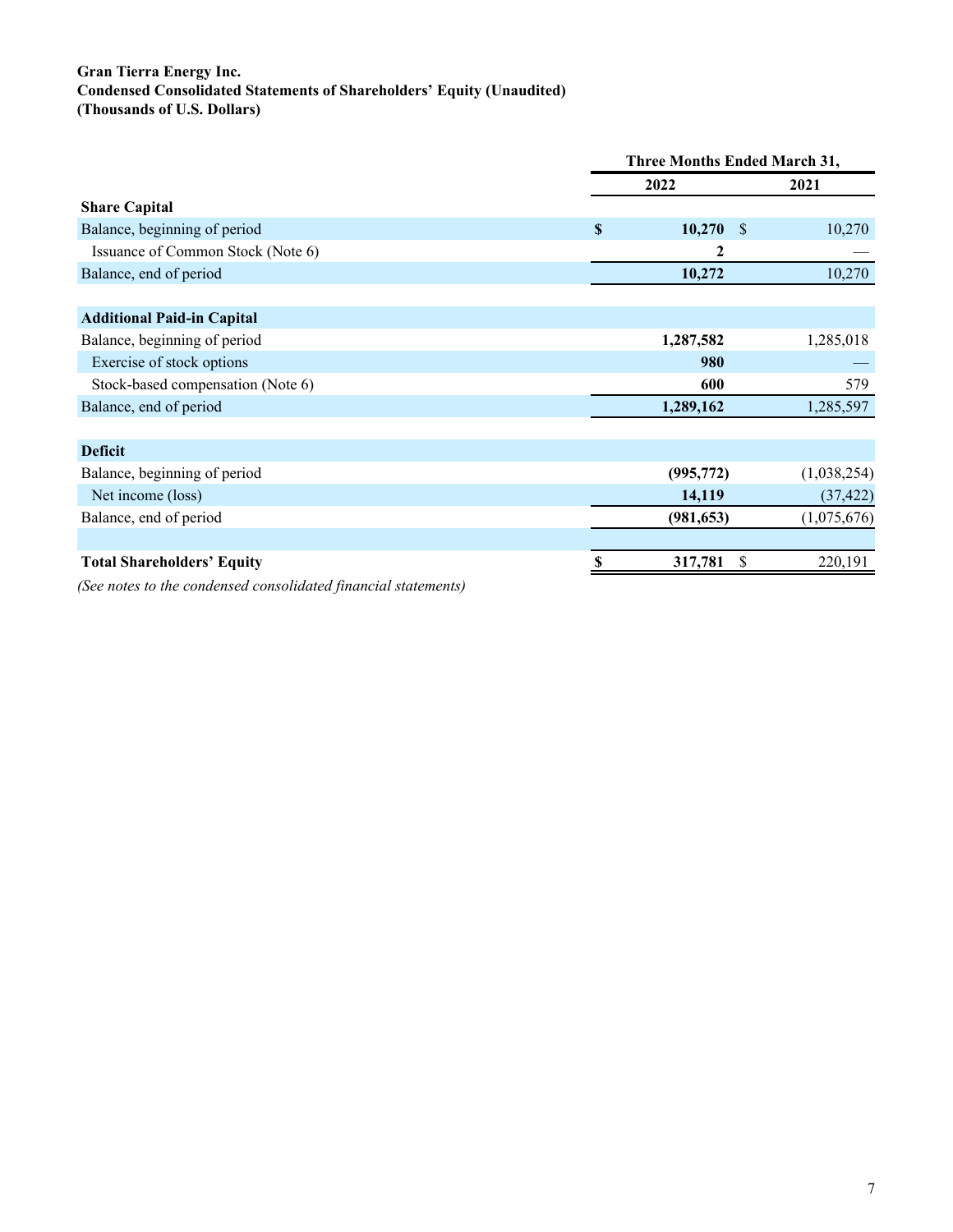#### **Gran Tierra Energy Inc. Condensed Consolidated Statements of Shareholders' Equity (Unaudited) (Thousands of U.S. Dollars)**

|                                   | <b>Three Months Ended March 31,</b> |             |   |             |
|-----------------------------------|-------------------------------------|-------------|---|-------------|
|                                   |                                     | 2022        |   | 2021        |
| <b>Share Capital</b>              |                                     |             |   |             |
| Balance, beginning of period      | $\mathbf{s}$                        | $10,270$ \$ |   | 10,270      |
| Issuance of Common Stock (Note 6) |                                     | 2           |   |             |
| Balance, end of period            |                                     | 10,272      |   | 10,270      |
|                                   |                                     |             |   |             |
| <b>Additional Paid-in Capital</b> |                                     |             |   |             |
| Balance, beginning of period      |                                     | 1,287,582   |   | 1,285,018   |
| Exercise of stock options         |                                     | 980         |   |             |
| Stock-based compensation (Note 6) |                                     | 600         |   | 579         |
| Balance, end of period            |                                     | 1,289,162   |   | 1,285,597   |
|                                   |                                     |             |   |             |
| <b>Deficit</b>                    |                                     |             |   |             |
| Balance, beginning of period      |                                     | (995, 772)  |   | (1,038,254) |
| Net income (loss)                 |                                     | 14,119      |   | (37, 422)   |
| Balance, end of period            |                                     | (981, 653)  |   | (1,075,676) |
|                                   |                                     |             |   |             |
| <b>Total Shareholders' Equity</b> |                                     | 317,781     | S | 220,191     |
|                                   |                                     |             |   |             |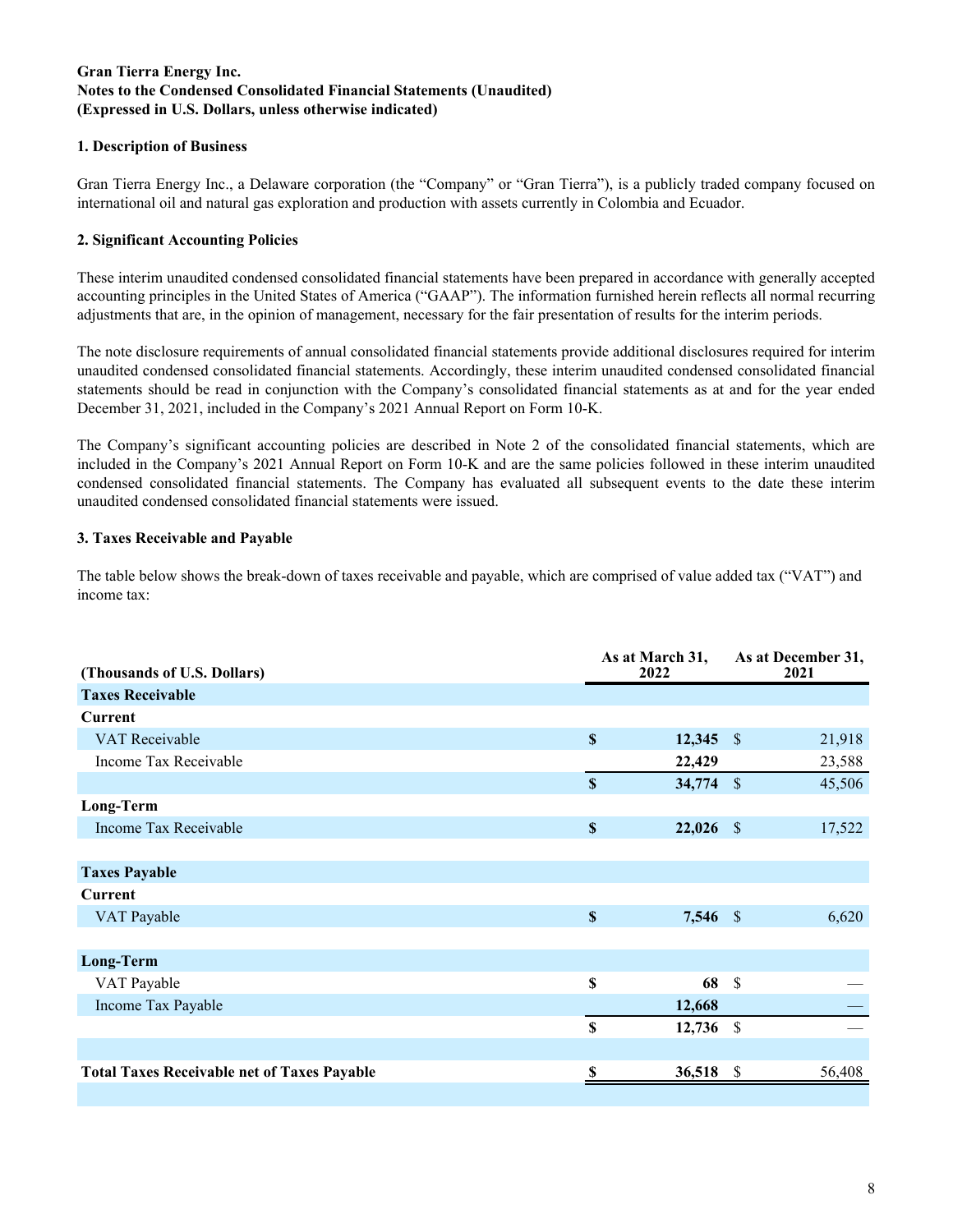#### **Gran Tierra Energy Inc. Notes to the Condensed Consolidated Financial Statements (Unaudited) (Expressed in U.S. Dollars, unless otherwise indicated)**

#### **1. Description of Business**

Gran Tierra Energy Inc., a Delaware corporation (the "Company" or "Gran Tierra"), is a publicly traded company focused on international oil and natural gas exploration and production with assets currently in Colombia and Ecuador.

#### **2. Significant Accounting Policies**

These interim unaudited condensed consolidated financial statements have been prepared in accordance with generally accepted accounting principles in the United States of America ("GAAP"). The information furnished herein reflects all normal recurring adjustments that are, in the opinion of management, necessary for the fair presentation of results for the interim periods.

The note disclosure requirements of annual consolidated financial statements provide additional disclosures required for interim unaudited condensed consolidated financial statements. Accordingly, these interim unaudited condensed consolidated financial statements should be read in conjunction with the Company's consolidated financial statements as at and for the year ended December 31, 2021, included in the Company's 2021 Annual Report on Form 10-K.

The Company's significant accounting policies are described in Note 2 of the consolidated financial statements, which are included in the Company's 2021 Annual Report on Form 10-K and are the same policies followed in these interim unaudited condensed consolidated financial statements. The Company has evaluated all subsequent events to the date these interim unaudited condensed consolidated financial statements were issued.

#### **3. Taxes Receivable and Payable**

The table below shows the break-down of taxes receivable and payable, which are comprised of value added tax ("VAT") and income tax:

| (Thousands of U.S. Dollars)                        | As at March 31,<br>2022   |             | As at December 31,<br>2021 |        |
|----------------------------------------------------|---------------------------|-------------|----------------------------|--------|
| <b>Taxes Receivable</b>                            |                           |             |                            |        |
| <b>Current</b>                                     |                           |             |                            |        |
| VAT Receivable                                     | $\boldsymbol{\mathsf{S}}$ | $12,345$ \$ |                            | 21,918 |
| Income Tax Receivable                              |                           | 22,429      |                            | 23,588 |
|                                                    | $\boldsymbol{\mathsf{S}}$ | 34,774      | $\mathcal{S}$              | 45,506 |
| Long-Term                                          |                           |             |                            |        |
| Income Tax Receivable                              | $\boldsymbol{\mathsf{S}}$ | $22,026$ \$ |                            | 17,522 |
|                                                    |                           |             |                            |        |
| <b>Taxes Payable</b>                               |                           |             |                            |        |
| <b>Current</b>                                     |                           |             |                            |        |
| VAT Payable                                        | $\boldsymbol{\mathsf{S}}$ | 7,546 \$    |                            | 6,620  |
|                                                    |                           |             |                            |        |
| <b>Long-Term</b>                                   |                           |             |                            |        |
| VAT Payable                                        | \$                        | 68          | $\mathcal{S}$              |        |
| Income Tax Payable                                 |                           | 12,668      |                            |        |
|                                                    | \$                        | 12,736      | $\mathcal{S}$              |        |
|                                                    |                           |             |                            |        |
| <b>Total Taxes Receivable net of Taxes Payable</b> | S                         | 36,518      | -S                         | 56,408 |
|                                                    |                           |             |                            |        |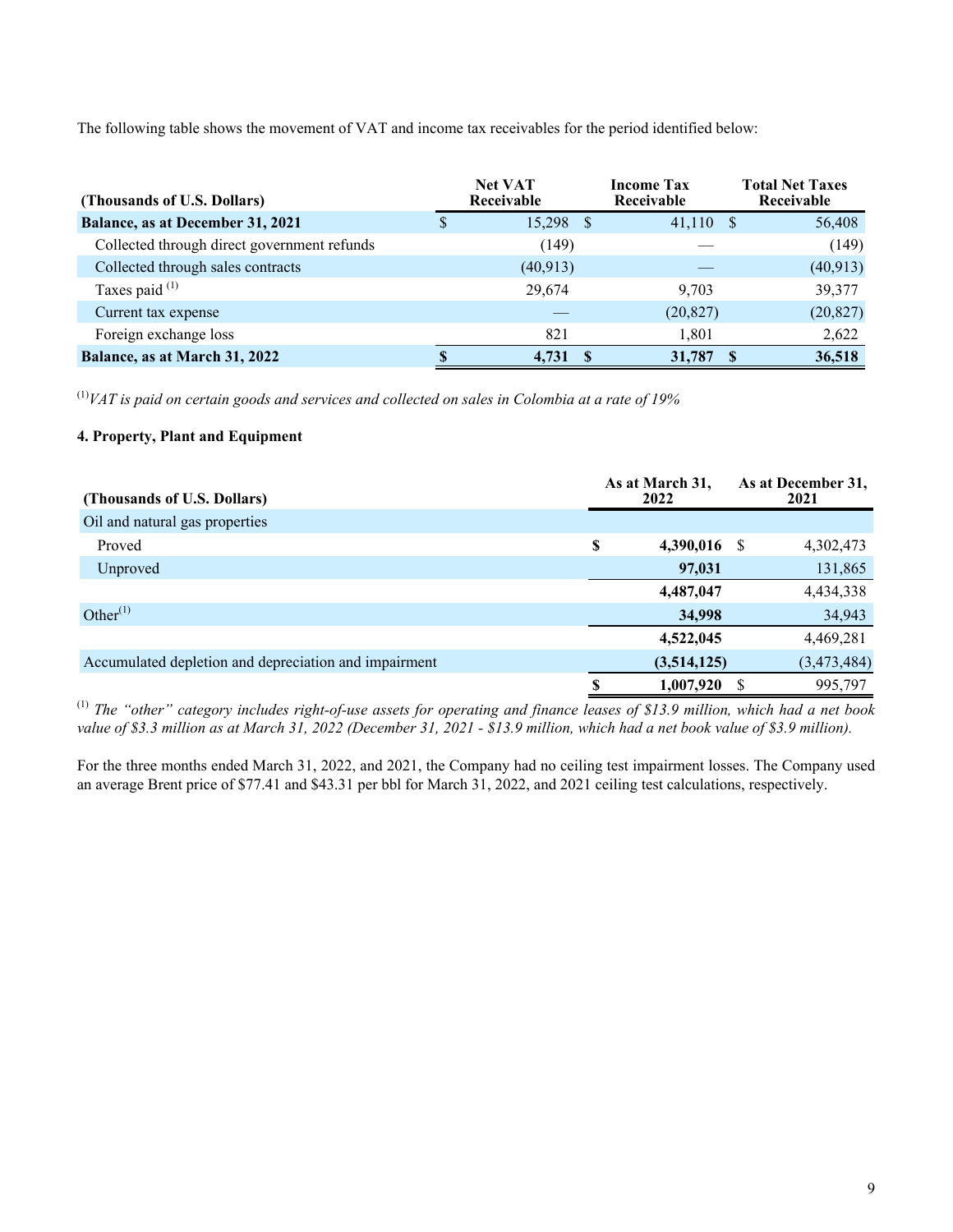The following table shows the movement of VAT and income tax receivables for the period identified below:

| (Thousands of U.S. Dollars)                 |   | <b>Net VAT</b><br>Receivable |    | <b>Income Tax</b><br>Receivable | <b>Total Net Taxes</b><br>Receivable |
|---------------------------------------------|---|------------------------------|----|---------------------------------|--------------------------------------|
| Balance, as at December 31, 2021            | S | 15,298                       | -8 | $41,110$ \$                     | 56,408                               |
| Collected through direct government refunds |   | (149)                        |    |                                 | (149)                                |
| Collected through sales contracts           |   | (40, 913)                    |    |                                 | (40, 913)                            |
| Taxes paid $(1)$                            |   | 29,674                       |    | 9.703                           | 39,377                               |
| Current tax expense                         |   |                              |    | (20, 827)                       | (20, 827)                            |
| Foreign exchange loss                       |   | 821                          |    | 1,801                           | 2,622                                |
| Balance, as at March 31, 2022               |   | 4.731                        | -8 | 31,787                          | 36,518                               |

(1)*VAT is paid on certain goods and services and collected on sales in Colombia at a rate of 19%*

#### **4. Property, Plant and Equipment**

| (Thousands of U.S. Dollars)                           | As at March 31,<br>2022 | As at December 31,<br>2021 |             |  |
|-------------------------------------------------------|-------------------------|----------------------------|-------------|--|
| Oil and natural gas properties                        |                         |                            |             |  |
| Proved                                                | \$<br>4,390,016         | -S                         | 4,302,473   |  |
| Unproved                                              | 97,031                  |                            | 131,865     |  |
|                                                       | 4,487,047               |                            | 4,434,338   |  |
| Other $^{(1)}$                                        | 34,998                  |                            | 34,943      |  |
|                                                       | 4,522,045               |                            | 4,469,281   |  |
| Accumulated depletion and depreciation and impairment | (3,514,125)             |                            | (3,473,484) |  |
|                                                       | 1,007,920               |                            | 995,797     |  |

(1)  *The "other" category includes right-of-use assets for operating and finance leases of \$13.9 million, which had a net book value of \$3.3 million as at March 31, 2022 (December 31, 2021 - \$13.9 million, which had a net book value of \$3.9 million).*

For the three months ended March 31, 2022, and 2021, the Company had no ceiling test impairment losses. The Company used an average Brent price of \$77.41 and \$43.31 per bbl for March 31, 2022, and 2021 ceiling test calculations, respectively.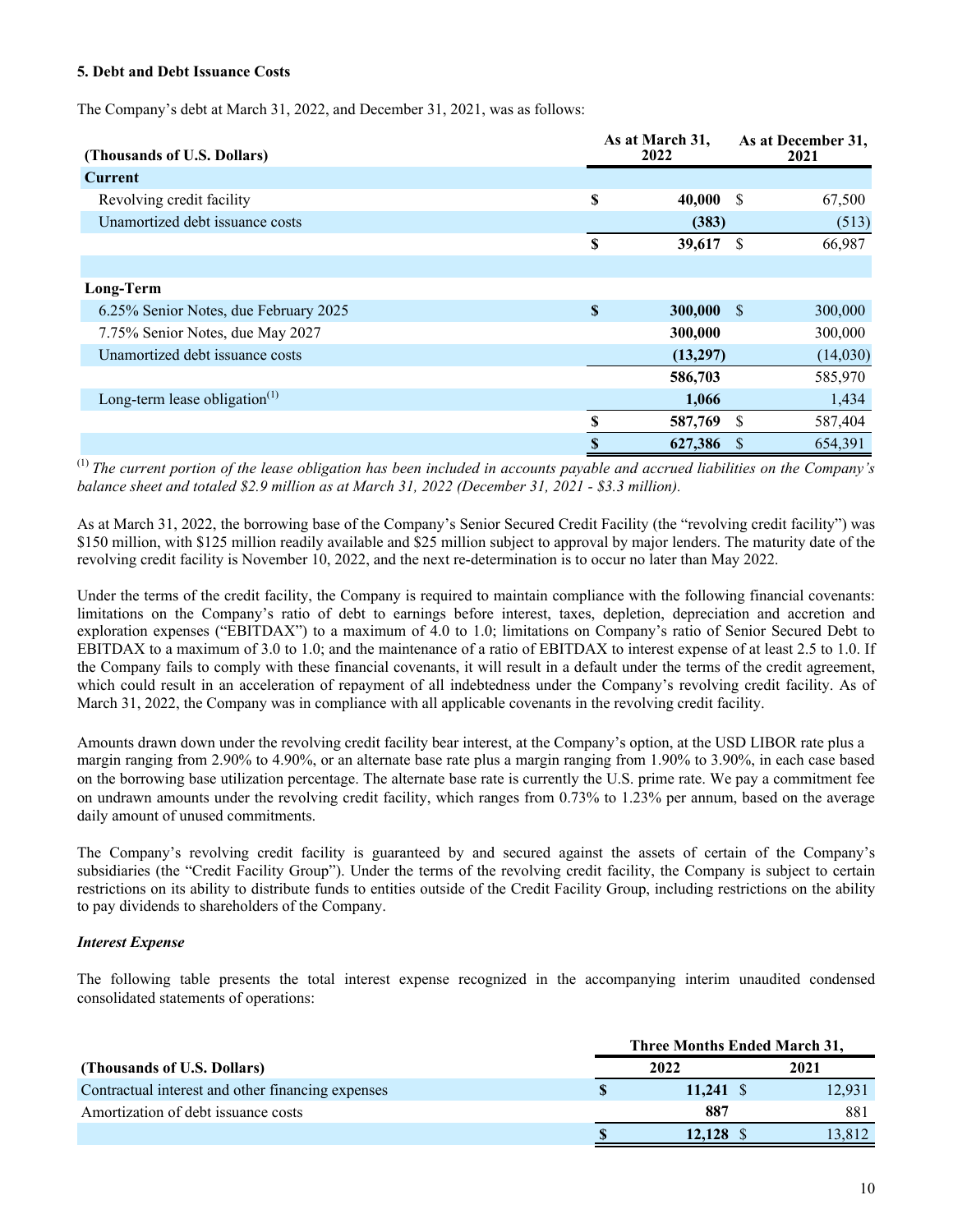#### **5. Debt and Debt Issuance Costs**

The Company's debt at March 31, 2022, and December 31, 2021, was as follows:

| (Thousands of U.S. Dollars)           |          | As at March 31,<br>2022 |          | As at December 31,<br>2021 |
|---------------------------------------|----------|-------------------------|----------|----------------------------|
| <b>Current</b>                        |          |                         |          |                            |
| Revolving credit facility             | \$       | $40,000$ \$             |          | 67,500                     |
| Unamortized debt issuance costs       |          | (383)                   |          | (513)                      |
|                                       | S        | 39,617                  | - \$     | 66,987                     |
|                                       |          |                         |          |                            |
| Long-Term                             |          |                         |          |                            |
| 6.25% Senior Notes, due February 2025 | <b>S</b> | $300,000$ \$            |          | 300,000                    |
| 7.75% Senior Notes, due May 2027      |          | 300,000                 |          | 300,000                    |
| Unamortized debt issuance costs       |          | (13,297)                |          | (14,030)                   |
|                                       |          | 586,703                 |          | 585,970                    |
| Long-term lease obligation $(1)$      |          | 1,066                   |          | 1,434                      |
|                                       | \$       | 587,769                 | S        | 587,404                    |
|                                       | \$       | 627,386                 | <b>S</b> | 654,391                    |

(1) *The current portion of the lease obligation has been included in accounts payable and accrued liabilities on the Company's balance sheet and totaled \$2.9 million as at March 31, 2022 (December 31, 2021 - \$3.3 million).*

As at March 31, 2022, the borrowing base of the Company's Senior Secured Credit Facility (the "revolving credit facility") was \$150 million, with \$125 million readily available and \$25 million subject to approval by major lenders. The maturity date of the revolving credit facility is November 10, 2022, and the next re-determination is to occur no later than May 2022.

Under the terms of the credit facility, the Company is required to maintain compliance with the following financial covenants: limitations on the Company's ratio of debt to earnings before interest, taxes, depletion, depreciation and accretion and exploration expenses ("EBITDAX") to a maximum of 4.0 to 1.0; limitations on Company's ratio of Senior Secured Debt to EBITDAX to a maximum of 3.0 to 1.0; and the maintenance of a ratio of EBITDAX to interest expense of at least 2.5 to 1.0. If the Company fails to comply with these financial covenants, it will result in a default under the terms of the credit agreement, which could result in an acceleration of repayment of all indebtedness under the Company's revolving credit facility. As of March 31, 2022, the Company was in compliance with all applicable covenants in the revolving credit facility.

Amounts drawn down under the revolving credit facility bear interest, at the Company's option, at the USD LIBOR rate plus a margin ranging from 2.90% to 4.90%, or an alternate base rate plus a margin ranging from 1.90% to 3.90%, in each case based on the borrowing base utilization percentage. The alternate base rate is currently the U.S. prime rate. We pay a commitment fee on undrawn amounts under the revolving credit facility, which ranges from 0.73% to 1.23% per annum, based on the average daily amount of unused commitments.

The Company's revolving credit facility is guaranteed by and secured against the assets of certain of the Company's subsidiaries (the "Credit Facility Group"). Under the terms of the revolving credit facility, the Company is subject to certain restrictions on its ability to distribute funds to entities outside of the Credit Facility Group, including restrictions on the ability to pay dividends to shareholders of the Company.

#### *Interest Expense*

The following table presents the total interest expense recognized in the accompanying interim unaudited condensed consolidated statements of operations:

|                                                   | Three Months Ended March 31, |        |  |  |
|---------------------------------------------------|------------------------------|--------|--|--|
| (Thousands of U.S. Dollars)                       | 2022                         | 2021   |  |  |
| Contractual interest and other financing expenses | $11.241 \text{ }$ \$         | 12,931 |  |  |
| Amortization of debt issuance costs               | 887                          | 881    |  |  |
|                                                   | 12.128 \$                    | 13.812 |  |  |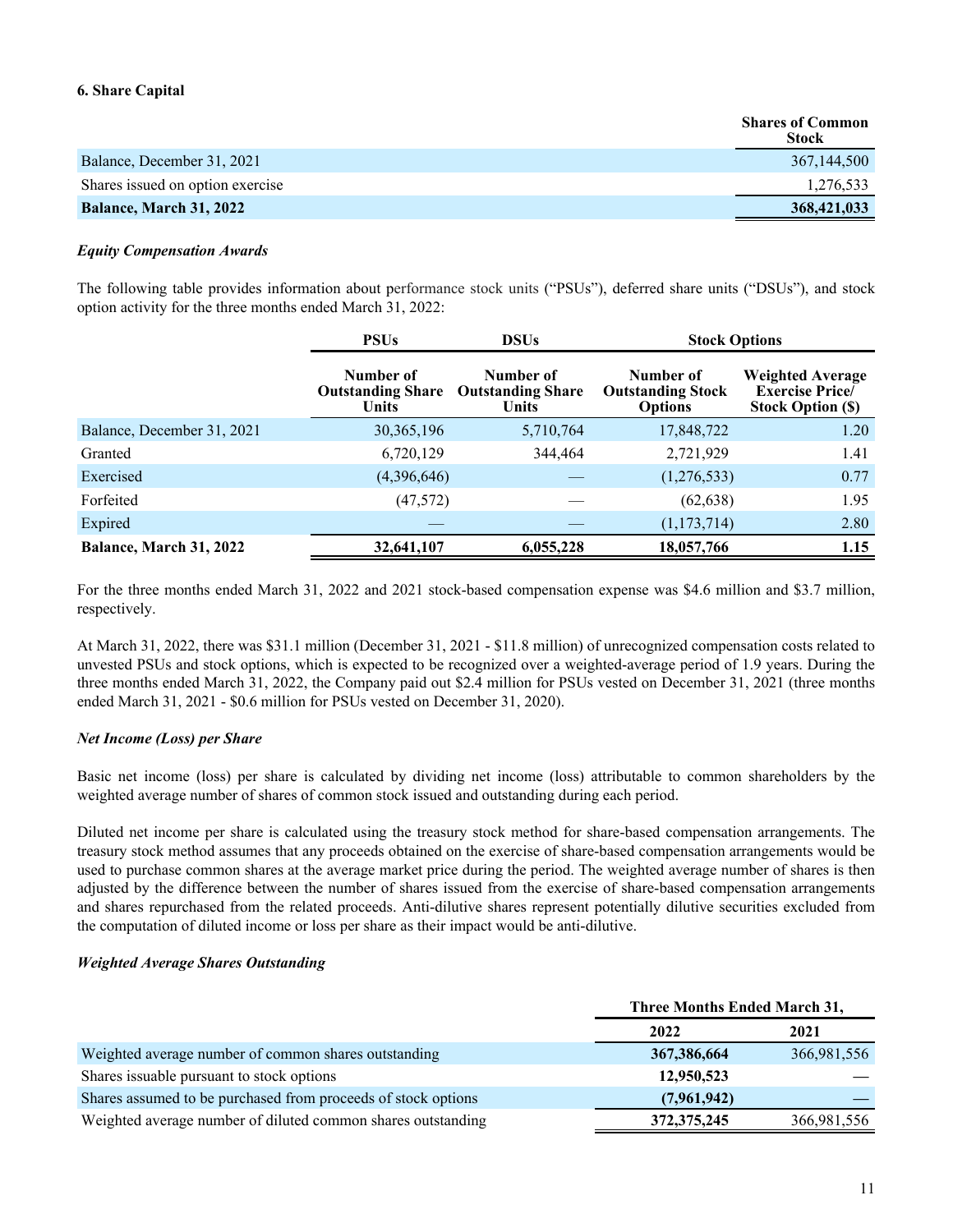#### **6. Share Capital**

|                                  | <b>Shares of Common</b><br><b>Stock</b> |
|----------------------------------|-----------------------------------------|
| Balance, December 31, 2021       | 367,144,500                             |
| Shares issued on option exercise | 1,276,533                               |
| <b>Balance, March 31, 2022</b>   | 368,421,033                             |

#### *Equity Compensation Awards*

The following table provides information about performance stock units ("PSUs"), deferred share units ("DSUs"), and stock option activity for the three months ended March 31, 2022:

|                            | <b>PSUs</b>                                    | <b>DSUs</b>                                           | <b>Stock Options</b>                                    |                                                                               |
|----------------------------|------------------------------------------------|-------------------------------------------------------|---------------------------------------------------------|-------------------------------------------------------------------------------|
|                            | Number of<br><b>Outstanding Share</b><br>Units | Number of<br><b>Outstanding Share</b><br><b>Units</b> | Number of<br><b>Outstanding Stock</b><br><b>Options</b> | <b>Weighted Average</b><br><b>Exercise Price/</b><br><b>Stock Option (\$)</b> |
| Balance, December 31, 2021 | 30, 365, 196                                   | 5,710,764                                             | 17,848,722                                              | 1.20                                                                          |
| Granted                    | 6,720,129                                      | 344,464                                               | 2,721,929                                               | 1.41                                                                          |
| Exercised                  | (4,396,646)                                    |                                                       | (1,276,533)                                             | 0.77                                                                          |
| Forfeited                  | (47, 572)                                      |                                                       | (62, 638)                                               | 1.95                                                                          |
| Expired                    |                                                |                                                       | (1, 173, 714)                                           | 2.80                                                                          |
| Balance, March 31, 2022    | 32,641,107                                     | 6,055,228                                             | 18,057,766                                              | 1.15                                                                          |

For the three months ended March 31, 2022 and 2021 stock-based compensation expense was \$4.6 million and \$3.7 million, respectively.

At March 31, 2022, there was \$31.1 million (December 31, 2021 - \$11.8 million) of unrecognized compensation costs related to unvested PSUs and stock options, which is expected to be recognized over a weighted-average period of 1.9 years. During the three months ended March 31, 2022, the Company paid out \$2.4 million for PSUs vested on December 31, 2021 (three months ended March 31, 2021 - \$0.6 million for PSUs vested on December 31, 2020).

#### *Net Income (Loss) per Share*

Basic net income (loss) per share is calculated by dividing net income (loss) attributable to common shareholders by the weighted average number of shares of common stock issued and outstanding during each period.

Diluted net income per share is calculated using the treasury stock method for share-based compensation arrangements. The treasury stock method assumes that any proceeds obtained on the exercise of share-based compensation arrangements would be used to purchase common shares at the average market price during the period. The weighted average number of shares is then adjusted by the difference between the number of shares issued from the exercise of share-based compensation arrangements and shares repurchased from the related proceeds. Anti-dilutive shares represent potentially dilutive securities excluded from the computation of diluted income or loss per share as their impact would be anti-dilutive.

#### *Weighted Average Shares Outstanding*

|                                                               | <b>Three Months Ended March 31,</b> |             |  |  |
|---------------------------------------------------------------|-------------------------------------|-------------|--|--|
|                                                               | 2022                                | 2021        |  |  |
| Weighted average number of common shares outstanding          | 367, 386, 664                       | 366,981,556 |  |  |
| Shares is suable pursuant to stock options                    | 12,950,523                          |             |  |  |
| Shares assumed to be purchased from proceeds of stock options | (7,961,942)                         |             |  |  |
| Weighted average number of diluted common shares outstanding  | 372, 375, 245                       | 366,981,556 |  |  |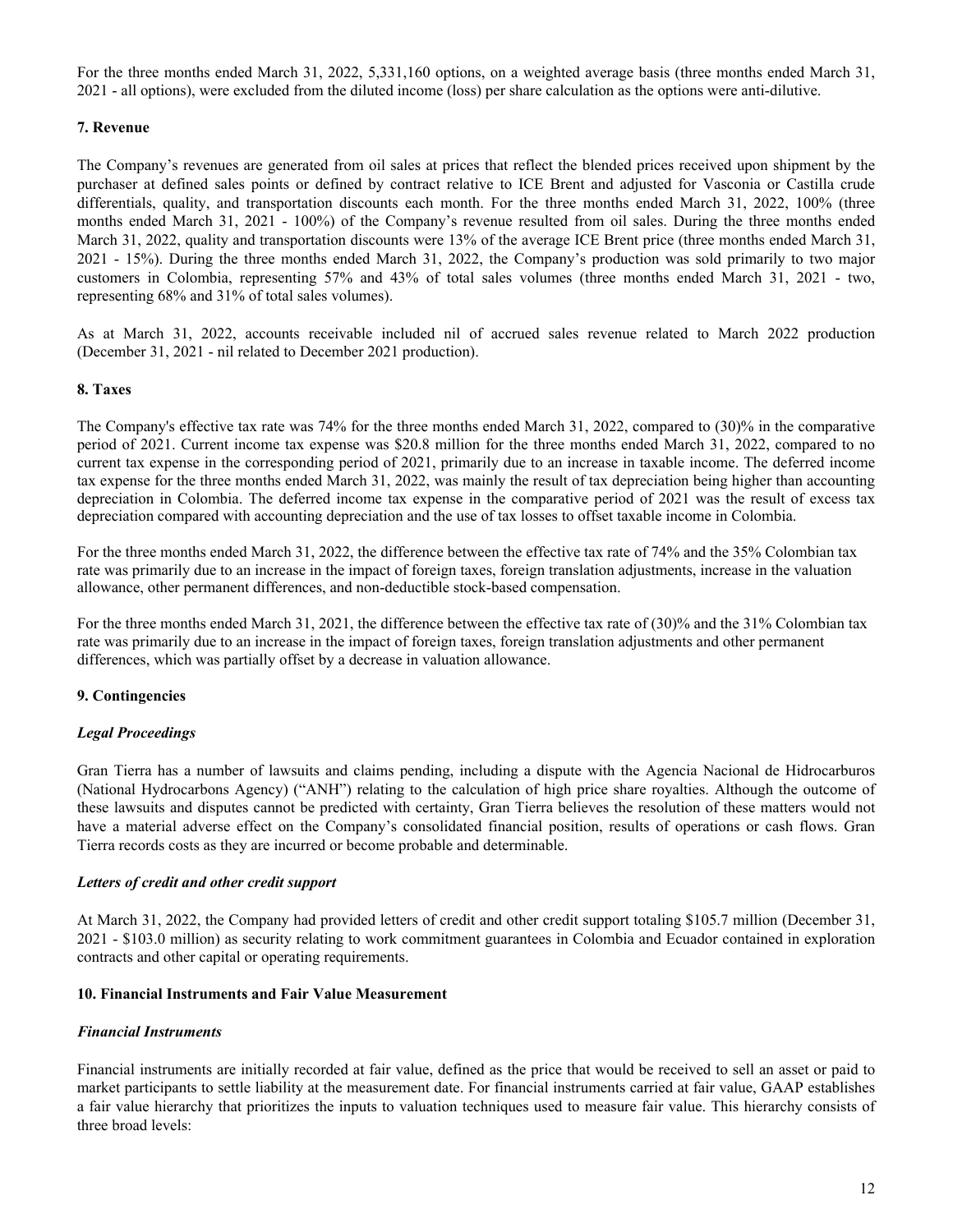For the three months ended March 31, 2022, 5,331,160 options, on a weighted average basis (three months ended March 31, 2021 - all options), were excluded from the diluted income (loss) per share calculation as the options were anti-dilutive.

#### **7. Revenue**

The Company's revenues are generated from oil sales at prices that reflect the blended prices received upon shipment by the purchaser at defined sales points or defined by contract relative to ICE Brent and adjusted for Vasconia or Castilla crude differentials, quality, and transportation discounts each month. For the three months ended March 31, 2022, 100% (three months ended March 31, 2021 - 100%) of the Company's revenue resulted from oil sales. During the three months ended March 31, 2022, quality and transportation discounts were 13% of the average ICE Brent price (three months ended March 31, 2021 - 15%). During the three months ended March 31, 2022, the Company's production was sold primarily to two major customers in Colombia, representing 57% and 43% of total sales volumes (three months ended March 31, 2021 - two, representing 68% and 31% of total sales volumes).

As at March 31, 2022, accounts receivable included nil of accrued sales revenue related to March 2022 production (December 31, 2021 - nil related to December 2021 production).

#### **8. Taxes**

The Company's effective tax rate was 74% for the three months ended March 31, 2022, compared to (30)% in the comparative period of 2021. Current income tax expense was \$20.8 million for the three months ended March 31, 2022, compared to no current tax expense in the corresponding period of 2021, primarily due to an increase in taxable income. The deferred income tax expense for the three months ended March 31, 2022, was mainly the result of tax depreciation being higher than accounting depreciation in Colombia. The deferred income tax expense in the comparative period of 2021 was the result of excess tax depreciation compared with accounting depreciation and the use of tax losses to offset taxable income in Colombia.

For the three months ended March 31, 2022, the difference between the effective tax rate of 74% and the 35% Colombian tax rate was primarily due to an increase in the impact of foreign taxes, foreign translation adjustments, increase in the valuation allowance, other permanent differences, and non-deductible stock-based compensation.

For the three months ended March 31, 2021, the difference between the effective tax rate of (30)% and the 31% Colombian tax rate was primarily due to an increase in the impact of foreign taxes, foreign translation adjustments and other permanent differences, which was partially offset by a decrease in valuation allowance.

#### **9. Contingencies**

#### *Legal Proceedings*

Gran Tierra has a number of lawsuits and claims pending, including a dispute with the Agencia Nacional de Hidrocarburos (National Hydrocarbons Agency) ("ANH") relating to the calculation of high price share royalties. Although the outcome of these lawsuits and disputes cannot be predicted with certainty, Gran Tierra believes the resolution of these matters would not have a material adverse effect on the Company's consolidated financial position, results of operations or cash flows. Gran Tierra records costs as they are incurred or become probable and determinable.

#### *Letters of credit and other credit support*

At March 31, 2022, the Company had provided letters of credit and other credit support totaling \$105.7 million (December 31, 2021 - \$103.0 million) as security relating to work commitment guarantees in Colombia and Ecuador contained in exploration contracts and other capital or operating requirements.

#### **10. Financial Instruments and Fair Value Measurement**

#### *Financial Instruments*

Financial instruments are initially recorded at fair value, defined as the price that would be received to sell an asset or paid to market participants to settle liability at the measurement date. For financial instruments carried at fair value, GAAP establishes a fair value hierarchy that prioritizes the inputs to valuation techniques used to measure fair value. This hierarchy consists of three broad levels: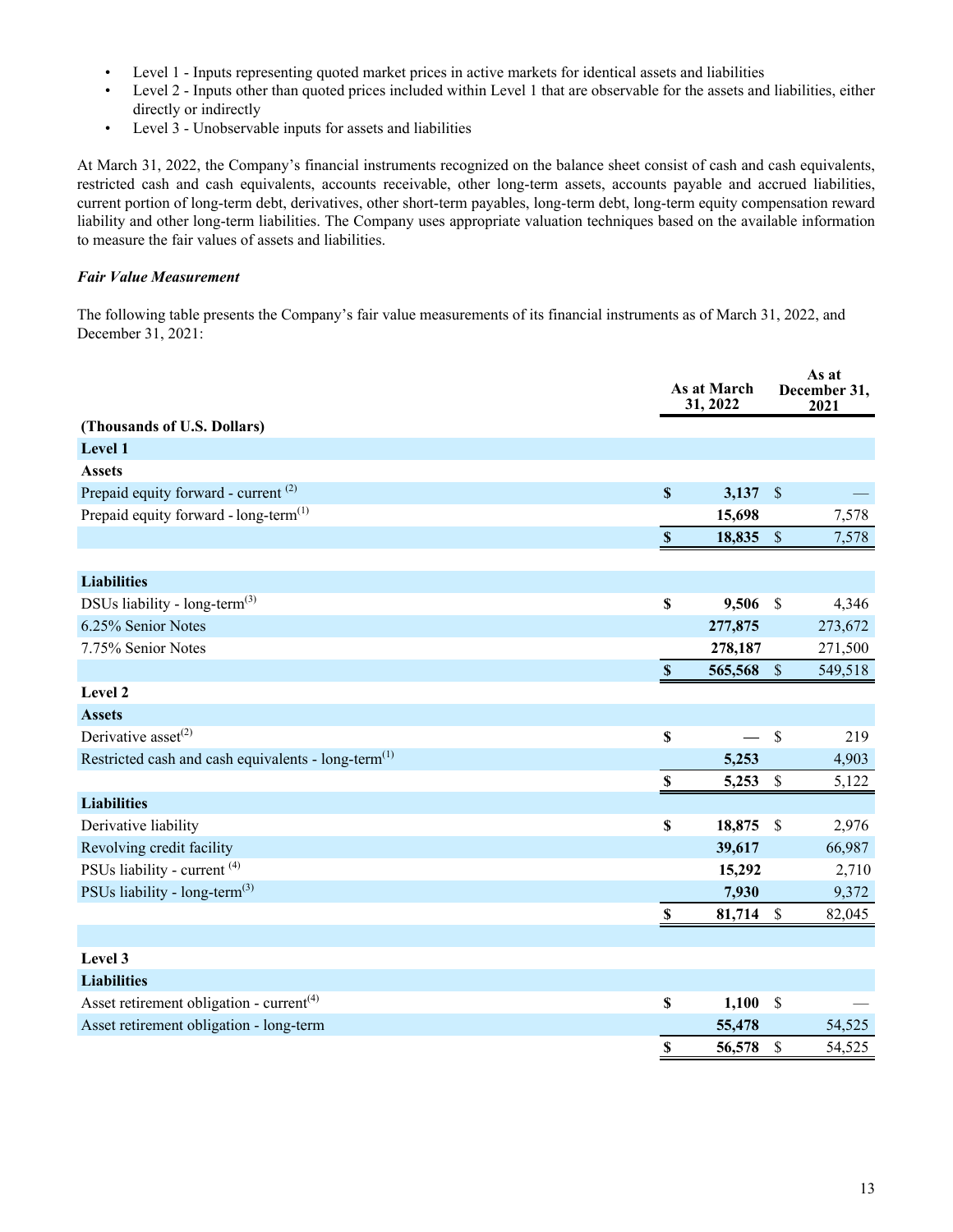- Level 1 Inputs representing quoted market prices in active markets for identical assets and liabilities
- Level 2 Inputs other than quoted prices included within Level 1 that are observable for the assets and liabilities, either directly or indirectly
- Level 3 Unobservable inputs for assets and liabilities

At March 31, 2022, the Company's financial instruments recognized on the balance sheet consist of cash and cash equivalents, restricted cash and cash equivalents, accounts receivable, other long-term assets, accounts payable and accrued liabilities, current portion of long-term debt, derivatives, other short-term payables, long-term debt, long-term equity compensation reward liability and other long-term liabilities. The Company uses appropriate valuation techniques based on the available information to measure the fair values of assets and liabilities.

#### *Fair Value Measurement*

The following table presents the Company's fair value measurements of its financial instruments as of March 31, 2022, and December 31, 2021:

|                                                                 | As at March<br>31, 2022 |         | As at<br>December 31,<br>2021 |         |
|-----------------------------------------------------------------|-------------------------|---------|-------------------------------|---------|
| (Thousands of U.S. Dollars)                                     |                         |         |                               |         |
| Level 1                                                         |                         |         |                               |         |
| <b>Assets</b>                                                   |                         |         |                               |         |
| Prepaid equity forward - current <sup>(2)</sup>                 | $\mathbb S$             | 3,137   | $\sqrt{S}$                    |         |
| Prepaid equity forward - $long-term$ <sup>(1)</sup>             |                         | 15,698  |                               | 7,578   |
|                                                                 | $\mathbb S$             | 18,835  | $\mathcal{S}$                 | 7,578   |
|                                                                 |                         |         |                               |         |
| <b>Liabilities</b>                                              |                         |         |                               |         |
| DSUs liability - long-term <sup>(3)</sup>                       | $\mathbb S$             | 9,506   | $\mathcal{S}$                 | 4,346   |
| 6.25% Senior Notes                                              |                         | 277,875 |                               | 273,672 |
| 7.75% Senior Notes                                              |                         | 278,187 |                               | 271,500 |
|                                                                 | $\mathbf S$             | 565,568 | $\sqrt{\frac{2}{5}}$          | 549,518 |
| Level 2                                                         |                         |         |                               |         |
| <b>Assets</b>                                                   |                         |         |                               |         |
| Derivative asset <sup>(2)</sup>                                 | \$                      |         | $\mathcal{S}$                 | 219     |
| Restricted cash and cash equivalents - long-term <sup>(1)</sup> |                         | 5,253   |                               | 4,903   |
|                                                                 | $\mathbb S$             | 5,253   | $\mathcal{S}$                 | 5,122   |
| <b>Liabilities</b>                                              |                         |         |                               |         |
| Derivative liability                                            | \$                      | 18,875  | $\mathcal{S}$                 | 2,976   |
| Revolving credit facility                                       |                         | 39,617  |                               | 66,987  |
| PSUs liability - current <sup>(4)</sup>                         |                         | 15,292  |                               | 2,710   |
| PSUs liability - long-term <sup>(3)</sup>                       |                         | 7,930   |                               | 9,372   |
|                                                                 | \$                      | 81,714  | $\mathbb{S}$                  | 82,045  |
|                                                                 |                         |         |                               |         |
| Level 3                                                         |                         |         |                               |         |
| <b>Liabilities</b>                                              |                         |         |                               |         |
| Asset retirement obligation - $current(4)$                      | \$                      | 1,100   | $\mathcal{S}$                 |         |
| Asset retirement obligation - long-term                         |                         | 55,478  |                               | 54,525  |
|                                                                 | \$                      | 56,578  | $\boldsymbol{\mathsf{S}}$     | 54,525  |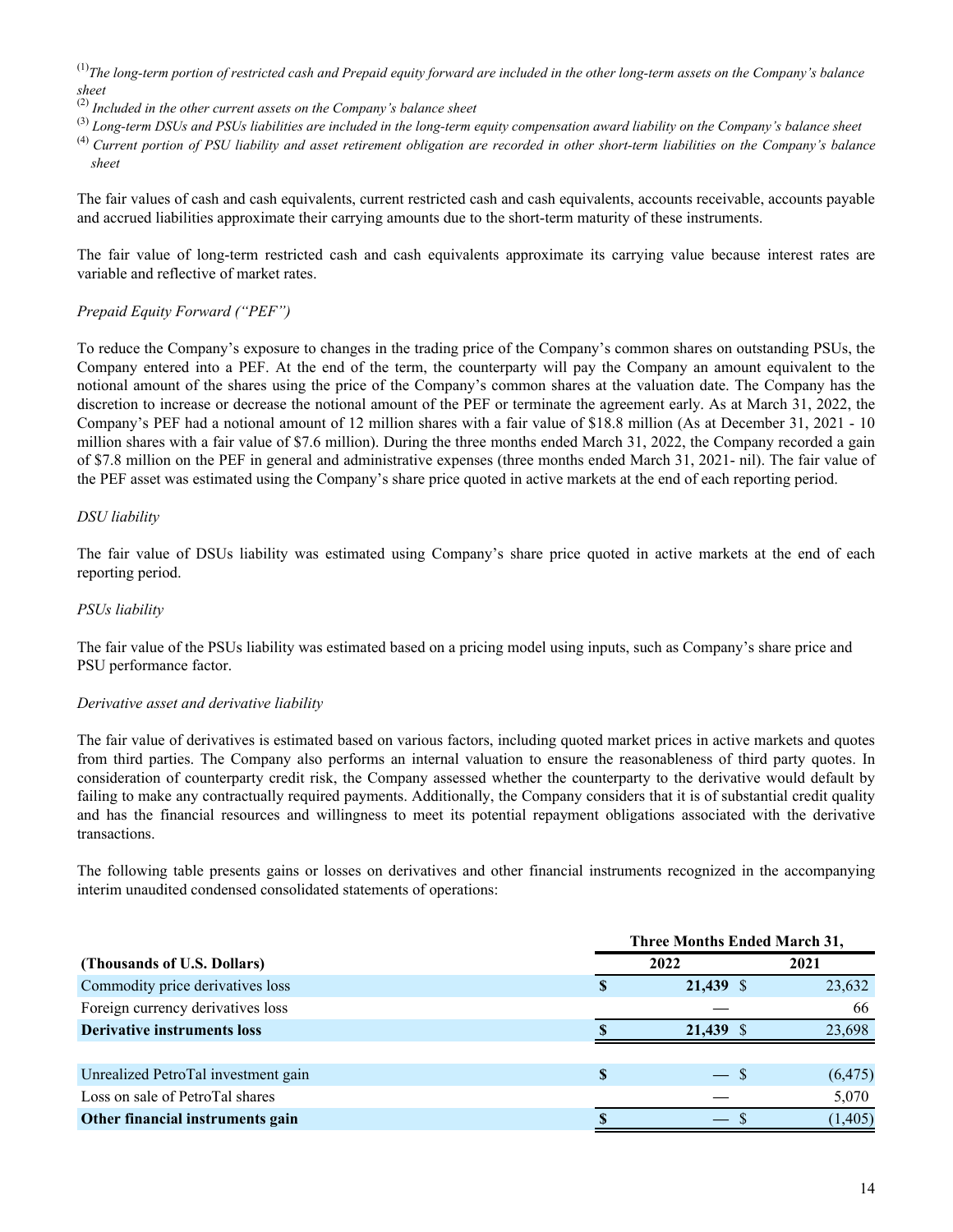- (1)*The long-term portion of restricted cash and Prepaid equity forward are included in the other long-term assets on the Company's balance sheet*
- (2) *Included in the other current assets on the Company's balance sheet*
- (3) *Long-term DSUs and PSUs liabilities are included in the long-term equity compensation award liability on the Company's balance sheet*
- (4) *Current portion of PSU liability and asset retirement obligation are recorded in other short-term liabilities on the Company's balance sheet*

The fair values of cash and cash equivalents, current restricted cash and cash equivalents, accounts receivable, accounts payable and accrued liabilities approximate their carrying amounts due to the short-term maturity of these instruments.

The fair value of long-term restricted cash and cash equivalents approximate its carrying value because interest rates are variable and reflective of market rates.

#### *Prepaid Equity Forward ("PEF")*

To reduce the Company's exposure to changes in the trading price of the Company's common shares on outstanding PSUs, the Company entered into a PEF. At the end of the term, the counterparty will pay the Company an amount equivalent to the notional amount of the shares using the price of the Company's common shares at the valuation date. The Company has the discretion to increase or decrease the notional amount of the PEF or terminate the agreement early. As at March 31, 2022, the Company's PEF had a notional amount of 12 million shares with a fair value of \$18.8 million (As at December 31, 2021 - 10 million shares with a fair value of \$7.6 million). During the three months ended March 31, 2022, the Company recorded a gain of \$7.8 million on the PEF in general and administrative expenses (three months ended March 31, 2021- nil). The fair value of the PEF asset was estimated using the Company's share price quoted in active markets at the end of each reporting period.

#### *DSU liability*

The fair value of DSUs liability was estimated using Company's share price quoted in active markets at the end of each reporting period.

#### *PSUs liability*

The fair value of the PSUs liability was estimated based on a pricing model using inputs, such as Company's share price and PSU performance factor.

#### *Derivative asset and derivative liability*

The fair value of derivatives is estimated based on various factors, including quoted market prices in active markets and quotes from third parties. The Company also performs an internal valuation to ensure the reasonableness of third party quotes. In consideration of counterparty credit risk, the Company assessed whether the counterparty to the derivative would default by failing to make any contractually required payments. Additionally, the Company considers that it is of substantial credit quality and has the financial resources and willingness to meet its potential repayment obligations associated with the derivative transactions.

The following table presents gains or losses on derivatives and other financial instruments recognized in the accompanying interim unaudited condensed consolidated statements of operations:

|                                     | <b>Three Months Ended March 31,</b> |             |  |          |  |
|-------------------------------------|-------------------------------------|-------------|--|----------|--|
| (Thousands of U.S. Dollars)         | 2022                                |             |  | 2021     |  |
| Commodity price derivatives loss    |                                     | $21,439$ \$ |  | 23,632   |  |
| Foreign currency derivatives loss   |                                     |             |  | 66       |  |
| <b>Derivative instruments loss</b>  |                                     | 21.439 \$   |  | 23,698   |  |
|                                     |                                     |             |  |          |  |
| Unrealized PetroTal investment gain |                                     | $-$ \$      |  | (6, 475) |  |
| Loss on sale of PetroTal shares     |                                     |             |  | 5,070    |  |
| Other financial instruments gain    |                                     |             |  | (1, 405) |  |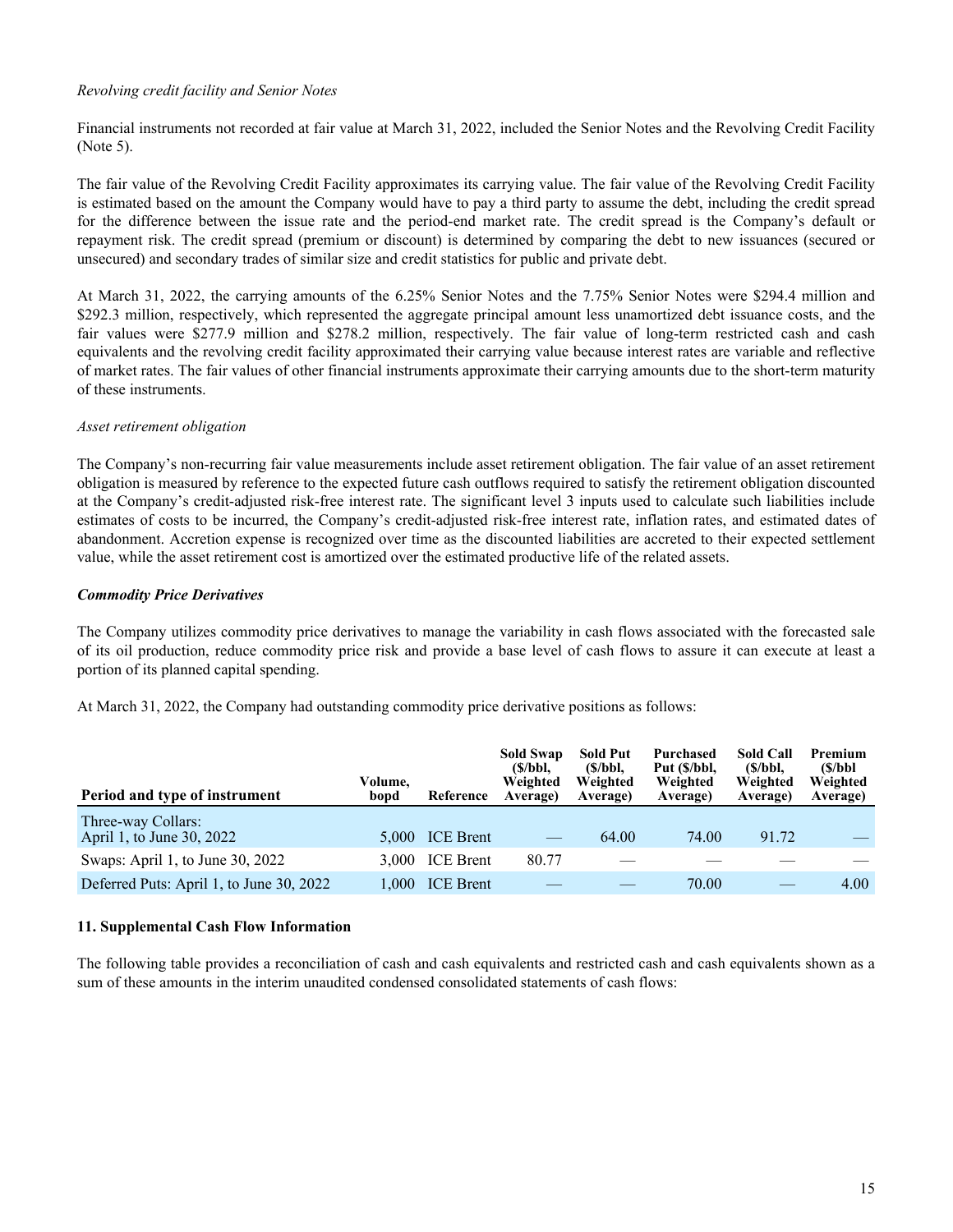#### *Revolving credit facility and Senior Notes*

Financial instruments not recorded at fair value at March 31, 2022, included the Senior Notes and the Revolving Credit Facility (Note 5).

The fair value of the Revolving Credit Facility approximates its carrying value. The fair value of the Revolving Credit Facility is estimated based on the amount the Company would have to pay a third party to assume the debt, including the credit spread for the difference between the issue rate and the period-end market rate. The credit spread is the Company's default or repayment risk. The credit spread (premium or discount) is determined by comparing the debt to new issuances (secured or unsecured) and secondary trades of similar size and credit statistics for public and private debt.

At March 31, 2022, the carrying amounts of the 6.25% Senior Notes and the 7.75% Senior Notes were \$294.4 million and \$292.3 million, respectively, which represented the aggregate principal amount less unamortized debt issuance costs, and the fair values were \$277.9 million and \$278.2 million, respectively. The fair value of long-term restricted cash and cash equivalents and the revolving credit facility approximated their carrying value because interest rates are variable and reflective of market rates. The fair values of other financial instruments approximate their carrying amounts due to the short-term maturity of these instruments.

#### *Asset retirement obligation*

The Company's non-recurring fair value measurements include asset retirement obligation. The fair value of an asset retirement obligation is measured by reference to the expected future cash outflows required to satisfy the retirement obligation discounted at the Company's credit-adjusted risk-free interest rate. The significant level 3 inputs used to calculate such liabilities include estimates of costs to be incurred, the Company's credit-adjusted risk-free interest rate, inflation rates, and estimated dates of abandonment. Accretion expense is recognized over time as the discounted liabilities are accreted to their expected settlement value, while the asset retirement cost is amortized over the estimated productive life of the related assets.

#### *Commodity Price Derivatives*

The Company utilizes commodity price derivatives to manage the variability in cash flows associated with the forecasted sale of its oil production, reduce commodity price risk and provide a base level of cash flows to assure it can execute at least a portion of its planned capital spending.

At March 31, 2022, the Company had outstanding commodity price derivative positions as follows:

| Period and type of instrument                   | Volume,<br>bopd | Reference        | <b>Sold Swap</b><br>(S/bbl.<br>Weighted<br>Average) | <b>Sold Put</b><br>(S/bbl.<br>Weighted<br>Average) | Purchased<br>Put (\$/bbl,<br>Weighted<br>Average) | <b>Sold Call</b><br>(S/bbl,<br>Weighted<br>Average) | Premium<br>(S/bbl<br>Weighted<br>Average) |
|-------------------------------------------------|-----------------|------------------|-----------------------------------------------------|----------------------------------------------------|---------------------------------------------------|-----------------------------------------------------|-------------------------------------------|
| Three-way Collars:<br>April 1, to June 30, 2022 | 5.000           | <b>ICE</b> Brent |                                                     | 64.00                                              | 74.00                                             | 91.72                                               |                                           |
| Swaps: April 1, to June 30, 2022                | 3.000           | <b>ICE</b> Brent | 80.77                                               |                                                    |                                                   |                                                     |                                           |
| Deferred Puts: April 1, to June 30, 2022        | 000.1           | <b>ICE</b> Brent |                                                     |                                                    | 70.00                                             |                                                     | 4.00                                      |

#### **11. Supplemental Cash Flow Information**

The following table provides a reconciliation of cash and cash equivalents and restricted cash and cash equivalents shown as a sum of these amounts in the interim unaudited condensed consolidated statements of cash flows: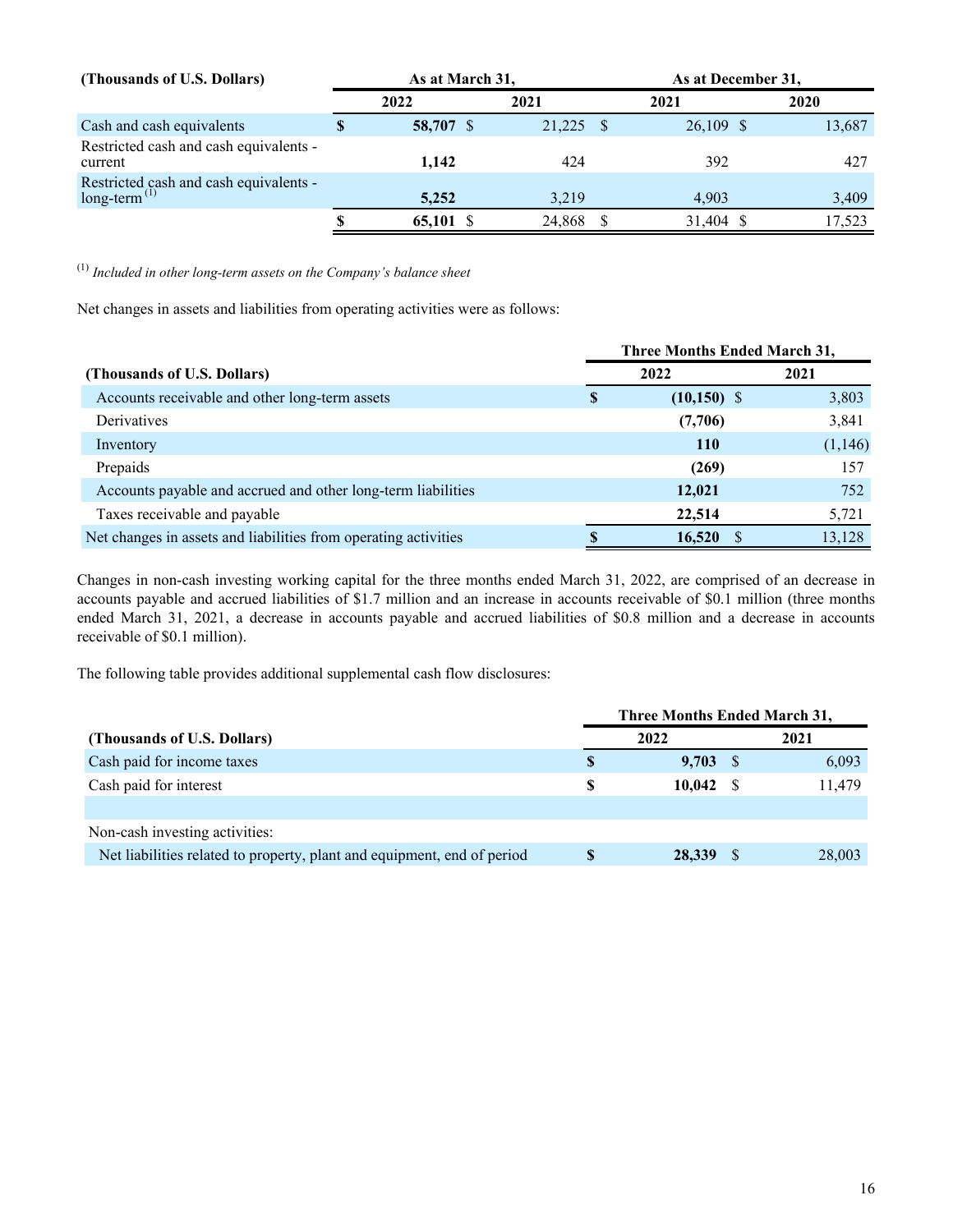| (Thousands of U.S. Dollars)                                        | As at March 31, |           |  | As at December 31, |             |  |        |
|--------------------------------------------------------------------|-----------------|-----------|--|--------------------|-------------|--|--------|
|                                                                    |                 | 2022      |  | 2021               | 2021        |  | 2020   |
| Cash and cash equivalents                                          | Φ               | 58,707 \$ |  | 21,225             | $26,109$ \$ |  | 13,687 |
| Restricted cash and cash equivalents -<br>current                  |                 | 1.142     |  | 424                | 392         |  | 427    |
| Restricted cash and cash equivalents -<br>long-term <sup>(1)</sup> |                 | 5,252     |  | 3.219              | 4.903       |  | 3,409  |
|                                                                    | D               | 65,101 \$ |  | 24,868             | 31,404 \$   |  | 17.523 |

(1) *Included in other long-term assets on the Company's balance sheet*

Net changes in assets and liabilities from operating activities were as follows:

|                                                                 |   | <b>Three Months Ended March 31,</b> |         |
|-----------------------------------------------------------------|---|-------------------------------------|---------|
| (Thousands of U.S. Dollars)                                     |   | 2022                                | 2021    |
| Accounts receivable and other long-term assets                  | S | $(10,150)$ \$                       | 3,803   |
| Derivatives                                                     |   | (7,706)                             | 3,841   |
| Inventory                                                       |   | <b>110</b>                          | (1,146) |
| Prepaids                                                        |   | (269)                               | 157     |
| Accounts payable and accrued and other long-term liabilities    |   | 12,021                              | 752     |
| Taxes receivable and payable                                    |   | 22,514                              | 5,721   |
| Net changes in assets and liabilities from operating activities |   | 16,520                              | 13,128  |

Changes in non-cash investing working capital for the three months ended March 31, 2022, are comprised of an decrease in accounts payable and accrued liabilities of \$1.7 million and an increase in accounts receivable of \$0.1 million (three months ended March 31, 2021, a decrease in accounts payable and accrued liabilities of \$0.8 million and a decrease in accounts receivable of \$0.1 million).

The following table provides additional supplemental cash flow disclosures:

|                                                                         | Three Months Ended March 31, |            |  |        |
|-------------------------------------------------------------------------|------------------------------|------------|--|--------|
| (Thousands of U.S. Dollars)                                             |                              | 2022       |  | 2021   |
| Cash paid for income taxes                                              | S                            | $9,703$ \$ |  | 6,093  |
| Cash paid for interest                                                  | S                            | 10.042 S   |  | 11,479 |
|                                                                         |                              |            |  |        |
| Non-cash investing activities:                                          |                              |            |  |        |
| Net liabilities related to property, plant and equipment, end of period | <sup>8</sup>                 | 28,339     |  | 28,003 |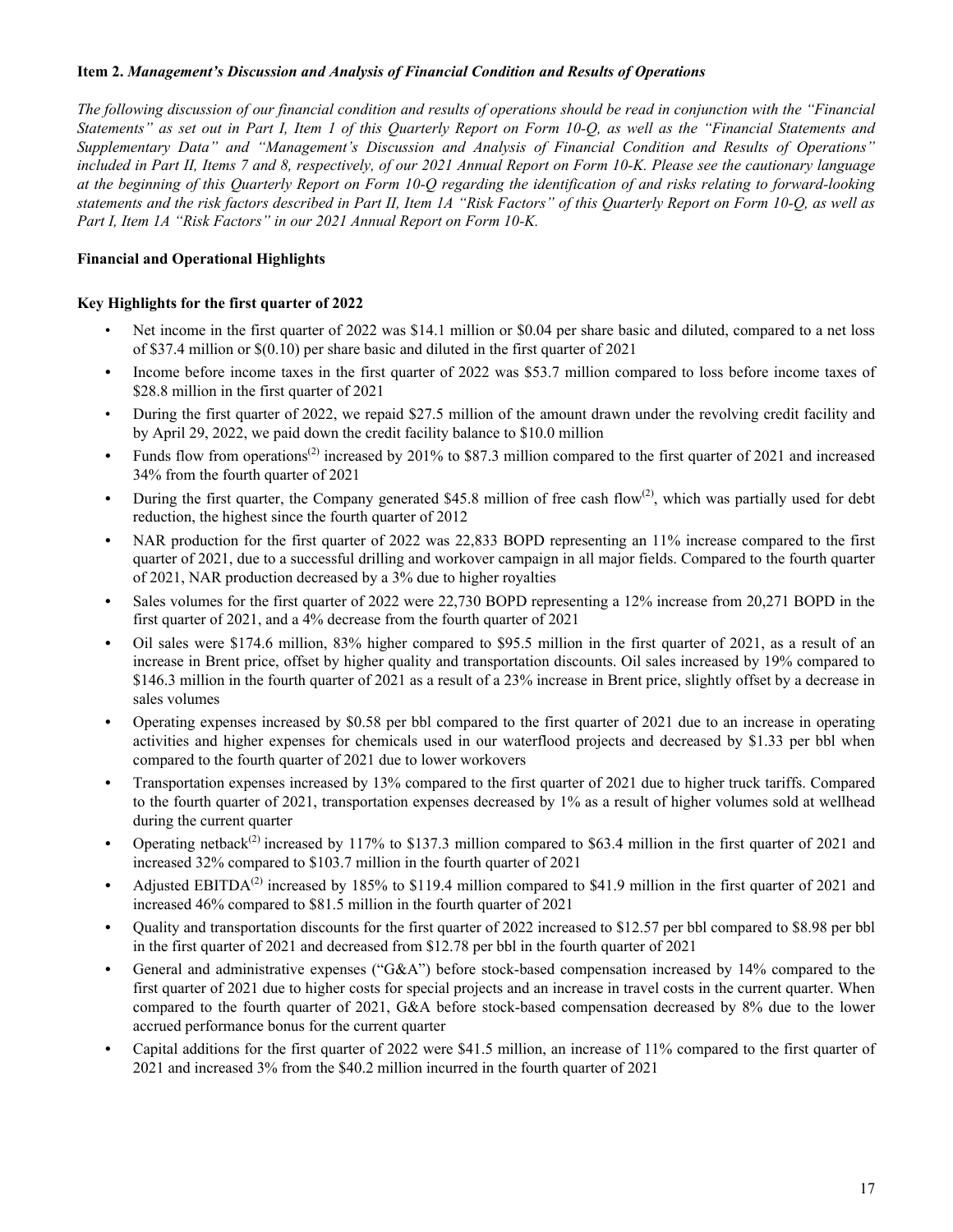#### **Item 2.** *Management's Discussion and Analysis of Financial Condition and Results of Operations*

*The following discussion of our financial condition and results of operations should be read in conjunction with the "Financial Statements" as set out in Part I, Item 1 of this Quarterly Report on Form 10-Q, as well as the "Financial Statements and Supplementary Data" and "Management's Discussion and Analysis of Financial Condition and Results of Operations" included in Part II, Items 7 and 8, respectively, of our 2021 Annual Report on Form 10-K. Please see the cautionary language at the beginning of this Quarterly Report on Form 10-Q regarding the identification of and risks relating to forward-looking statements and the risk factors described in Part II, Item 1A "Risk Factors" of this Quarterly Report on Form 10-Q, as well as Part I, Item 1A "Risk Factors" in our 2021 Annual Report on Form 10-K.*

#### **Financial and Operational Highlights**

#### **Key Highlights for the first quarter of 2022**

- Net income in the first quarter of 2022 was \$14.1 million or \$0.04 per share basic and diluted, compared to a net loss of \$37.4 million or \$(0.10) per share basic and diluted in the first quarter of 2021
- *•* Income before income taxes in the first quarter of 2022 was \$53.7 million compared to loss before income taxes of \$28.8 million in the first quarter of 2021
- During the first quarter of 2022, we repaid \$27.5 million of the amount drawn under the revolving credit facility and by April 29, 2022, we paid down the credit facility balance to \$10.0 million
- Funds flow from operations<sup>(2)</sup> increased by 201% to \$87.3 million compared to the first quarter of 2021 and increased 34% from the fourth quarter of 2021
- During the first quarter, the Company generated \$45.8 million of free cash flow<sup>(2)</sup>, which was partially used for debt reduction, the highest since the fourth quarter of 2012
- *•* NAR production for the first quarter of 2022 was 22,833 BOPD representing an 11% increase compared to the first quarter of 2021, due to a successful drilling and workover campaign in all major fields. Compared to the fourth quarter of 2021, NAR production decreased by a 3% due to higher royalties
- Sales volumes for the first quarter of 2022 were 22,730 BOPD representing a 12% increase from 20,271 BOPD in the first quarter of 2021, and a 4% decrease from the fourth quarter of 2021
- *•* Oil sales were \$174.6 million, 83% higher compared to \$95.5 million in the first quarter of 2021, as a result of an increase in Brent price, offset by higher quality and transportation discounts. Oil sales increased by 19% compared to \$146.3 million in the fourth quarter of 2021 as a result of a 23% increase in Brent price, slightly offset by a decrease in sales volumes
- *•* Operating expenses increased by \$0.58 per bbl compared to the first quarter of 2021 due to an increase in operating activities and higher expenses for chemicals used in our waterflood projects and decreased by \$1.33 per bbl when compared to the fourth quarter of 2021 due to lower workovers
- *•* Transportation expenses increased by 13% compared to the first quarter of 2021 due to higher truck tariffs. Compared to the fourth quarter of 2021, transportation expenses decreased by 1% as a result of higher volumes sold at wellhead during the current quarter
- Operating netback<sup>(2)</sup> increased by 117% to \$137.3 million compared to \$63.4 million in the first quarter of 2021 and increased 32% compared to \$103.7 million in the fourth quarter of 2021
- Adjusted EBITDA<sup>(2)</sup> increased by 185% to \$119.4 million compared to \$41.9 million in the first quarter of 2021 and increased 46% compared to \$81.5 million in the fourth quarter of 2021
- *•* Quality and transportation discounts for the first quarter of 2022 increased to \$12.57 per bbl compared to \$8.98 per bbl in the first quarter of 2021 and decreased from \$12.78 per bbl in the fourth quarter of 2021
- General and administrative expenses ("G&A") before stock-based compensation increased by 14% compared to the first quarter of 2021 due to higher costs for special projects and an increase in travel costs in the current quarter. When compared to the fourth quarter of 2021, G&A before stock-based compensation decreased by 8% due to the lower accrued performance bonus for the current quarter
- *•* Capital additions for the first quarter of 2022 were \$41.5 million, an increase of 11% compared to the first quarter of 2021 and increased 3% from the \$40.2 million incurred in the fourth quarter of 2021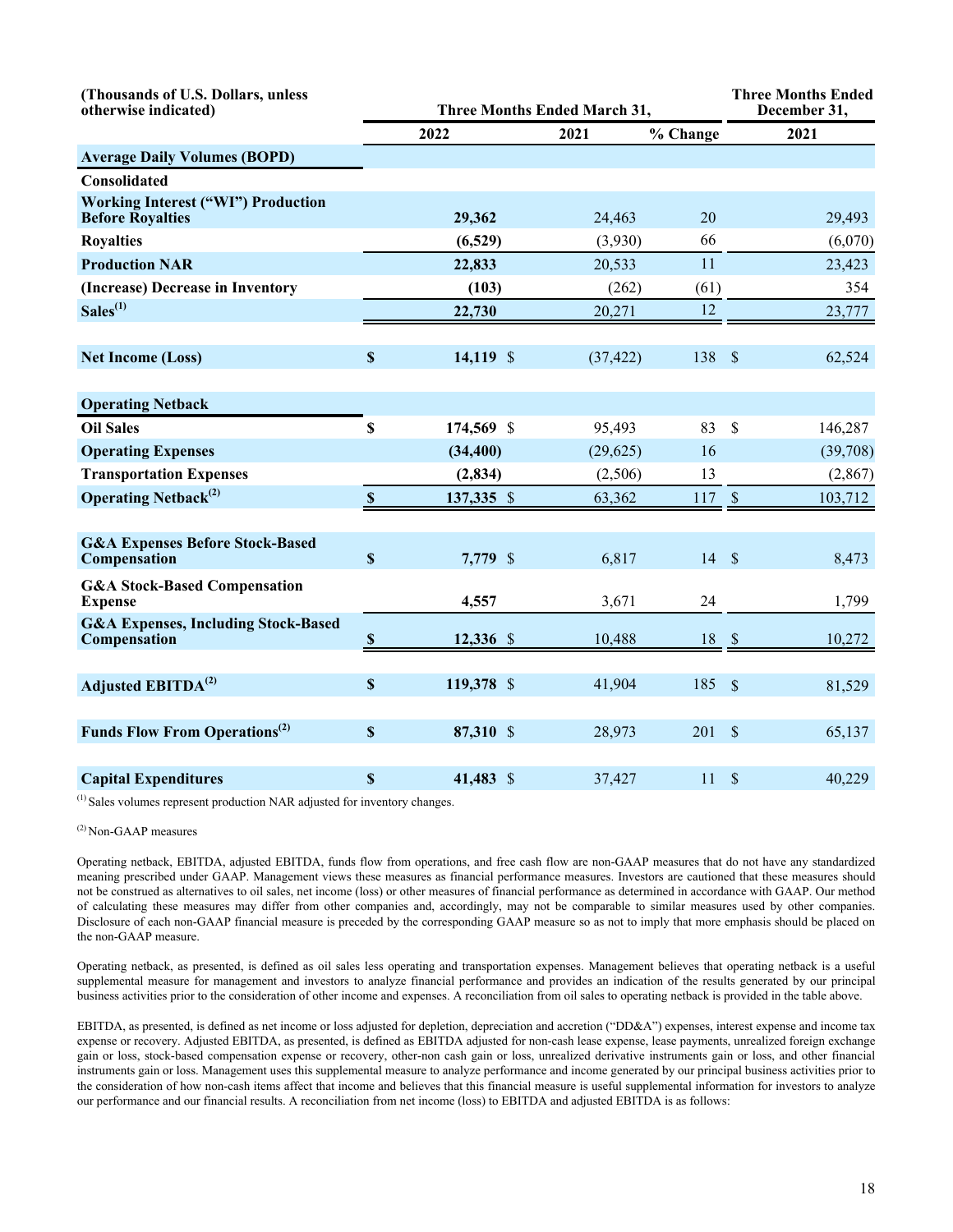| (Thousands of U.S. Dollars, unless<br>otherwise indicated)           | <b>Three Months Ended March 31,</b> |            |           |          |               | <b>Three Months Ended</b><br>December 31, |
|----------------------------------------------------------------------|-------------------------------------|------------|-----------|----------|---------------|-------------------------------------------|
|                                                                      |                                     | 2022       | 2021      | % Change |               | 2021                                      |
| <b>Average Daily Volumes (BOPD)</b>                                  |                                     |            |           |          |               |                                           |
| <b>Consolidated</b>                                                  |                                     |            |           |          |               |                                           |
| <b>Working Interest ("WI") Production</b><br><b>Before Royalties</b> |                                     | 29,362     | 24,463    | 20       |               | 29,493                                    |
| <b>Royalties</b>                                                     |                                     | (6,529)    | (3,930)   | 66       |               | (6,070)                                   |
| <b>Production NAR</b>                                                |                                     | 22,833     | 20,533    | 11       |               | 23,423                                    |
| (Increase) Decrease in Inventory                                     |                                     | (103)      | (262)     | (61)     |               | 354                                       |
| $Sales^{(1)}$                                                        |                                     | 22,730     | 20,271    | 12       |               | 23,777                                    |
|                                                                      |                                     |            |           |          |               |                                           |
| <b>Net Income (Loss)</b>                                             | $\boldsymbol{\mathsf{S}}$           | 14,119 \$  | (37, 422) | 138      | $\sqrt{S}$    | 62,524                                    |
|                                                                      |                                     |            |           |          |               |                                           |
| <b>Operating Netback</b>                                             |                                     |            |           |          |               |                                           |
| <b>Oil Sales</b>                                                     | \$                                  | 174,569 \$ | 95,493    | 83       | \$            | 146,287                                   |
| <b>Operating Expenses</b>                                            |                                     | (34, 400)  | (29, 625) | 16       |               | (39,708)                                  |
| <b>Transportation Expenses</b>                                       |                                     | (2, 834)   | (2,506)   | 13       |               | (2,867)                                   |
| <b>Operating Netback</b> <sup>(2)</sup>                              | $\pmb{\mathbb{S}}$                  | 137,335 \$ | 63,362    | 117      | $\mathcal{S}$ | 103,712                                   |
|                                                                      |                                     |            |           |          |               |                                           |
| <b>G&amp;A Expenses Before Stock-Based</b><br>Compensation           | $\boldsymbol{\mathsf{S}}$           | 7,779 \$   | 6,817     | 14       | $\mathcal{S}$ | 8,473                                     |
| <b>G&amp;A Stock-Based Compensation</b><br><b>Expense</b>            |                                     | 4,557      | 3,671     | 24       |               | 1,799                                     |
| <b>G&amp;A Expenses, Including Stock-Based</b><br>Compensation       | $\mathbf{\$}$                       | 12,336 \$  | 10,488    | 18       | $\sqrt{3}$    | 10,272                                    |
|                                                                      |                                     |            |           |          |               |                                           |
| Adjusted EBITDA <sup>(2)</sup>                                       | $\boldsymbol{\mathsf{S}}$           | 119,378 \$ | 41,904    | 185      | $\mathcal{S}$ | 81,529                                    |
|                                                                      |                                     |            |           |          |               |                                           |
| <b>Funds Flow From Operations</b> <sup>(2)</sup>                     | $\mathbf S$                         | 87,310 \$  | 28,973    | 201      | $\mathcal{S}$ | 65,137                                    |
|                                                                      |                                     |            |           |          |               |                                           |
| <b>Capital Expenditures</b>                                          | \$                                  | 41,483 \$  | 37,427    | 11       | \$            | 40,229                                    |

(1) Sales volumes represent production NAR adjusted for inventory changes.

#### (2) Non-GAAP measures

Operating netback, EBITDA, adjusted EBITDA, funds flow from operations, and free cash flow are non-GAAP measures that do not have any standardized meaning prescribed under GAAP. Management views these measures as financial performance measures. Investors are cautioned that these measures should not be construed as alternatives to oil sales, net income (loss) or other measures of financial performance as determined in accordance with GAAP. Our method of calculating these measures may differ from other companies and, accordingly, may not be comparable to similar measures used by other companies. Disclosure of each non-GAAP financial measure is preceded by the corresponding GAAP measure so as not to imply that more emphasis should be placed on the non-GAAP measure.

Operating netback, as presented, is defined as oil sales less operating and transportation expenses. Management believes that operating netback is a useful supplemental measure for management and investors to analyze financial performance and provides an indication of the results generated by our principal business activities prior to the consideration of other income and expenses. A reconciliation from oil sales to operating netback is provided in the table above.

EBITDA, as presented, is defined as net income or loss adjusted for depletion, depreciation and accretion ("DD&A") expenses, interest expense and income tax expense or recovery. Adjusted EBITDA, as presented, is defined as EBITDA adjusted for non-cash lease expense, lease payments, unrealized foreign exchange gain or loss, stock-based compensation expense or recovery, other-non cash gain or loss, unrealized derivative instruments gain or loss, and other financial instruments gain or loss. Management uses this supplemental measure to analyze performance and income generated by our principal business activities prior to the consideration of how non-cash items affect that income and believes that this financial measure is useful supplemental information for investors to analyze our performance and our financial results. A reconciliation from net income (loss) to EBITDA and adjusted EBITDA is as follows: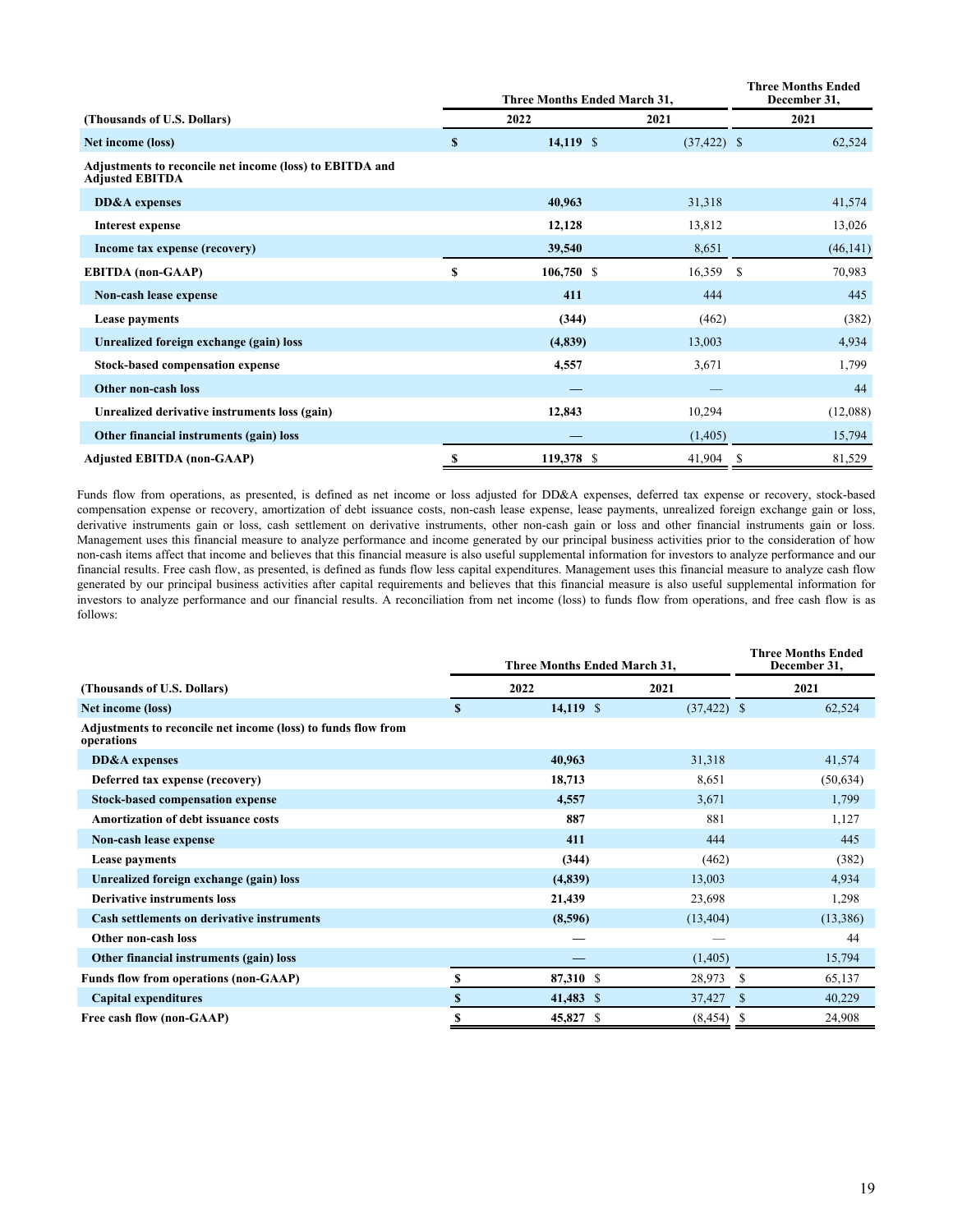|                                                                                    |              | Three Months Ended March 31, | <b>Three Months Ended</b><br>December 31, |      |           |
|------------------------------------------------------------------------------------|--------------|------------------------------|-------------------------------------------|------|-----------|
| (Thousands of U.S. Dollars)                                                        |              | 2022                         | 2021                                      | 2021 |           |
| Net income (loss)                                                                  | $\mathbf{s}$ | $14,119$ \$                  | $(37, 422)$ \$                            |      | 62,524    |
| Adjustments to reconcile net income (loss) to EBITDA and<br><b>Adjusted EBITDA</b> |              |                              |                                           |      |           |
| DD&A expenses                                                                      |              | 40,963                       | 31,318                                    |      | 41,574    |
| Interest expense                                                                   |              | 12,128                       | 13,812                                    |      | 13,026    |
| Income tax expense (recovery)                                                      |              | 39,540                       | 8,651                                     |      | (46, 141) |
| <b>EBITDA</b> (non-GAAP)                                                           | \$           | $106,750$ \$                 | 16,359                                    | -S   | 70,983    |
| Non-cash lease expense                                                             |              | 411                          | 444                                       |      | 445       |
| Lease payments                                                                     |              | (344)                        | (462)                                     |      | (382)     |
| Unrealized foreign exchange (gain) loss                                            |              | (4,839)                      | 13,003                                    |      | 4,934     |
| <b>Stock-based compensation expense</b>                                            |              | 4,557                        | 3,671                                     |      | 1,799     |
| Other non-cash loss                                                                |              |                              |                                           |      | 44        |
| Unrealized derivative instruments loss (gain)                                      |              | 12,843                       | 10,294                                    |      | (12,088)  |
| Other financial instruments (gain) loss                                            |              |                              | (1,405)                                   |      | 15,794    |
| <b>Adjusted EBITDA (non-GAAP)</b>                                                  | \$           | 119,378 \$                   | 41,904                                    | -S   | 81,529    |

Funds flow from operations, as presented, is defined as net income or loss adjusted for DD&A expenses, deferred tax expense or recovery, stock-based compensation expense or recovery, amortization of debt issuance costs, non-cash lease expense, lease payments, unrealized foreign exchange gain or loss, derivative instruments gain or loss, cash settlement on derivative instruments, other non-cash gain or loss and other financial instruments gain or loss. Management uses this financial measure to analyze performance and income generated by our principal business activities prior to the consideration of how non-cash items affect that income and believes that this financial measure is also useful supplemental information for investors to analyze performance and our financial results. Free cash flow, as presented, is defined as funds flow less capital expenditures. Management uses this financial measure to analyze cash flow generated by our principal business activities after capital requirements and believes that this financial measure is also useful supplemental information for investors to analyze performance and our financial results. A reconciliation from net income (loss) to funds flow from operations, and free cash flow is as follows:

|                                                                             | Three Months Ended March 31, |             |                | <b>Three Months Ended</b><br>December 31, |
|-----------------------------------------------------------------------------|------------------------------|-------------|----------------|-------------------------------------------|
| (Thousands of U.S. Dollars)                                                 |                              | 2022        | 2021           | 2021                                      |
| Net income (loss)                                                           | S                            | $14,119$ \$ | $(37, 422)$ \$ | 62,524                                    |
| Adjustments to reconcile net income (loss) to funds flow from<br>operations |                              |             |                |                                           |
| DD&A expenses                                                               |                              | 40,963      | 31,318         | 41,574                                    |
| Deferred tax expense (recovery)                                             |                              | 18,713      | 8,651          | (50, 634)                                 |
| <b>Stock-based compensation expense</b>                                     |                              | 4,557       | 3,671          | 1,799                                     |
| Amortization of debt issuance costs                                         |                              | 887         | 881            | 1,127                                     |
| Non-cash lease expense                                                      |                              | 411         | 444            | 445                                       |
| Lease payments                                                              |                              | (344)       | (462)          | (382)                                     |
| Unrealized foreign exchange (gain) loss                                     |                              | (4,839)     | 13,003         | 4,934                                     |
| <b>Derivative instruments loss</b>                                          |                              | 21,439      | 23,698         | 1,298                                     |
| <b>Cash settlements on derivative instruments</b>                           |                              | (8,596)     | (13, 404)      | (13, 386)                                 |
| Other non-cash loss                                                         |                              |             |                | 44                                        |
| Other financial instruments (gain) loss                                     |                              |             | (1,405)        | 15,794                                    |
| <b>Funds flow from operations (non-GAAP)</b>                                | \$                           | 87,310 \$   | 28,973         | 65,137<br>S                               |
| <b>Capital expenditures</b>                                                 |                              | 41,483 \$   | 37,427         | 40,229<br>S                               |
| Free cash flow (non-GAAP)                                                   | S                            | 45,827 \$   | (8, 454)       | 24,908                                    |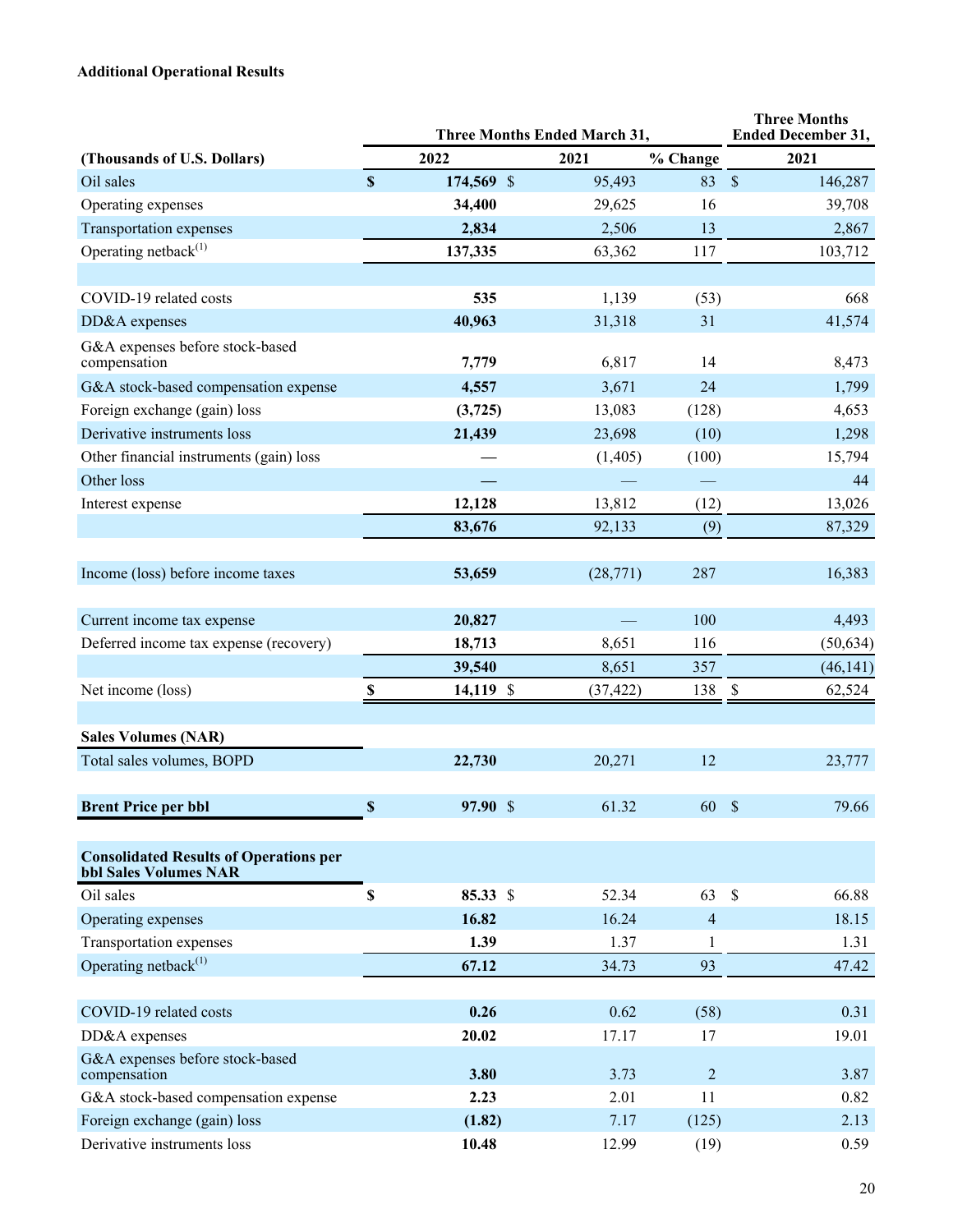## **Additional Operational Results**

|                                                                               |                           | <b>Three Months Ended March 31,</b> | <b>Three Months</b><br><b>Ended December 31,</b> |                |                                     |
|-------------------------------------------------------------------------------|---------------------------|-------------------------------------|--------------------------------------------------|----------------|-------------------------------------|
| (Thousands of U.S. Dollars)                                                   |                           | 2022                                | 2021                                             | % Change       | 2021                                |
| Oil sales                                                                     | $\mathbf S$               | 174,569 \$                          | 95,493                                           | 83             | $\sqrt{\ }$<br>146,287              |
| Operating expenses                                                            |                           | 34,400                              | 29,625                                           | 16             | 39,708                              |
| Transportation expenses                                                       |                           | 2,834                               | 2,506                                            | 13             | 2,867                               |
| Operating netback $^{(1)}$                                                    |                           | 137,335                             | 63,362                                           | 117            | 103,712                             |
|                                                                               |                           |                                     |                                                  |                |                                     |
| COVID-19 related costs                                                        |                           | 535                                 | 1,139                                            | (53)           | 668                                 |
| DD&A expenses                                                                 |                           | 40,963                              | 31,318                                           | 31             | 41,574                              |
| G&A expenses before stock-based<br>compensation                               |                           | 7,779                               | 6,817                                            | 14             | 8,473                               |
| G&A stock-based compensation expense                                          |                           | 4,557                               | 3,671                                            | 24             | 1,799                               |
| Foreign exchange (gain) loss                                                  |                           | (3,725)                             | 13,083                                           | (128)          | 4,653                               |
| Derivative instruments loss                                                   |                           | 21,439                              | 23,698                                           | (10)           | 1,298                               |
| Other financial instruments (gain) loss                                       |                           |                                     | (1,405)                                          | (100)          | 15,794                              |
| Other loss                                                                    |                           |                                     |                                                  |                | 44                                  |
| Interest expense                                                              |                           | 12,128                              | 13,812                                           | (12)           | 13,026                              |
|                                                                               |                           | 83,676                              | 92,133                                           | (9)            | 87,329                              |
|                                                                               |                           |                                     |                                                  |                |                                     |
| Income (loss) before income taxes                                             |                           | 53,659                              | (28, 771)                                        | 287            | 16,383                              |
| Current income tax expense                                                    |                           | 20,827                              |                                                  | 100            | 4,493                               |
| Deferred income tax expense (recovery)                                        |                           | 18,713                              | 8,651                                            | 116            | (50, 634)                           |
|                                                                               |                           | 39,540                              | 8,651                                            | 357            | (46, 141)                           |
| Net income (loss)                                                             | $\boldsymbol{\mathsf{S}}$ | 14,119 \$                           | (37, 422)                                        | 138            | $\boldsymbol{\mathsf{S}}$<br>62,524 |
|                                                                               |                           |                                     |                                                  |                |                                     |
| <b>Sales Volumes (NAR)</b>                                                    |                           |                                     |                                                  |                |                                     |
| Total sales volumes, BOPD                                                     |                           | 22,730                              | 20,271                                           | 12             | 23,777                              |
|                                                                               |                           |                                     |                                                  |                |                                     |
| <b>Brent Price per bbl</b>                                                    | \$                        | 97.90 \$                            | 61.32                                            | 60S            | 79.66                               |
| <b>Consolidated Results of Operations per</b><br><b>bbl Sales Volumes NAR</b> |                           |                                     |                                                  |                |                                     |
| Oil sales                                                                     | \$                        | 85.33 \$                            | 52.34                                            | 63             | $\mathcal{S}$<br>66.88              |
| Operating expenses                                                            |                           | 16.82                               | 16.24                                            | $\overline{4}$ | 18.15                               |
| Transportation expenses                                                       |                           | 1.39                                | 1.37                                             | 1              | 1.31                                |
| Operating netback $^{(1)}$                                                    |                           | 67.12                               | 34.73                                            | 93             | 47.42                               |
|                                                                               |                           |                                     |                                                  |                |                                     |
| COVID-19 related costs                                                        |                           | 0.26                                | 0.62                                             | (58)           | 0.31                                |
| DD&A expenses                                                                 |                           | 20.02                               | 17.17                                            | 17             | 19.01                               |
| G&A expenses before stock-based<br>compensation                               |                           | 3.80                                | 3.73                                             | $\overline{2}$ | 3.87                                |
| G&A stock-based compensation expense                                          |                           | 2.23                                | 2.01                                             | 11             | 0.82                                |
| Foreign exchange (gain) loss                                                  |                           | (1.82)                              | 7.17                                             | (125)          | 2.13                                |
| Derivative instruments loss                                                   |                           | 10.48                               | 12.99                                            | (19)           | 0.59                                |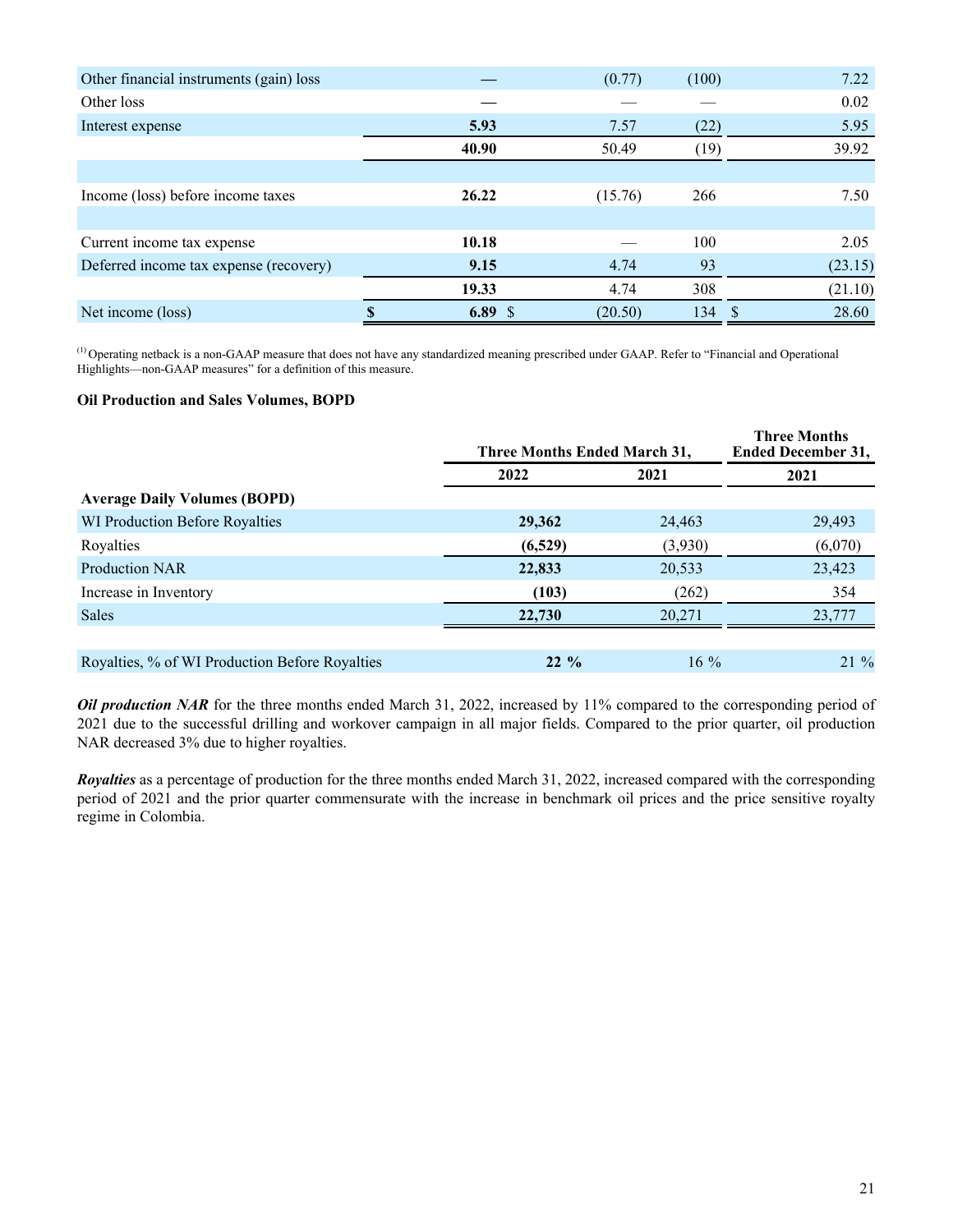| Other financial instruments (gain) loss |       | (0.77)  | (100) | 7.22       |
|-----------------------------------------|-------|---------|-------|------------|
| Other loss                              |       |         |       | 0.02       |
| Interest expense                        | 5.93  | 7.57    | (22)  | 5.95       |
|                                         | 40.90 | 50.49   | (19)  | 39.92      |
|                                         |       |         |       |            |
| Income (loss) before income taxes       | 26.22 | (15.76) | 266   | 7.50       |
|                                         |       |         |       |            |
| Current income tax expense              | 10.18 |         | 100   | 2.05       |
| Deferred income tax expense (recovery)  | 9.15  | 4.74    | 93    | (23.15)    |
|                                         | 19.33 | 4.74    | 308   | (21.10)    |
| Net income (loss)                       | 6.89S | (20.50) | 134   | 28.60<br>S |

 $^{(1)}$  Operating netback is a non-GAAP measure that does not have any standardized meaning prescribed under GAAP. Refer to "Financial and Operational Highlights—non-GAAP measures" for a definition of this measure.

#### **Oil Production and Sales Volumes, BOPD**

|                                                | Three Months Ended March 31, | <b>Three Months</b><br><b>Ended December 31,</b> |         |  |
|------------------------------------------------|------------------------------|--------------------------------------------------|---------|--|
|                                                | 2022                         | 2021                                             | 2021    |  |
| <b>Average Daily Volumes (BOPD)</b>            |                              |                                                  |         |  |
| WI Production Before Royalties                 | 29,362                       | 24,463                                           | 29,493  |  |
| Royalties                                      | (6,529)                      | (3,930)                                          | (6,070) |  |
| <b>Production NAR</b>                          | 22,833                       | 20,533                                           | 23,423  |  |
| Increase in Inventory                          | (103)                        | (262)                                            | 354     |  |
| Sales                                          | 22,730                       | 20,271                                           | 23,777  |  |
|                                                |                              |                                                  |         |  |
| Royalties, % of WI Production Before Royalties | $22\%$                       | $16\%$                                           | $21\%$  |  |

*Oil production NAR* for the three months ended March 31, 2022, increased by 11% compared to the corresponding period of 2021 due to the successful drilling and workover campaign in all major fields. Compared to the prior quarter, oil production NAR decreased 3% due to higher royalties.

*Royalties* as a percentage of production for the three months ended March 31, 2022, increased compared with the corresponding period of 2021 and the prior quarter commensurate with the increase in benchmark oil prices and the price sensitive royalty regime in Colombia.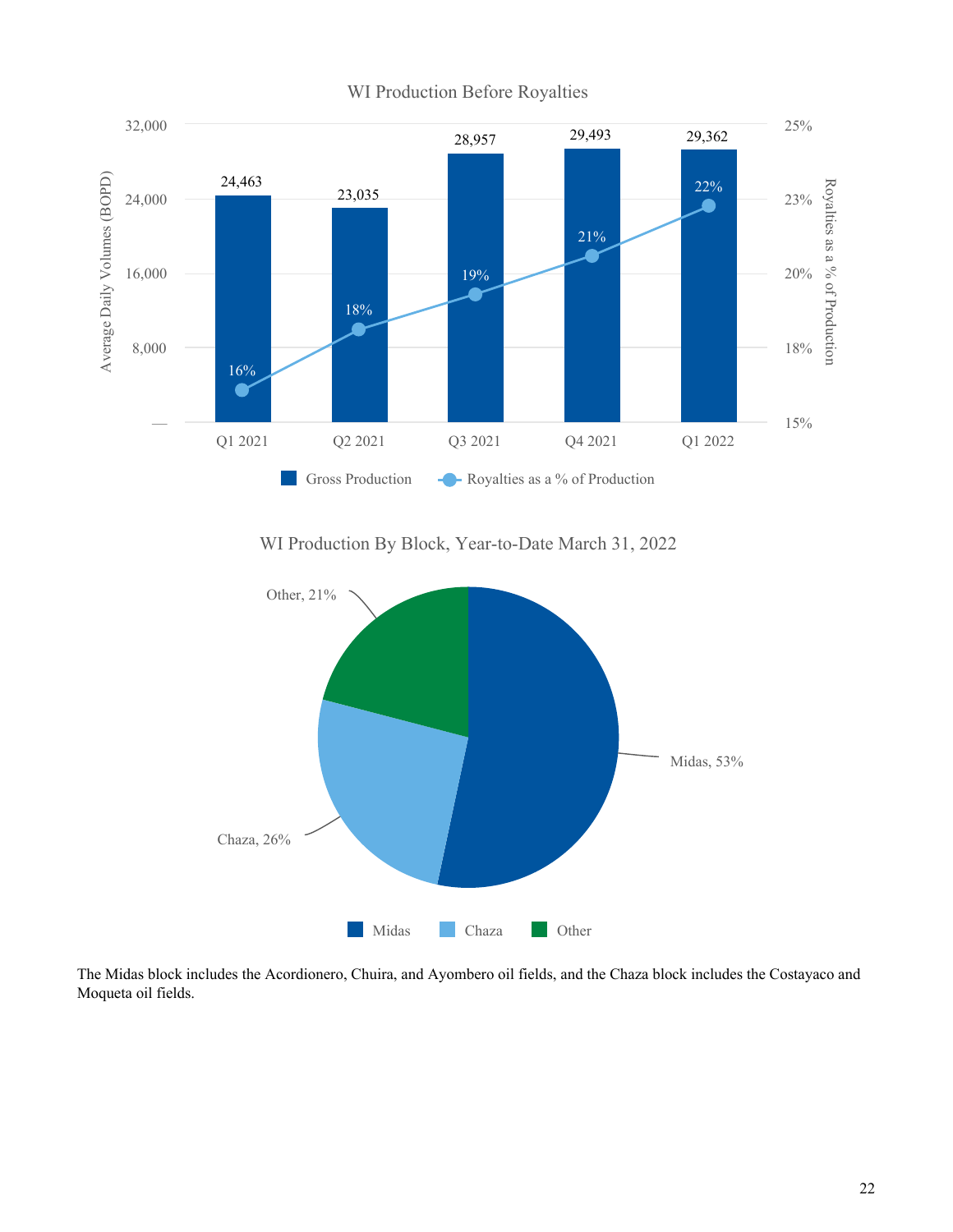

WI Production By Block, Year-to-Date March 31, 2022



The Midas block includes the Acordionero, Chuira, and Ayombero oil fields, and the Chaza block includes the Costayaco and Moqueta oil fields.

# WI Production Before Royalties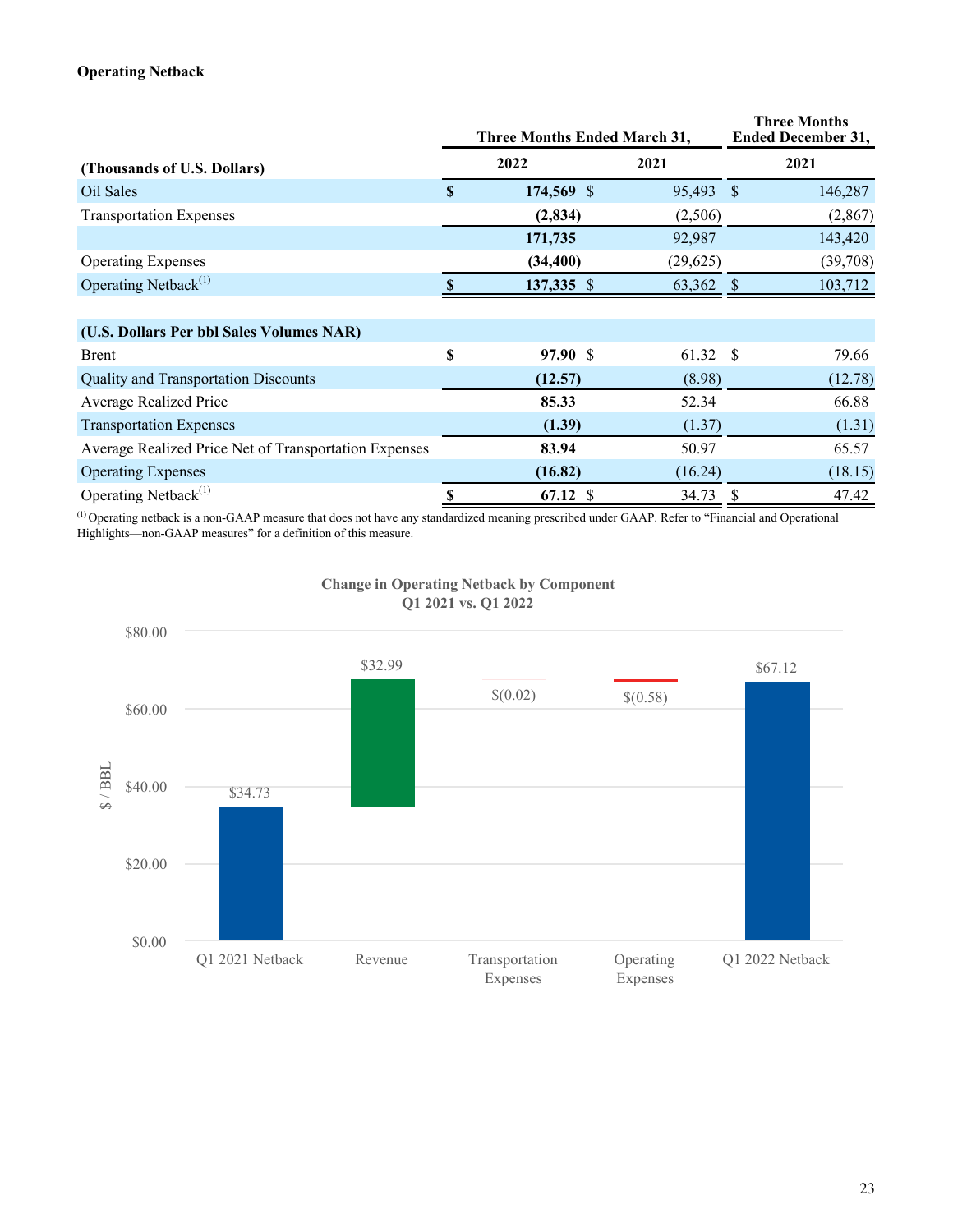### **Operating Netback**

|                                                       |              | Three Months Ended March 31, |          |      | <b>Three Months</b><br><b>Ended December 31,</b> |
|-------------------------------------------------------|--------------|------------------------------|----------|------|--------------------------------------------------|
| (Thousands of U.S. Dollars)                           |              | 2022                         | 2021     |      | 2021                                             |
| Oil Sales                                             | $\mathbf{s}$ | 174,569 \$                   | 95,493   | - \$ | 146,287                                          |
| <b>Transportation Expenses</b>                        |              | (2,834)                      | (2,506)  |      | (2,867)                                          |
|                                                       |              | 171,735                      | 92,987   |      | 143,420                                          |
| <b>Operating Expenses</b>                             |              | (34, 400)                    | (29,625) |      | (39,708)                                         |
| Operating Netback <sup>(1)</sup>                      |              | 137,335 \$                   | 63,362   |      | 103,712                                          |
|                                                       |              |                              |          |      |                                                  |
| (U.S. Dollars Per bbl Sales Volumes NAR)              |              |                              |          |      |                                                  |
| Brent                                                 | \$           | 97.90 \$                     | 61.32    | - \$ | 79.66                                            |
| <b>Quality and Transportation Discounts</b>           |              | (12.57)                      | (8.98)   |      | (12.78)                                          |
| <b>Average Realized Price</b>                         |              | 85.33                        | 52.34    |      | 66.88                                            |
| <b>Transportation Expenses</b>                        |              | (1.39)                       | (1.37)   |      | (1.31)                                           |
| Average Realized Price Net of Transportation Expenses |              | 83.94                        | 50.97    |      | 65.57                                            |
| <b>Operating Expenses</b>                             |              | (16.82)                      | (16.24)  |      | (18.15)                                          |
| Operating Netback $^{(1)}$                            | \$           | $67.12$ \$                   | 34.73    | S    | 47.42                                            |

(1) Operating netback is a non-GAAP measure that does not have any standardized meaning prescribed under GAAP. Refer to "Financial and Operational Highlights—non-GAAP measures" for a definition of this measure.



#### **Change in Operating Netback by Component Q1 2021 vs. Q1 2022**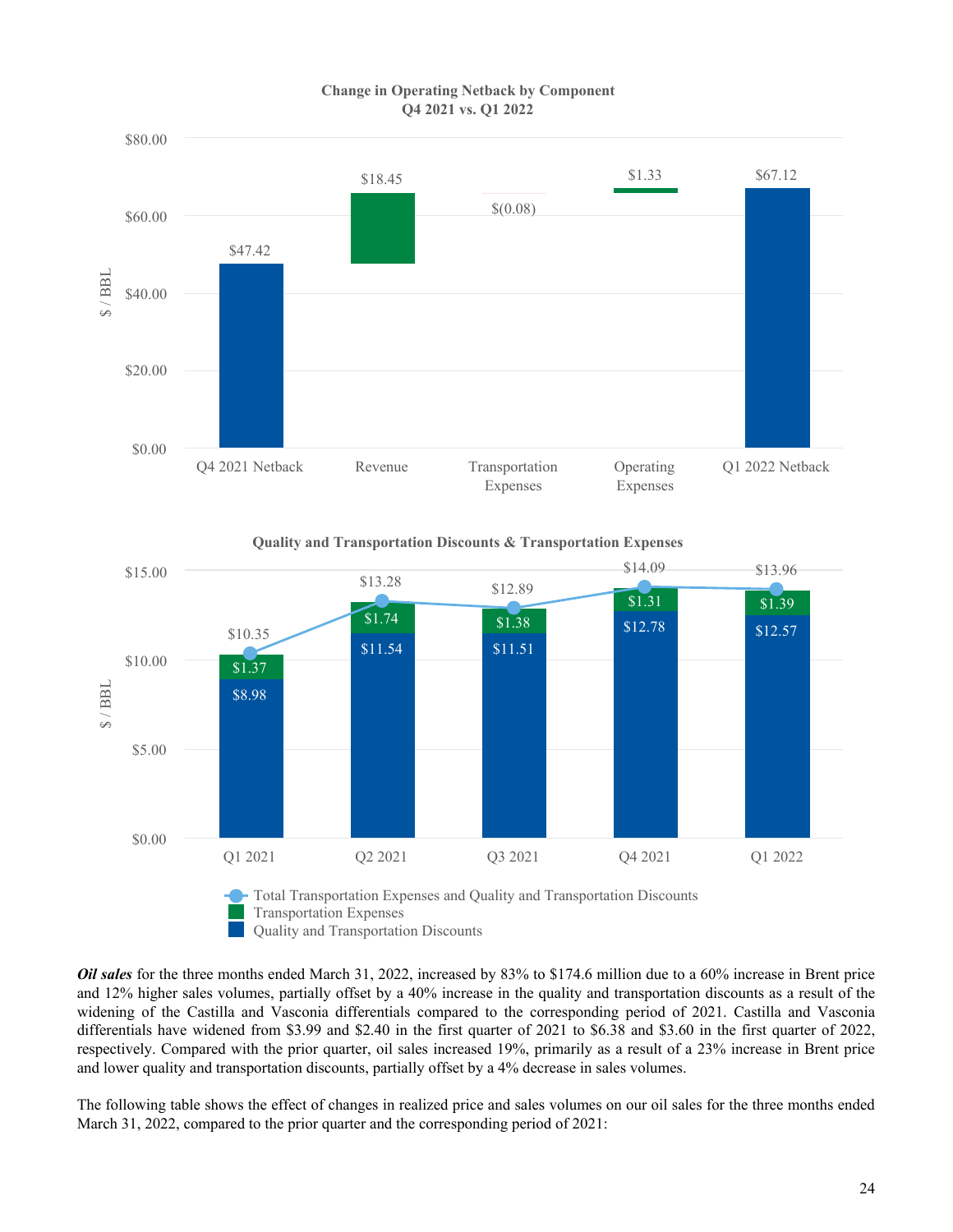

#### **Change in Operating Netback by Component Q4 2021 vs. Q1 2022**

**Quality and Transportation Discounts & Transportation Expenses**



*Oil sales* for the three months ended March 31, 2022, increased by 83% to \$174.6 million due to a 60% increase in Brent price and 12% higher sales volumes, partially offset by a 40% increase in the quality and transportation discounts as a result of the widening of the Castilla and Vasconia differentials compared to the corresponding period of 2021. Castilla and Vasconia differentials have widened from \$3.99 and \$2.40 in the first quarter of 2021 to \$6.38 and \$3.60 in the first quarter of 2022, respectively. Compared with the prior quarter, oil sales increased 19%, primarily as a result of a 23% increase in Brent price and lower quality and transportation discounts, partially offset by a 4% decrease in sales volumes.

The following table shows the effect of changes in realized price and sales volumes on our oil sales for the three months ended March 31, 2022, compared to the prior quarter and the corresponding period of 2021: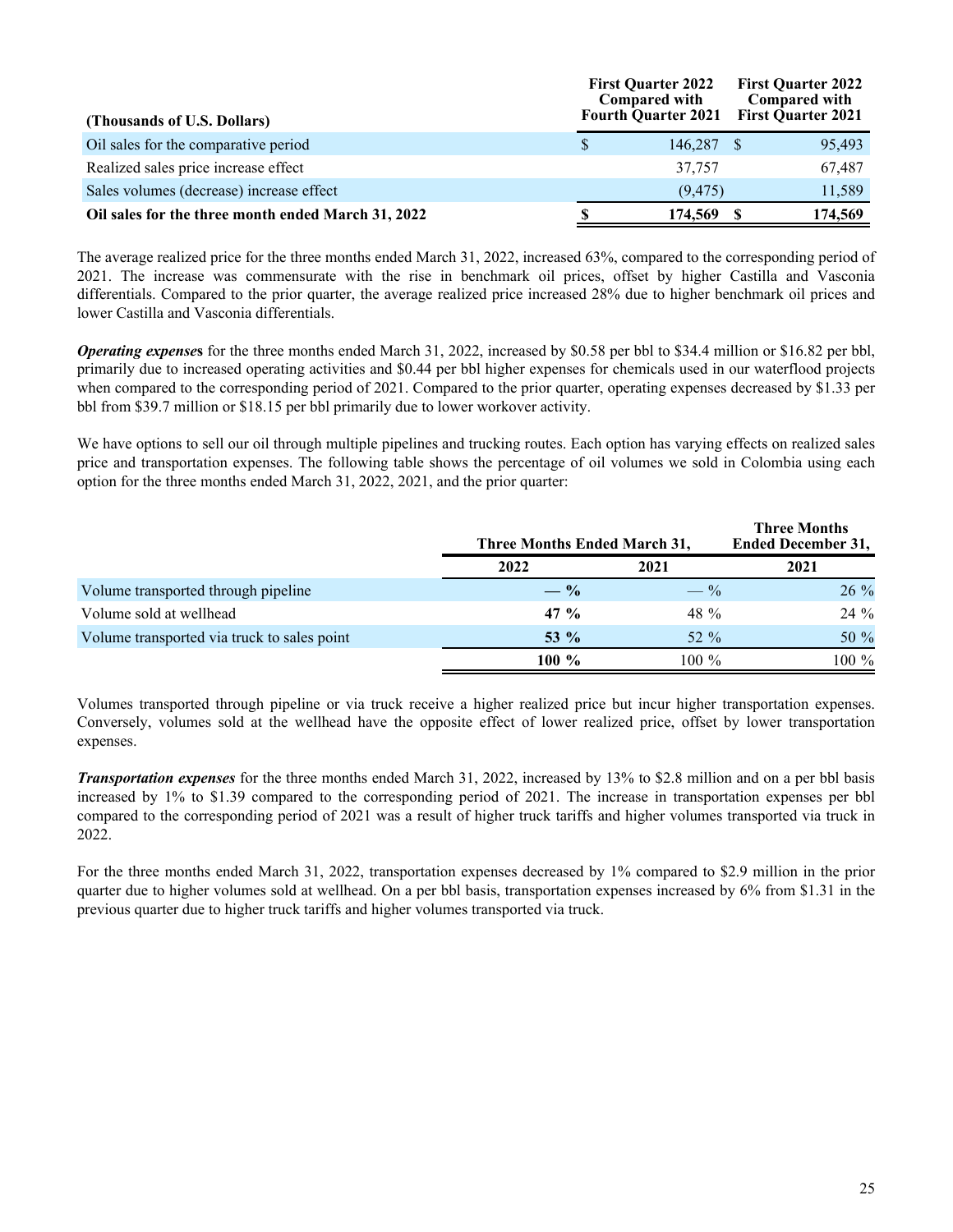| (Thousands of U.S. Dollars)                        |              | <b>First Quarter 2022</b><br><b>Compared with</b><br><b>Fourth Quarter 2021</b> | <b>First Quarter 2022</b><br><b>Compared with</b><br><b>First Quarter 2021</b> |
|----------------------------------------------------|--------------|---------------------------------------------------------------------------------|--------------------------------------------------------------------------------|
| Oil sales for the comparative period               | <sup>S</sup> | 146.287 \$                                                                      | 95,493                                                                         |
| Realized sales price increase effect               |              | 37,757                                                                          | 67,487                                                                         |
| Sales volumes (decrease) increase effect           |              | (9.475)                                                                         | 11,589                                                                         |
| Oil sales for the three month ended March 31, 2022 |              | 174,569                                                                         | 174,569                                                                        |

The average realized price for the three months ended March 31, 2022, increased 63%, compared to the corresponding period of 2021. The increase was commensurate with the rise in benchmark oil prices, offset by higher Castilla and Vasconia differentials. Compared to the prior quarter, the average realized price increased 28% due to higher benchmark oil prices and lower Castilla and Vasconia differentials.

*Operating expense***s** for the three months ended March 31, 2022, increased by \$0.58 per bbl to \$34.4 million or \$16.82 per bbl, primarily due to increased operating activities and \$0.44 per bbl higher expenses for chemicals used in our waterflood projects when compared to the corresponding period of 2021. Compared to the prior quarter, operating expenses decreased by \$1.33 per bbl from \$39.7 million or \$18.15 per bbl primarily due to lower workover activity.

We have options to sell our oil through multiple pipelines and trucking routes. Each option has varying effects on realized sales price and transportation expenses. The following table shows the percentage of oil volumes we sold in Colombia using each option for the three months ended March 31, 2022, 2021, and the prior quarter:

|                                             | Three Months Ended March 31, |                 | <b>Three Months</b><br><b>Ended December 31,</b> |
|---------------------------------------------|------------------------------|-----------------|--------------------------------------------------|
|                                             | 2022                         | 2021            | 2021                                             |
| Volume transported through pipeline         | $- \frac{9}{6}$              | $- \frac{9}{6}$ | $26\%$                                           |
| Volume sold at wellhead                     | 47 %                         | 48 $\%$         | 24 %                                             |
| Volume transported via truck to sales point | 53 $\%$                      | 52 $\%$         | 50 $%$                                           |
|                                             | $100\%$                      | $100\%$         | 100 %                                            |

Volumes transported through pipeline or via truck receive a higher realized price but incur higher transportation expenses. Conversely, volumes sold at the wellhead have the opposite effect of lower realized price, offset by lower transportation expenses.

*Transportation expenses* for the three months ended March 31, 2022, increased by 13% to \$2.8 million and on a per bbl basis increased by 1% to \$1.39 compared to the corresponding period of 2021. The increase in transportation expenses per bbl compared to the corresponding period of 2021 was a result of higher truck tariffs and higher volumes transported via truck in 2022.

For the three months ended March 31, 2022, transportation expenses decreased by 1% compared to \$2.9 million in the prior quarter due to higher volumes sold at wellhead. On a per bbl basis, transportation expenses increased by 6% from \$1.31 in the previous quarter due to higher truck tariffs and higher volumes transported via truck.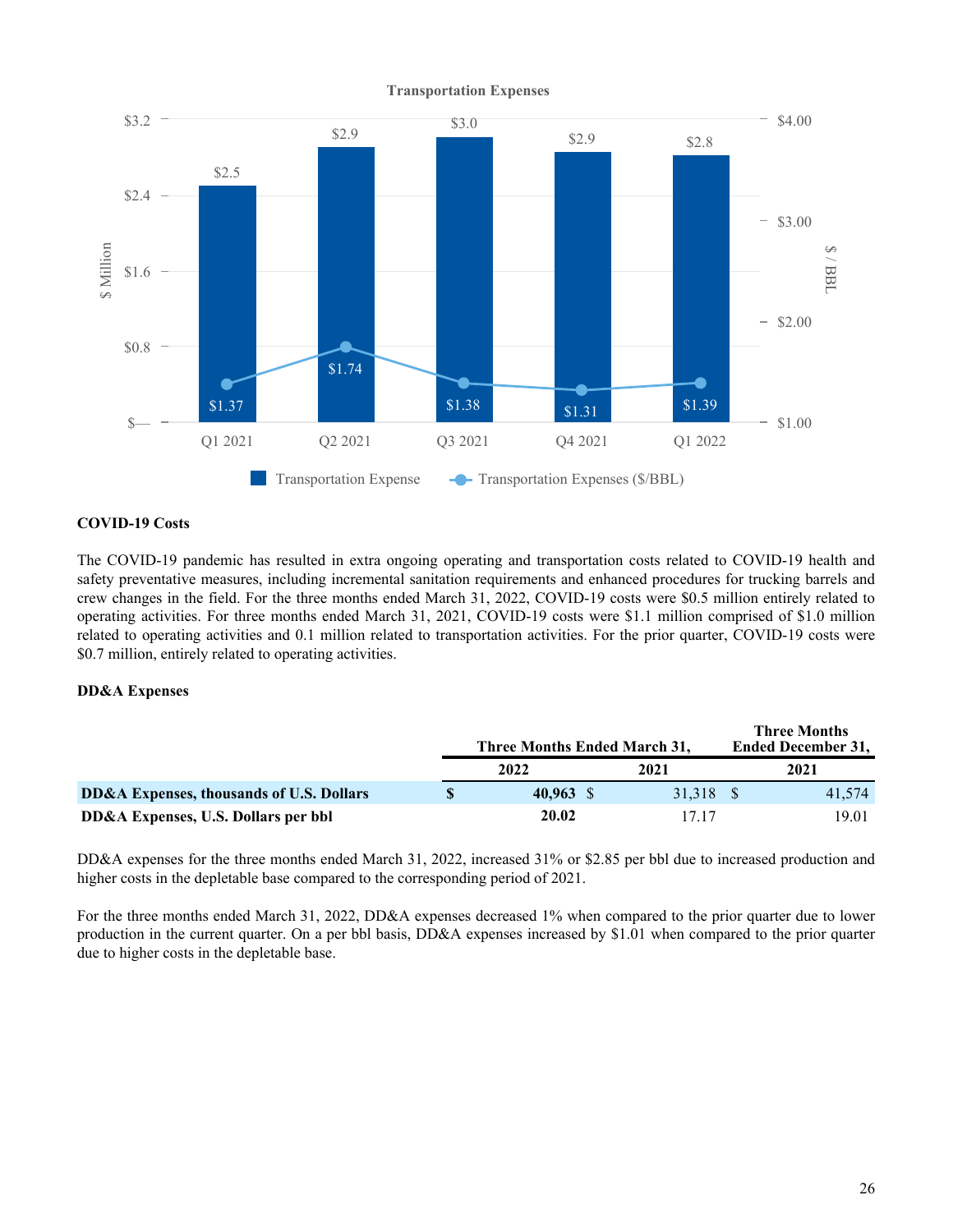

#### **COVID-19 Costs**

The COVID-19 pandemic has resulted in extra ongoing operating and transportation costs related to COVID-19 health and safety preventative measures, including incremental sanitation requirements and enhanced procedures for trucking barrels and crew changes in the field. For the three months ended March 31, 2022, COVID-19 costs were \$0.5 million entirely related to operating activities. For three months ended March 31, 2021, COVID-19 costs were \$1.1 million comprised of \$1.0 million related to operating activities and 0.1 million related to transportation activities. For the prior quarter, COVID-19 costs were \$0.7 million, entirely related to operating activities.

#### **DD&A Expenses**

|                                          | Three Months Ended March 31, |           | <b>Three Months</b><br><b>Ended December 31,</b> |
|------------------------------------------|------------------------------|-----------|--------------------------------------------------|
|                                          | 2022                         | 2021      | 2021                                             |
| DD&A Expenses, thousands of U.S. Dollars | $40.963$ \$                  | 31.318 \$ | 41.574                                           |
| DD&A Expenses, U.S. Dollars per bbl      | 20.02                        | 17 17     | 19.01                                            |

DD&A expenses for the three months ended March 31, 2022, increased 31% or \$2.85 per bbl due to increased production and higher costs in the depletable base compared to the corresponding period of 2021.

For the three months ended March 31, 2022, DD&A expenses decreased 1% when compared to the prior quarter due to lower production in the current quarter. On a per bbl basis, DD&A expenses increased by \$1.01 when compared to the prior quarter due to higher costs in the depletable base.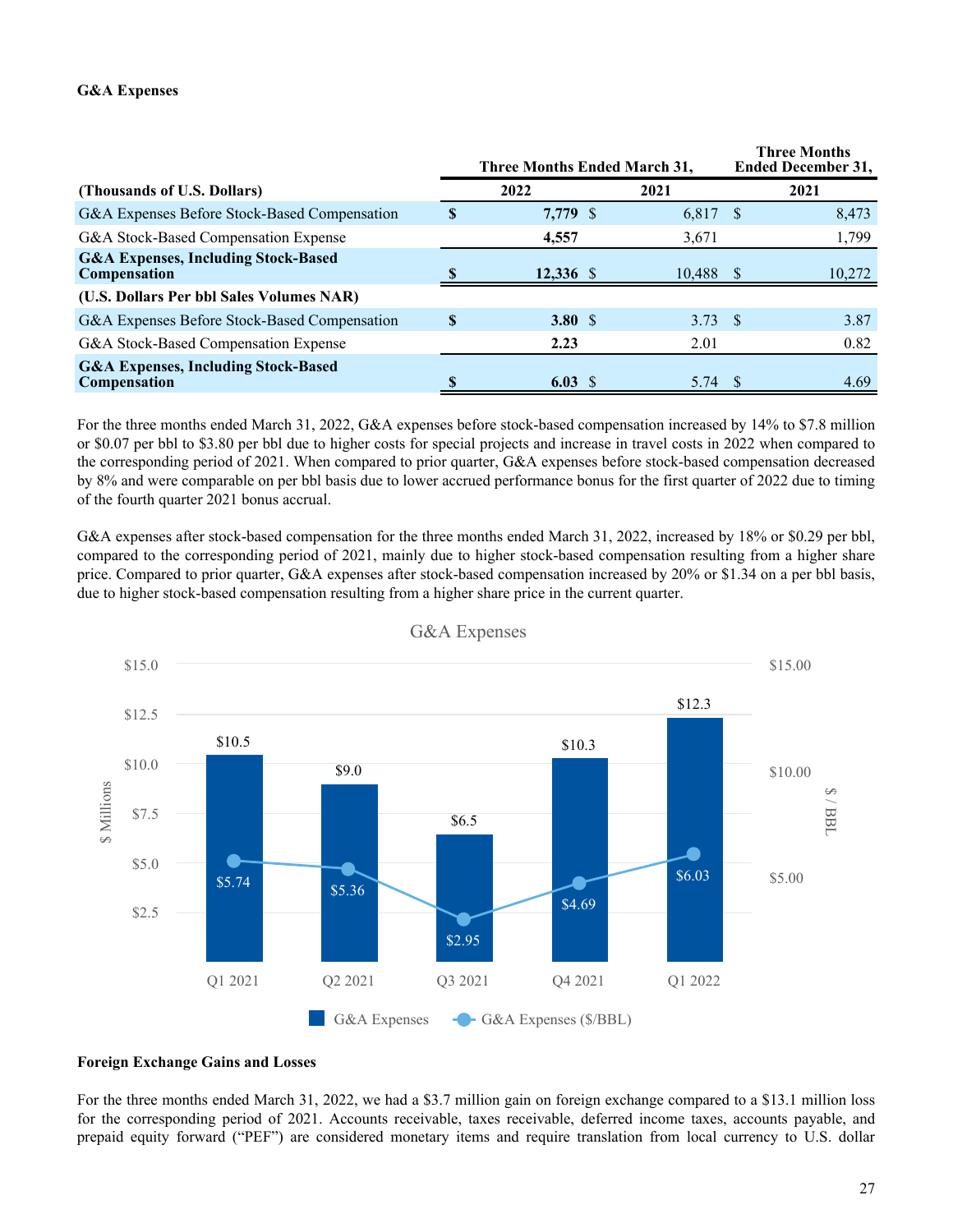#### **G&A Expenses**

|                                                                       |   | Three Months Ended March 31, |  |                 | <b>Three Months</b><br><b>Ended December 31,</b> |        |
|-----------------------------------------------------------------------|---|------------------------------|--|-----------------|--------------------------------------------------|--------|
| (Thousands of U.S. Dollars)                                           |   | 2022                         |  | 2021            |                                                  | 2021   |
| G&A Expenses Before Stock-Based Compensation                          |   | 7,779 \$                     |  | 6,817           | - \$                                             | 8,473  |
| G&A Stock-Based Compensation Expense                                  |   | 4,557                        |  | 3,671           |                                                  | 1,799  |
| <b>G&amp;A Expenses, Including Stock-Based</b><br><b>Compensation</b> |   | $12,336$ \$                  |  | 10,488          |                                                  | 10,272 |
| (U.S. Dollars Per bbl Sales Volumes NAR)                              |   |                              |  |                 |                                                  |        |
| G&A Expenses Before Stock-Based Compensation                          | S | 3.80 $\sqrt{5}$              |  | $3.73 \quad$ \$ |                                                  | 3.87   |
| G&A Stock-Based Compensation Expense                                  |   | 2.23                         |  | 2.01            |                                                  | 0.82   |
| <b>G&amp;A Expenses, Including Stock-Based</b><br><b>Compensation</b> |   | $6.03\;$ \$                  |  | 5.74            |                                                  | 4.69   |

For the three months ended March 31, 2022, G&A expenses before stock-based compensation increased by 14% to \$7.8 million or \$0.07 per bbl to \$3.80 per bbl due to higher costs for special projects and increase in travel costs in 2022 when compared to the corresponding period of 2021. When compared to prior quarter, G&A expenses before stock-based compensation decreased by 8% and were comparable on per bbl basis due to lower accrued performance bonus for the first quarter of 2022 due to timing of the fourth quarter 2021 bonus accrual.

G&A expenses after stock-based compensation for the three months ended March 31, 2022, increased by 18% or \$0.29 per bbl, compared to the corresponding period of 2021, mainly due to higher stock-based compensation resulting from a higher share price. Compared to prior quarter, G&A expenses after stock-based compensation increased by 20% or \$1.34 on a per bbl basis, due to higher stock-based compensation resulting from a higher share price in the current quarter.



G&A Expenses

#### **Foreign Exchange Gains and Losses**

For the three months ended March 31, 2022, we had a \$3.7 million gain on foreign exchange compared to a \$13.1 million loss for the corresponding period of 2021. Accounts receivable, taxes receivable, deferred income taxes, accounts payable, and prepaid equity forward ("PEF") are considered monetary items and require translation from local currency to U.S. dollar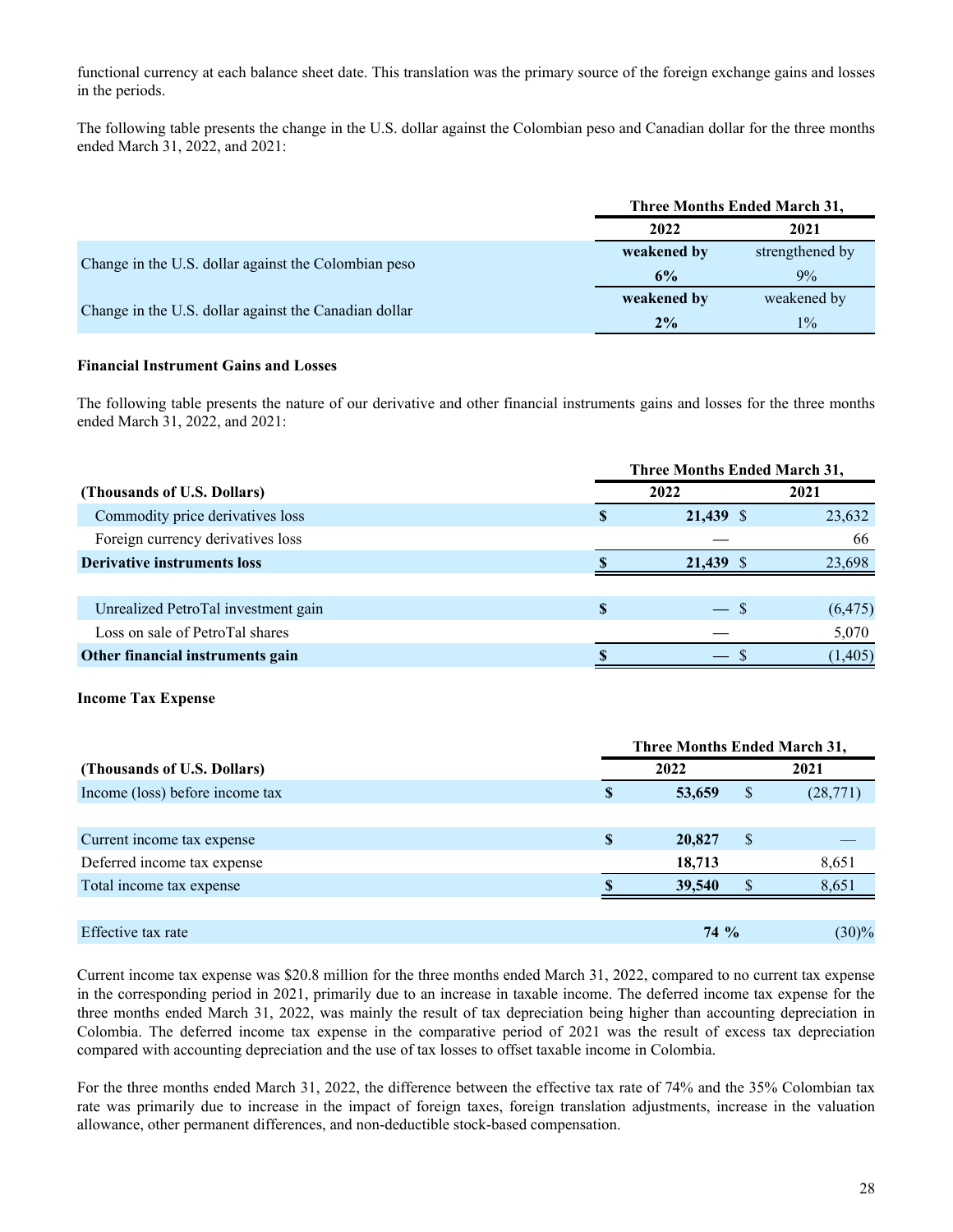functional currency at each balance sheet date. This translation was the primary source of the foreign exchange gains and losses in the periods.

The following table presents the change in the U.S. dollar against the Colombian peso and Canadian dollar for the three months ended March 31, 2022, and 2021:

|                                                       |             | Three Months Ended March 31, |
|-------------------------------------------------------|-------------|------------------------------|
|                                                       | 2022        | 2021                         |
|                                                       | weakened by | strengthened by              |
| Change in the U.S. dollar against the Colombian peso  | 6%          | $9\%$                        |
| Change in the U.S. dollar against the Canadian dollar | weakened by | weakened by                  |
|                                                       | 2%          | $1\%$                        |

#### **Financial Instrument Gains and Losses**

The following table presents the nature of our derivative and other financial instruments gains and losses for the three months ended March 31, 2022, and 2021:

|                                     |   | <b>Three Months Ended March 31,</b> |          |  |  |
|-------------------------------------|---|-------------------------------------|----------|--|--|
| (Thousands of U.S. Dollars)         |   | 2022                                | 2021     |  |  |
| Commodity price derivatives loss    |   | 21,439 \$                           | 23,632   |  |  |
| Foreign currency derivatives loss   |   |                                     | 66       |  |  |
| <b>Derivative instruments loss</b>  |   | 21,439 \$                           | 23,698   |  |  |
|                                     |   |                                     |          |  |  |
| Unrealized PetroTal investment gain | S | $-$ \$                              | (6, 475) |  |  |
| Loss on sale of PetroTal shares     |   |                                     | 5,070    |  |  |
| Other financial instruments gain    |   |                                     | (1, 405) |  |  |

#### **Income Tax Expense**

|                                 | Three Months Ended March 31, |        |    |          |
|---------------------------------|------------------------------|--------|----|----------|
| (Thousands of U.S. Dollars)     |                              | 2022   |    | 2021     |
| Income (loss) before income tax | S                            | 53,659 | \$ | (28,771) |
|                                 |                              |        |    |          |
| Current income tax expense      | \$                           | 20,827 | S  |          |
| Deferred income tax expense     |                              | 18,713 |    | 8,651    |
| Total income tax expense        |                              | 39,540 |    | 8,651    |
|                                 |                              |        |    |          |
| Effective tax rate              |                              | $74\%$ |    | $(30)\%$ |

Current income tax expense was \$20.8 million for the three months ended March 31, 2022, compared to no current tax expense in the corresponding period in 2021, primarily due to an increase in taxable income. The deferred income tax expense for the three months ended March 31, 2022, was mainly the result of tax depreciation being higher than accounting depreciation in Colombia. The deferred income tax expense in the comparative period of 2021 was the result of excess tax depreciation compared with accounting depreciation and the use of tax losses to offset taxable income in Colombia.

For the three months ended March 31, 2022, the difference between the effective tax rate of 74% and the 35% Colombian tax rate was primarily due to increase in the impact of foreign taxes, foreign translation adjustments, increase in the valuation allowance, other permanent differences, and non-deductible stock-based compensation.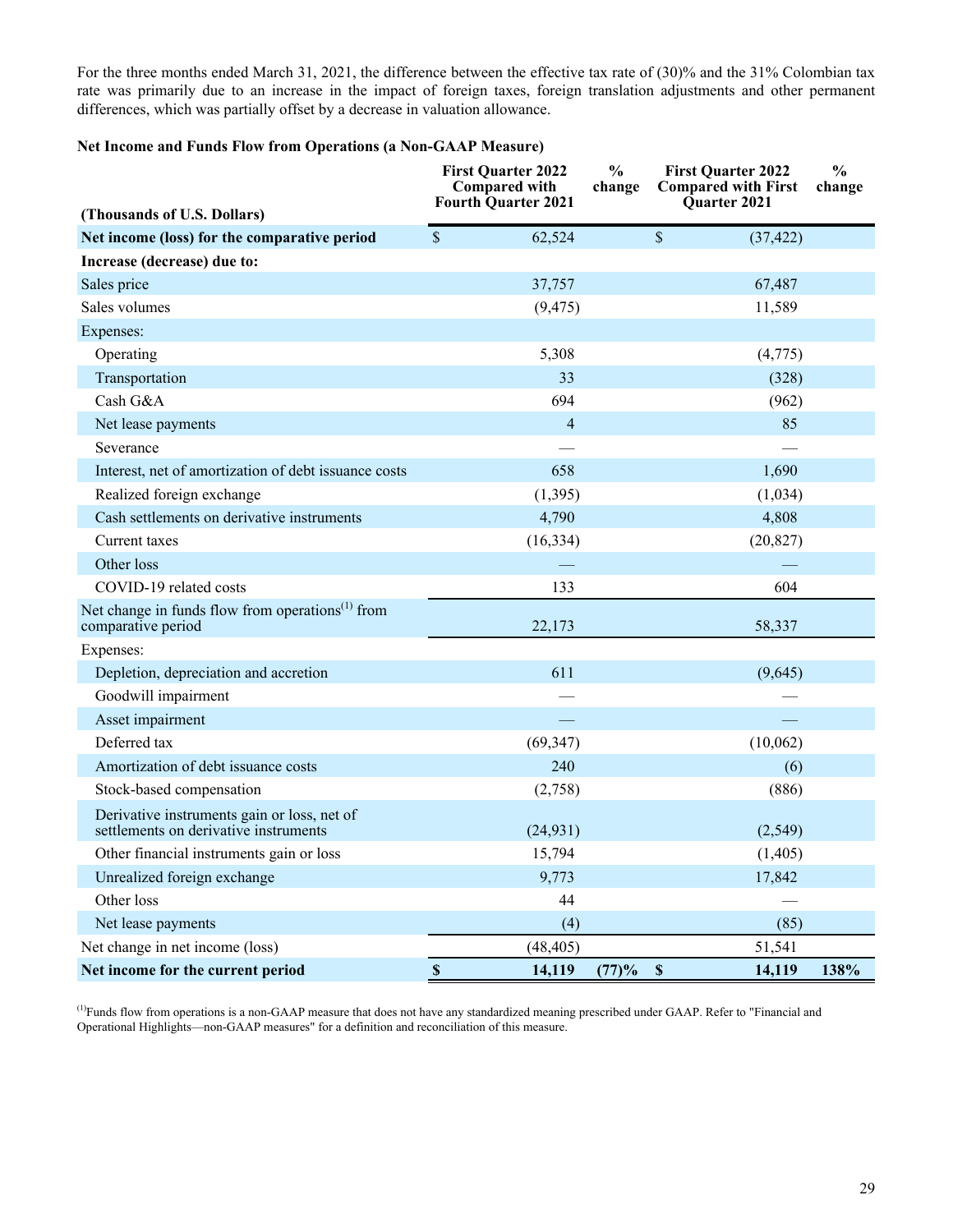For the three months ended March 31, 2021, the difference between the effective tax rate of (30)% and the 31% Colombian tax rate was primarily due to an increase in the impact of foreign taxes, foreign translation adjustments and other permanent differences, which was partially offset by a decrease in valuation allowance.

#### **Net Income and Funds Flow from Operations (a Non-GAAP Measure)**

| (Thousands of U.S. Dollars)                                                                     | <b>First Quarter 2022</b><br><b>Compared with</b><br><b>Fourth Quarter 2021</b> | $\frac{0}{0}$<br>change            | <b>First Quarter 2022</b><br><b>Compared with First</b><br>Quarter 2021 | $\frac{0}{0}$<br>change |
|-------------------------------------------------------------------------------------------------|---------------------------------------------------------------------------------|------------------------------------|-------------------------------------------------------------------------|-------------------------|
| Net income (loss) for the comparative period                                                    | $\mathcal{S}$<br>62,524                                                         | \$                                 | (37, 422)                                                               |                         |
| Increase (decrease) due to:                                                                     |                                                                                 |                                    |                                                                         |                         |
| Sales price                                                                                     | 37,757                                                                          |                                    | 67,487                                                                  |                         |
| Sales volumes                                                                                   | (9, 475)                                                                        |                                    | 11,589                                                                  |                         |
| Expenses:                                                                                       |                                                                                 |                                    |                                                                         |                         |
| Operating                                                                                       | 5,308                                                                           |                                    | (4,775)                                                                 |                         |
| Transportation                                                                                  | 33                                                                              |                                    | (328)                                                                   |                         |
| Cash G&A                                                                                        | 694                                                                             |                                    | (962)                                                                   |                         |
| Net lease payments                                                                              | $\overline{4}$                                                                  |                                    | 85                                                                      |                         |
| Severance                                                                                       |                                                                                 |                                    |                                                                         |                         |
| Interest, net of amortization of debt issuance costs                                            | 658                                                                             |                                    | 1,690                                                                   |                         |
| Realized foreign exchange                                                                       | (1, 395)                                                                        |                                    | (1,034)                                                                 |                         |
| Cash settlements on derivative instruments                                                      | 4,790                                                                           |                                    | 4,808                                                                   |                         |
| Current taxes                                                                                   | (16, 334)                                                                       |                                    | (20, 827)                                                               |                         |
| Other loss                                                                                      |                                                                                 |                                    |                                                                         |                         |
| COVID-19 related costs                                                                          | 133                                                                             |                                    | 604                                                                     |                         |
| Net change in funds flow from operations <sup><math>(1)</math></sup> from<br>comparative period | 22,173                                                                          |                                    | 58,337                                                                  |                         |
| Expenses:                                                                                       |                                                                                 |                                    |                                                                         |                         |
| Depletion, depreciation and accretion                                                           | 611                                                                             |                                    | (9,645)                                                                 |                         |
| Goodwill impairment                                                                             |                                                                                 |                                    |                                                                         |                         |
| Asset impairment                                                                                |                                                                                 |                                    |                                                                         |                         |
| Deferred tax                                                                                    | (69, 347)                                                                       |                                    | (10,062)                                                                |                         |
| Amortization of debt issuance costs                                                             | 240                                                                             |                                    | (6)                                                                     |                         |
| Stock-based compensation                                                                        | (2,758)                                                                         |                                    | (886)                                                                   |                         |
| Derivative instruments gain or loss, net of<br>settlements on derivative instruments            | (24, 931)                                                                       |                                    | (2, 549)                                                                |                         |
| Other financial instruments gain or loss                                                        | 15,794                                                                          |                                    | (1,405)                                                                 |                         |
| Unrealized foreign exchange                                                                     | 9,773                                                                           |                                    | 17,842                                                                  |                         |
| Other loss                                                                                      | 44                                                                              |                                    |                                                                         |                         |
| Net lease payments                                                                              | (4)                                                                             |                                    | (85)                                                                    |                         |
| Net change in net income (loss)                                                                 | (48, 405)                                                                       |                                    | 51,541                                                                  |                         |
| Net income for the current period                                                               | $\mathbb S$<br>14,119                                                           | $\boldsymbol{\mathsf{S}}$<br>(77)% | 14,119                                                                  | 138%                    |

(1)Funds flow from operations is a non-GAAP measure that does not have any standardized meaning prescribed under GAAP. Refer to "Financial and Operational Highlights—non-GAAP measures" for a definition and reconciliation of this measure.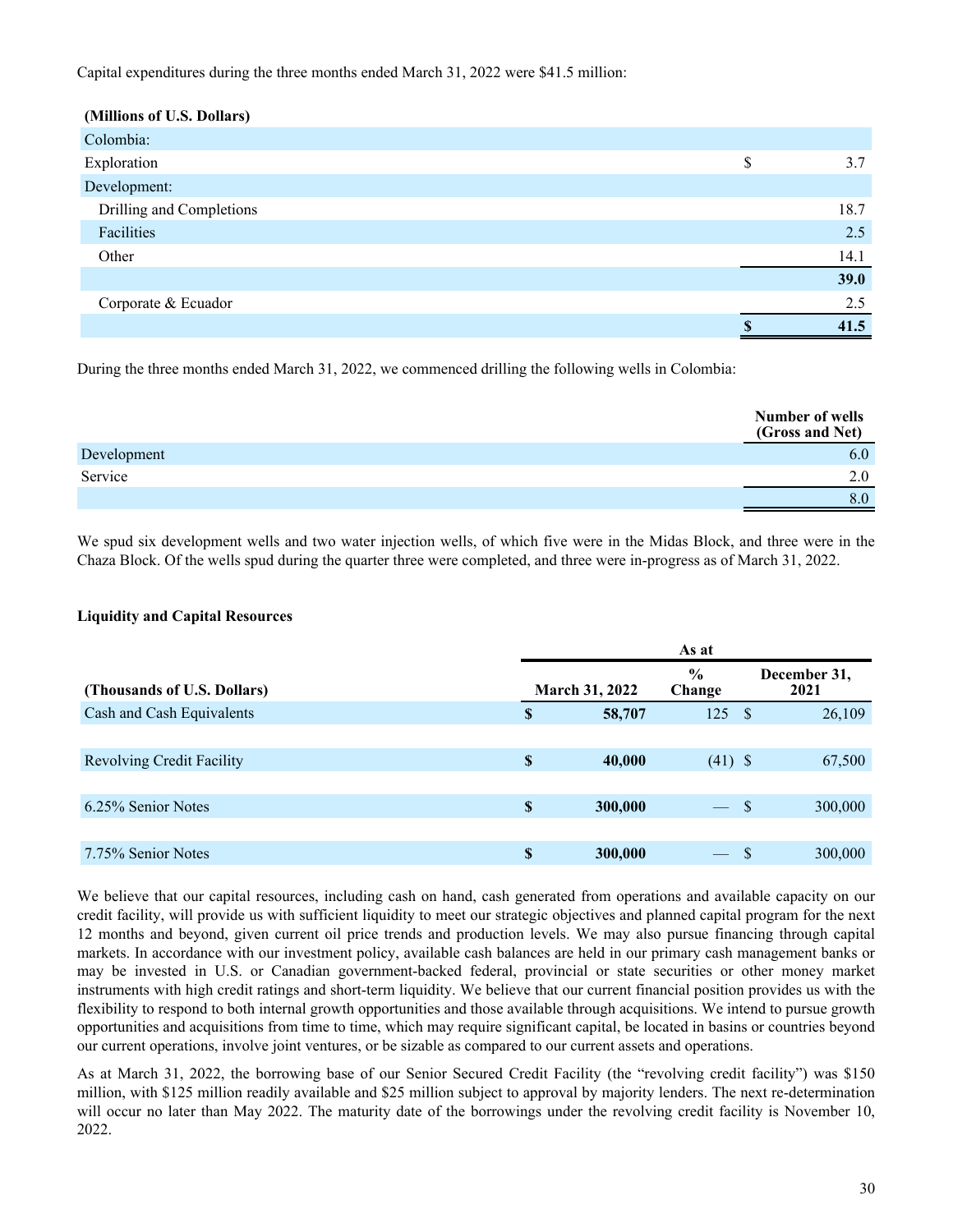#### Capital expenditures during the three months ended March 31, 2022 were \$41.5 million:

| (Millions of U.S. Dollars) |    |      |
|----------------------------|----|------|
| Colombia:                  |    |      |
| Exploration                | \$ | 3.7  |
| Development:               |    |      |
| Drilling and Completions   |    | 18.7 |
| Facilities                 |    | 2.5  |
| Other                      |    | 14.1 |
|                            |    | 39.0 |
| Corporate & Ecuador        |    | 2.5  |
|                            | æ  | 41.5 |

During the three months ended March 31, 2022, we commenced drilling the following wells in Colombia:

|             | Number of wells<br>(Gross and Net) |
|-------------|------------------------------------|
| Development | 6.0                                |
| Service     | 2.0                                |
|             | 8.0                                |
|             |                                    |

We spud six development wells and two water injection wells, of which five were in the Midas Block, and three were in the Chaza Block. Of the wells spud during the quarter three were completed, and three were in-progress as of March 31, 2022.

#### **Liquidity and Capital Resources**

|                                  |                           |                       | As at                    |              |                      |
|----------------------------------|---------------------------|-----------------------|--------------------------|--------------|----------------------|
| (Thousands of U.S. Dollars)      |                           | <b>March 31, 2022</b> | $\frac{6}{9}$<br>Change  |              | December 31,<br>2021 |
| Cash and Cash Equivalents        | S                         | 58,707                | 125                      | <sup>S</sup> | 26,109               |
|                                  |                           |                       |                          |              |                      |
| <b>Revolving Credit Facility</b> | $\boldsymbol{\mathsf{S}}$ | 40,000                | $(41)$ \$                |              | 67,500               |
|                                  |                           |                       |                          |              |                      |
| 6.25% Senior Notes               | \$                        | 300,000               | $\overline{\phantom{a}}$ | -S           | 300,000              |
|                                  |                           |                       |                          |              |                      |
| 7.75% Senior Notes               | $\boldsymbol{\mathsf{S}}$ | 300,000               | $\hspace{0.05cm}$        | -S           | 300,000              |

We believe that our capital resources, including cash on hand, cash generated from operations and available capacity on our credit facility, will provide us with sufficient liquidity to meet our strategic objectives and planned capital program for the next 12 months and beyond, given current oil price trends and production levels. We may also pursue financing through capital markets. In accordance with our investment policy, available cash balances are held in our primary cash management banks or may be invested in U.S. or Canadian government-backed federal, provincial or state securities or other money market instruments with high credit ratings and short-term liquidity. We believe that our current financial position provides us with the flexibility to respond to both internal growth opportunities and those available through acquisitions. We intend to pursue growth opportunities and acquisitions from time to time, which may require significant capital, be located in basins or countries beyond our current operations, involve joint ventures, or be sizable as compared to our current assets and operations.

As at March 31, 2022, the borrowing base of our Senior Secured Credit Facility (the "revolving credit facility") was \$150 million, with \$125 million readily available and \$25 million subject to approval by majority lenders. The next re-determination will occur no later than May 2022. The maturity date of the borrowings under the revolving credit facility is November 10, 2022.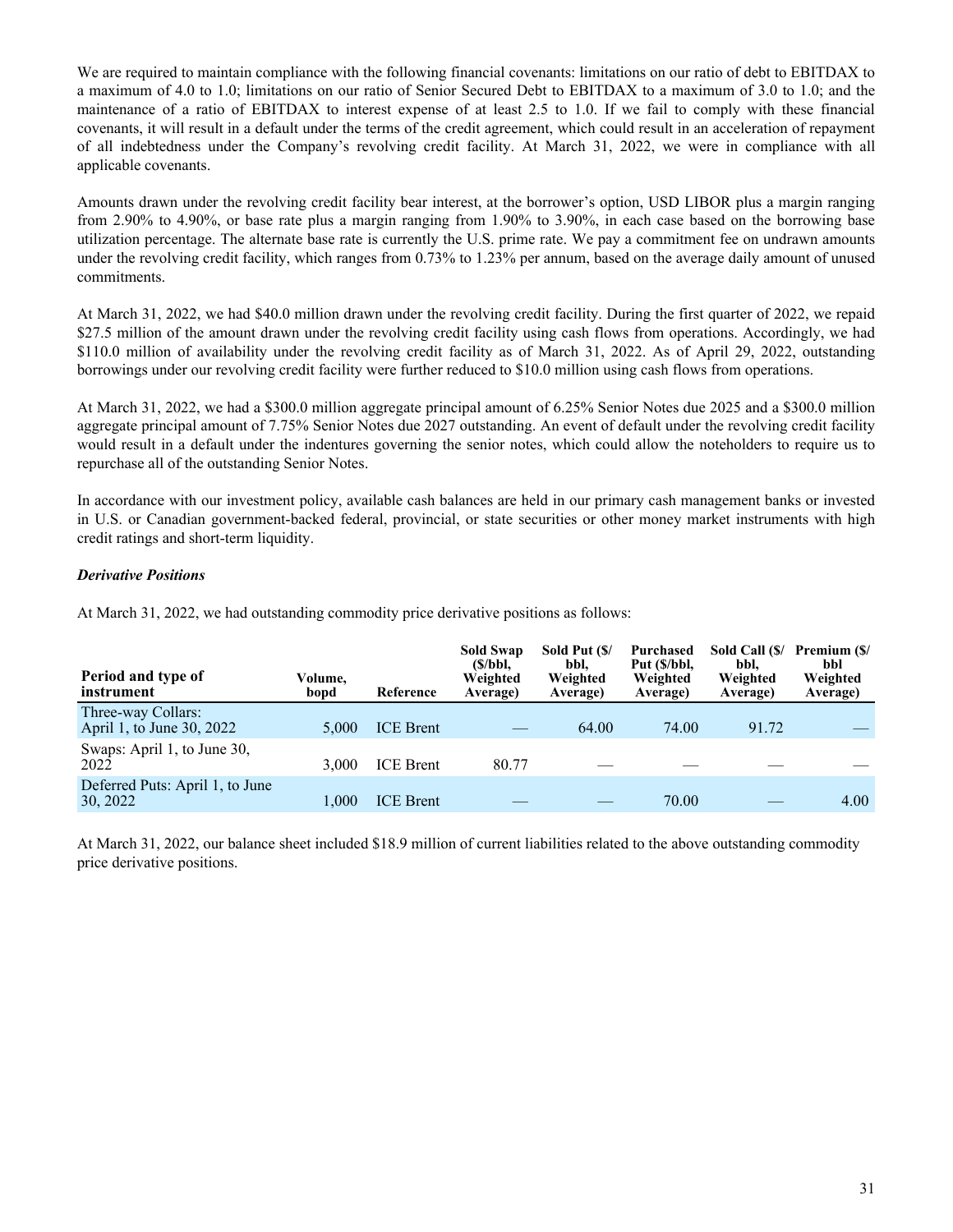We are required to maintain compliance with the following financial covenants: limitations on our ratio of debt to EBITDAX to a maximum of 4.0 to 1.0; limitations on our ratio of Senior Secured Debt to EBITDAX to a maximum of 3.0 to 1.0; and the maintenance of a ratio of EBITDAX to interest expense of at least 2.5 to 1.0. If we fail to comply with these financial covenants, it will result in a default under the terms of the credit agreement, which could result in an acceleration of repayment of all indebtedness under the Company's revolving credit facility. At March 31, 2022, we were in compliance with all applicable covenants.

Amounts drawn under the revolving credit facility bear interest, at the borrower's option, USD LIBOR plus a margin ranging from 2.90% to 4.90%, or base rate plus a margin ranging from 1.90% to 3.90%, in each case based on the borrowing base utilization percentage. The alternate base rate is currently the U.S. prime rate. We pay a commitment fee on undrawn amounts under the revolving credit facility, which ranges from 0.73% to 1.23% per annum, based on the average daily amount of unused commitments.

At March 31, 2022, we had \$40.0 million drawn under the revolving credit facility. During the first quarter of 2022, we repaid \$27.5 million of the amount drawn under the revolving credit facility using cash flows from operations. Accordingly, we had \$110.0 million of availability under the revolving credit facility as of March 31, 2022. As of April 29, 2022, outstanding borrowings under our revolving credit facility were further reduced to \$10.0 million using cash flows from operations.

At March 31, 2022, we had a \$300.0 million aggregate principal amount of 6.25% Senior Notes due 2025 and a \$300.0 million aggregate principal amount of 7.75% Senior Notes due 2027 outstanding. An event of default under the revolving credit facility would result in a default under the indentures governing the senior notes, which could allow the noteholders to require us to repurchase all of the outstanding Senior Notes.

In accordance with our investment policy, available cash balances are held in our primary cash management banks or invested in U.S. or Canadian government-backed federal, provincial, or state securities or other money market instruments with high credit ratings and short-term liquidity.

#### *Derivative Positions*

At March 31, 2022, we had outstanding commodity price derivative positions as follows:

| Period and type of<br>instrument                | Volume,<br>bopd | Reference        | <b>Sold Swap</b><br>(S/bbl.<br>Weighted<br>Average) | Sold Put (\$/<br>bbl.<br>Weighted<br>Average) | Purchased<br>Put (\$/bbl,<br>Weighted<br>Average) | Sold Call (\$/<br>bbl.<br>Weighted<br>Average) | Premium (\$/<br>bbl<br>Weighted<br>Average) |
|-------------------------------------------------|-----------------|------------------|-----------------------------------------------------|-----------------------------------------------|---------------------------------------------------|------------------------------------------------|---------------------------------------------|
| Three-way Collars:<br>April 1, to June 30, 2022 | 5.000           | <b>ICE</b> Brent |                                                     | 64.00                                         | 74.00                                             | 91.72                                          |                                             |
| Swaps: April 1, to June 30,<br>2022             | 3.000           | <b>ICE</b> Brent | 80.77                                               |                                               |                                                   |                                                |                                             |
| Deferred Puts: April 1, to June<br>30, 2022     | 1.000           | <b>ICE</b> Brent |                                                     |                                               | 70.00                                             |                                                | 4.00                                        |

At March 31, 2022, our balance sheet included \$18.9 million of current liabilities related to the above outstanding commodity price derivative positions.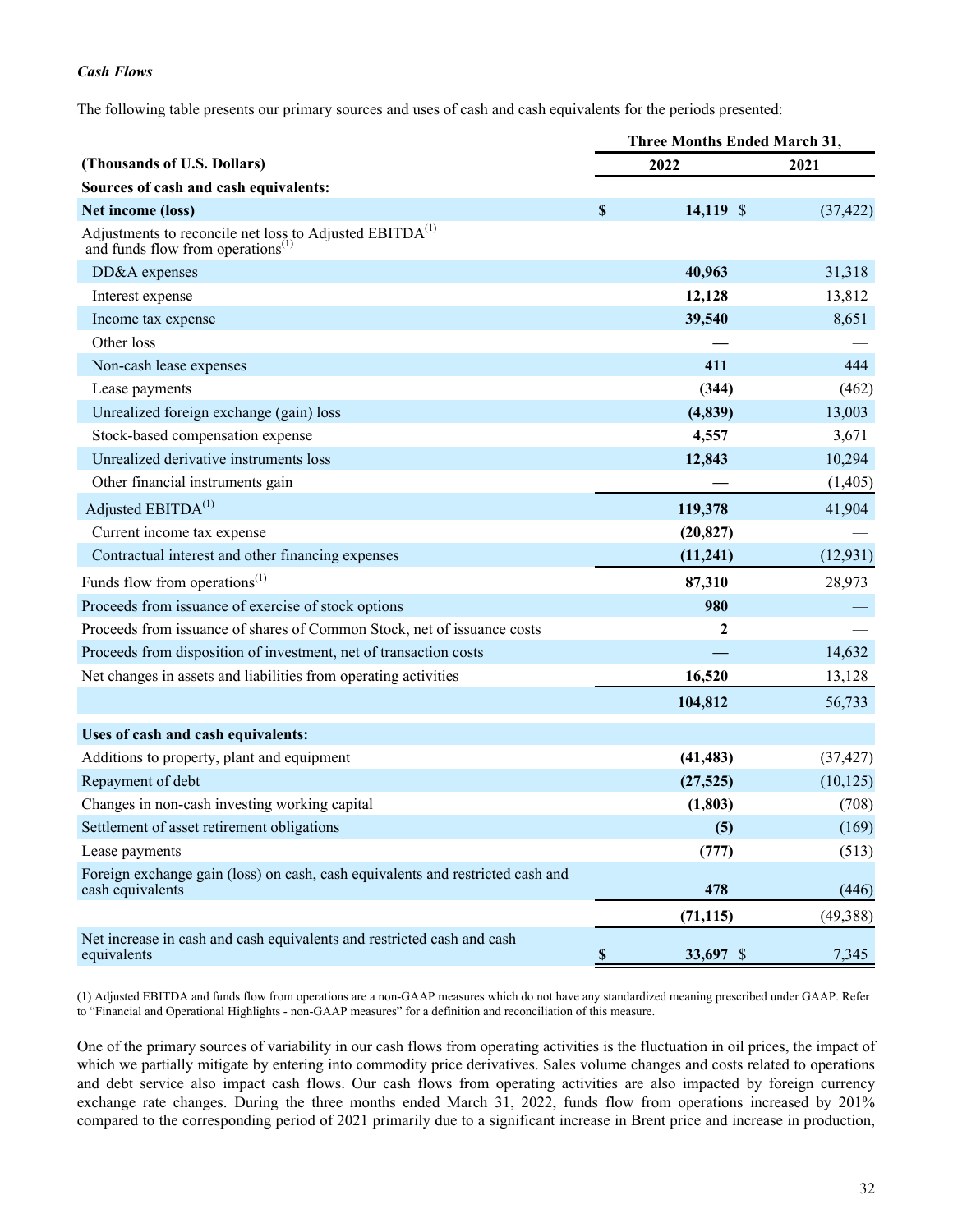#### *Cash Flows*

The following table presents our primary sources and uses of cash and cash equivalents for the periods presented:

|                                                                                                            | <b>Three Months Ended March 31,</b> |             |           |
|------------------------------------------------------------------------------------------------------------|-------------------------------------|-------------|-----------|
| (Thousands of U.S. Dollars)                                                                                |                                     | 2022        | 2021      |
| Sources of cash and cash equivalents:                                                                      |                                     |             |           |
| Net income (loss)                                                                                          | $\boldsymbol{\mathsf{S}}$           | $14,119$ \$ | (37, 422) |
| Adjustments to reconcile net loss to Adjusted $EBITDA(1)$<br>and funds flow from operations <sup>(1)</sup> |                                     |             |           |
| DD&A expenses                                                                                              |                                     | 40,963      | 31,318    |
| Interest expense                                                                                           |                                     | 12,128      | 13,812    |
| Income tax expense                                                                                         |                                     | 39,540      | 8,651     |
| Other loss                                                                                                 |                                     |             |           |
| Non-cash lease expenses                                                                                    |                                     | 411         | 444       |
| Lease payments                                                                                             |                                     | (344)       | (462)     |
| Unrealized foreign exchange (gain) loss                                                                    |                                     | (4, 839)    | 13,003    |
| Stock-based compensation expense                                                                           |                                     | 4,557       | 3,671     |
| Unrealized derivative instruments loss                                                                     |                                     | 12,843      | 10,294    |
| Other financial instruments gain                                                                           |                                     |             | (1,405)   |
| Adjusted EBITDA <sup>(1)</sup>                                                                             |                                     | 119,378     | 41,904    |
| Current income tax expense                                                                                 |                                     | (20, 827)   |           |
| Contractual interest and other financing expenses                                                          |                                     | (11,241)    | (12, 931) |
| Funds flow from operations <sup><math>(1)</math></sup>                                                     |                                     | 87,310      | 28,973    |
| Proceeds from issuance of exercise of stock options                                                        |                                     | 980         |           |
| Proceeds from issuance of shares of Common Stock, net of issuance costs                                    |                                     | 2           |           |
| Proceeds from disposition of investment, net of transaction costs                                          |                                     |             | 14,632    |
| Net changes in assets and liabilities from operating activities                                            |                                     | 16,520      | 13,128    |
|                                                                                                            |                                     | 104,812     | 56,733    |
| Uses of cash and cash equivalents:                                                                         |                                     |             |           |
| Additions to property, plant and equipment                                                                 |                                     | (41, 483)   | (37, 427) |
| Repayment of debt                                                                                          |                                     | (27, 525)   | (10, 125) |
| Changes in non-cash investing working capital                                                              |                                     | (1, 803)    | (708)     |
| Settlement of asset retirement obligations                                                                 |                                     | (5)         | (169)     |
| Lease payments                                                                                             |                                     | (777)       | (513)     |
| Foreign exchange gain (loss) on cash, cash equivalents and restricted cash and<br>cash equivalents         |                                     | 478         | (446)     |
|                                                                                                            |                                     | (71, 115)   | (49, 388) |
| Net increase in cash and cash equivalents and restricted cash and cash<br>equivalents                      | $\mathbb S$                         | 33,697 \$   | 7,345     |

(1) Adjusted EBITDA and funds flow from operations are a non-GAAP measures which do not have any standardized meaning prescribed under GAAP. Refer to "Financial and Operational Highlights - non-GAAP measures" for a definition and reconciliation of this measure.

One of the primary sources of variability in our cash flows from operating activities is the fluctuation in oil prices, the impact of which we partially mitigate by entering into commodity price derivatives. Sales volume changes and costs related to operations and debt service also impact cash flows. Our cash flows from operating activities are also impacted by foreign currency exchange rate changes. During the three months ended March 31, 2022, funds flow from operations increased by 201% compared to the corresponding period of 2021 primarily due to a significant increase in Brent price and increase in production,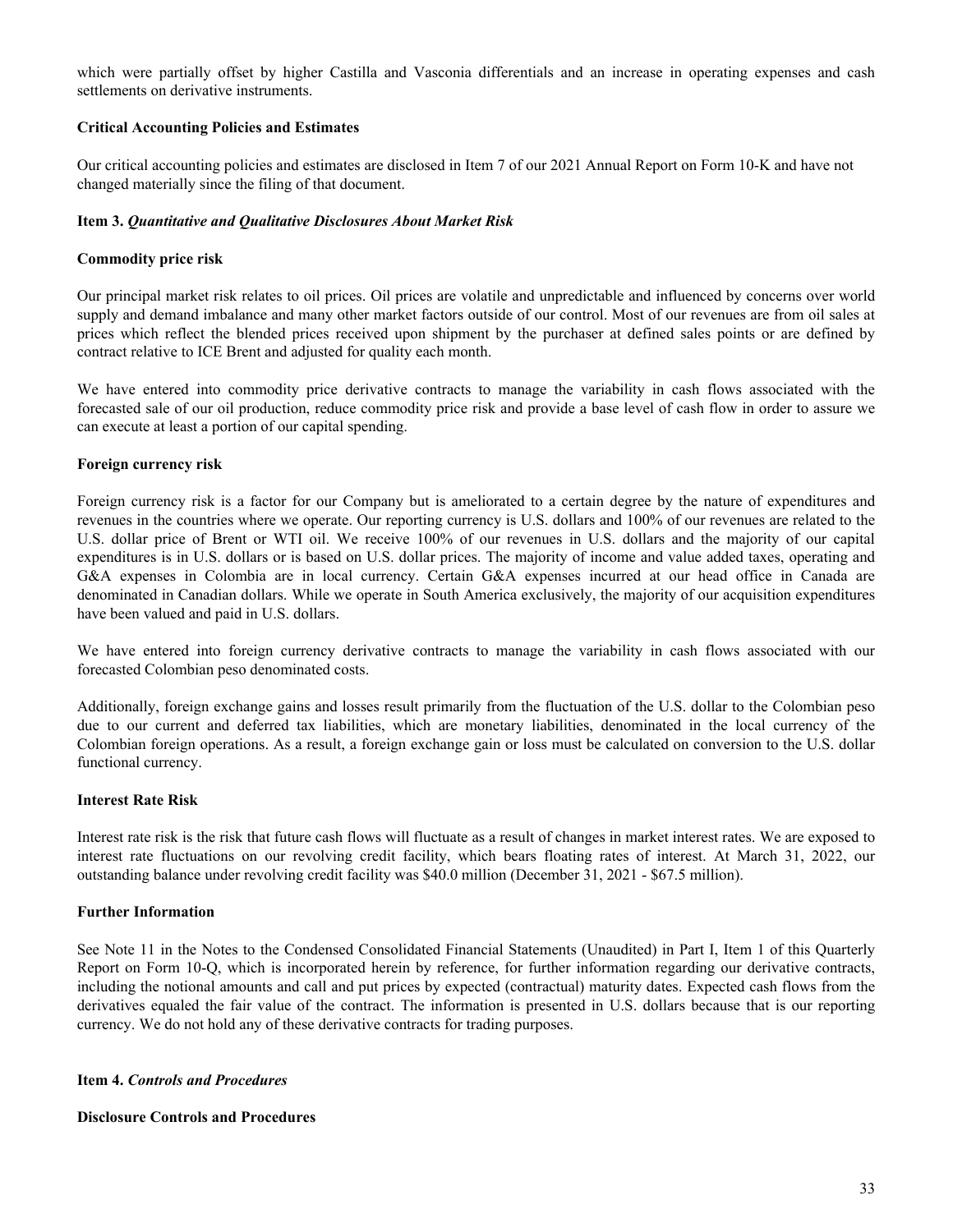which were partially offset by higher Castilla and Vasconia differentials and an increase in operating expenses and cash settlements on derivative instruments.

#### **Critical Accounting Policies and Estimates**

Our critical accounting policies and estimates are disclosed in Item 7 of our 2021 Annual Report on Form 10-K and have not changed materially since the filing of that document.

#### **Item 3.** *Quantitative and Qualitative Disclosures About Market Risk*

#### **Commodity price risk**

Our principal market risk relates to oil prices. Oil prices are volatile and unpredictable and influenced by concerns over world supply and demand imbalance and many other market factors outside of our control. Most of our revenues are from oil sales at prices which reflect the blended prices received upon shipment by the purchaser at defined sales points or are defined by contract relative to ICE Brent and adjusted for quality each month.

We have entered into commodity price derivative contracts to manage the variability in cash flows associated with the forecasted sale of our oil production, reduce commodity price risk and provide a base level of cash flow in order to assure we can execute at least a portion of our capital spending.

#### **Foreign currency risk**

Foreign currency risk is a factor for our Company but is ameliorated to a certain degree by the nature of expenditures and revenues in the countries where we operate. Our reporting currency is U.S. dollars and 100% of our revenues are related to the U.S. dollar price of Brent or WTI oil. We receive 100% of our revenues in U.S. dollars and the majority of our capital expenditures is in U.S. dollars or is based on U.S. dollar prices. The majority of income and value added taxes, operating and G&A expenses in Colombia are in local currency. Certain G&A expenses incurred at our head office in Canada are denominated in Canadian dollars. While we operate in South America exclusively, the majority of our acquisition expenditures have been valued and paid in U.S. dollars.

We have entered into foreign currency derivative contracts to manage the variability in cash flows associated with our forecasted Colombian peso denominated costs.

Additionally, foreign exchange gains and losses result primarily from the fluctuation of the U.S. dollar to the Colombian peso due to our current and deferred tax liabilities, which are monetary liabilities, denominated in the local currency of the Colombian foreign operations. As a result, a foreign exchange gain or loss must be calculated on conversion to the U.S. dollar functional currency.

#### **Interest Rate Risk**

Interest rate risk is the risk that future cash flows will fluctuate as a result of changes in market interest rates. We are exposed to interest rate fluctuations on our revolving credit facility, which bears floating rates of interest. At March 31, 2022, our outstanding balance under revolving credit facility was \$40.0 million (December 31, 2021 - \$67.5 million).

#### **Further Information**

See Note 11 in the Notes to the Condensed Consolidated Financial Statements (Unaudited) in Part I, Item 1 of this Quarterly Report on Form 10-Q, which is incorporated herein by reference, for further information regarding our derivative contracts, including the notional amounts and call and put prices by expected (contractual) maturity dates. Expected cash flows from the derivatives equaled the fair value of the contract. The information is presented in U.S. dollars because that is our reporting currency. We do not hold any of these derivative contracts for trading purposes.

#### **Item 4.** *Controls and Procedures*

#### **Disclosure Controls and Procedures**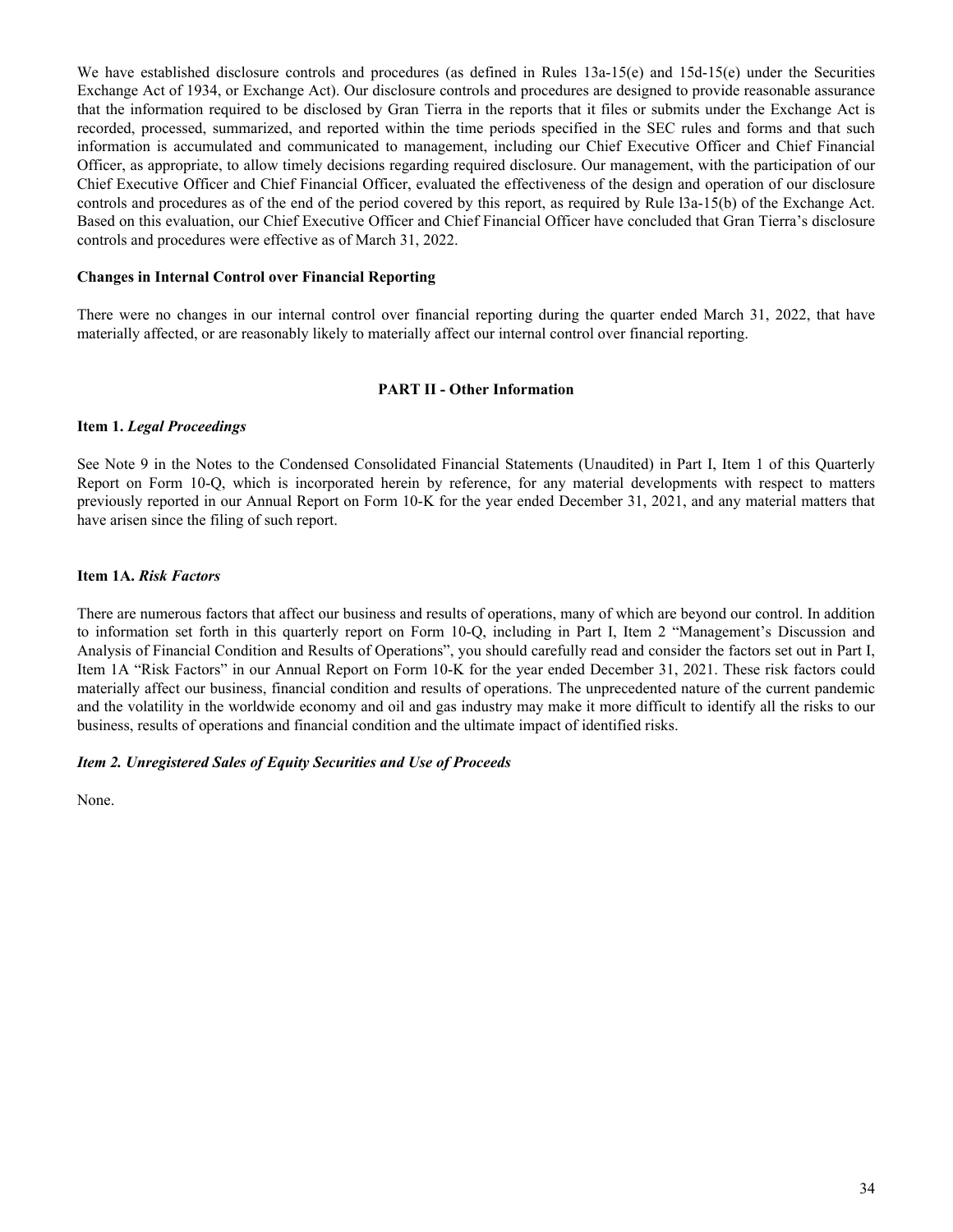We have established disclosure controls and procedures (as defined in Rules 13a-15(e) and 15d-15(e) under the Securities Exchange Act of 1934, or Exchange Act). Our disclosure controls and procedures are designed to provide reasonable assurance that the information required to be disclosed by Gran Tierra in the reports that it files or submits under the Exchange Act is recorded, processed, summarized, and reported within the time periods specified in the SEC rules and forms and that such information is accumulated and communicated to management, including our Chief Executive Officer and Chief Financial Officer, as appropriate, to allow timely decisions regarding required disclosure. Our management, with the participation of our Chief Executive Officer and Chief Financial Officer, evaluated the effectiveness of the design and operation of our disclosure controls and procedures as of the end of the period covered by this report, as required by Rule l3a-15(b) of the Exchange Act. Based on this evaluation, our Chief Executive Officer and Chief Financial Officer have concluded that Gran Tierra's disclosure controls and procedures were effective as of March 31, 2022.

#### **Changes in Internal Control over Financial Reporting**

There were no changes in our internal control over financial reporting during the quarter ended March 31, 2022, that have materially affected, or are reasonably likely to materially affect our internal control over financial reporting.

#### **PART II - Other Information**

#### **Item 1.** *Legal Proceedings*

See Note 9 in the Notes to the Condensed Consolidated Financial Statements (Unaudited) in Part I, Item 1 of this Quarterly Report on Form 10-Q, which is incorporated herein by reference, for any material developments with respect to matters previously reported in our Annual Report on Form 10-K for the year ended December 31, 2021, and any material matters that have arisen since the filing of such report.

#### **Item 1A.** *Risk Factors*

There are numerous factors that affect our business and results of operations, many of which are beyond our control. In addition to information set forth in this quarterly report on Form 10-Q, including in Part I, Item 2 "Management's Discussion and Analysis of Financial Condition and Results of Operations", you should carefully read and consider the factors set out in Part I, Item 1A "Risk Factors" in our Annual Report on Form 10-K for the year ended December 31, 2021. These risk factors could materially affect our business, financial condition and results of operations. The unprecedented nature of the current pandemic and the volatility in the worldwide economy and oil and gas industry may make it more difficult to identify all the risks to our business, results of operations and financial condition and the ultimate impact of identified risks.

#### *Item 2. Unregistered Sales of Equity Securities and Use of Proceeds*

None.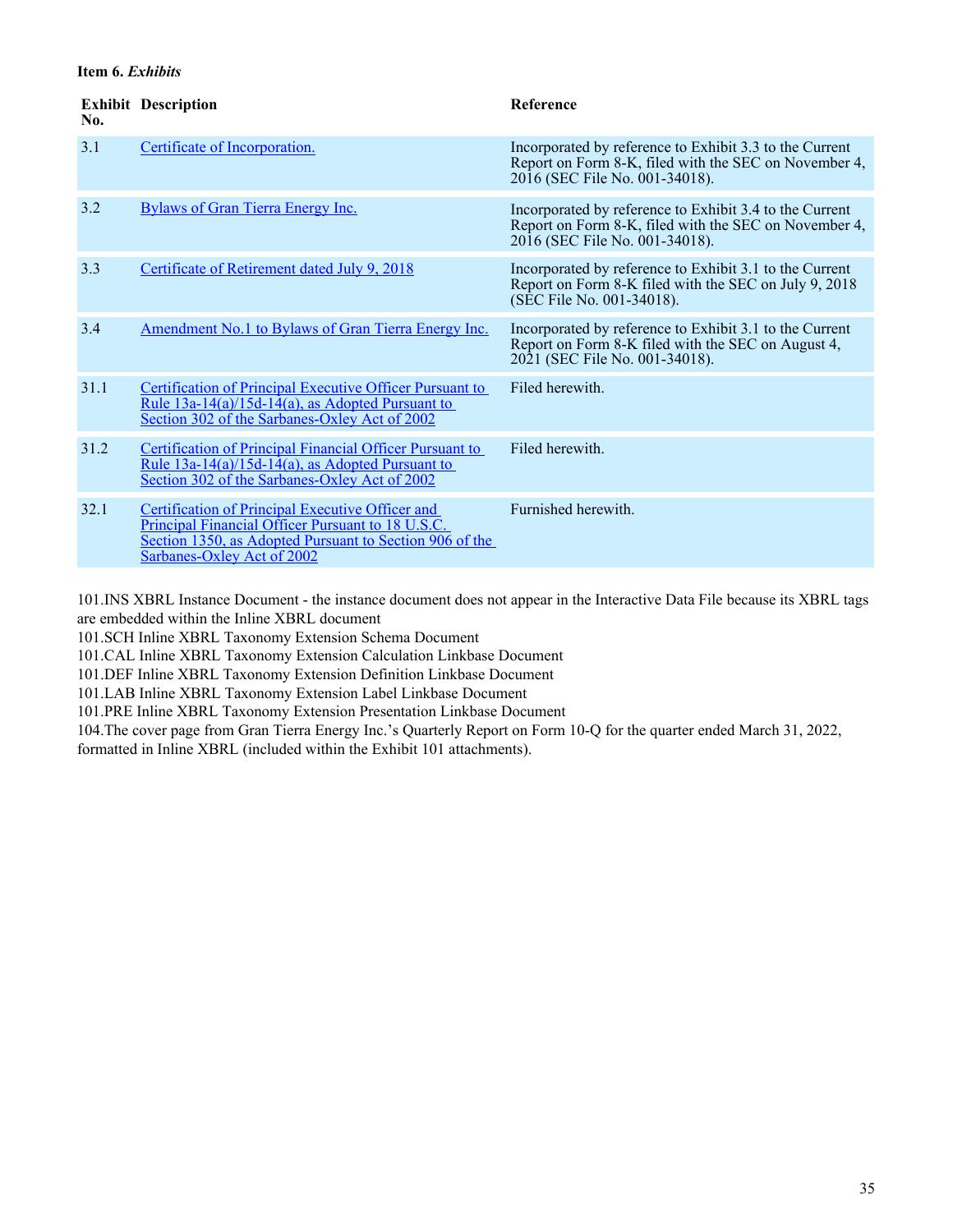#### **Item 6.** *Exhibits*

| No.  | <b>Exhibit Description</b>                                                                                                                                                                     | <b>Reference</b>                                                                                                                                   |
|------|------------------------------------------------------------------------------------------------------------------------------------------------------------------------------------------------|----------------------------------------------------------------------------------------------------------------------------------------------------|
| 3.1  | Certificate of Incorporation.                                                                                                                                                                  | Incorporated by reference to Exhibit 3.3 to the Current<br>Report on Form 8-K, filed with the SEC on November 4,<br>2016 (SEC File No. 001-34018). |
| 3.2  | <b>Bylaws of Gran Tierra Energy Inc.</b>                                                                                                                                                       | Incorporated by reference to Exhibit 3.4 to the Current<br>Report on Form 8-K, filed with the SEC on November 4,<br>2016 (SEC File No. 001-34018). |
| 3.3  | Certificate of Retirement dated July 9, 2018                                                                                                                                                   | Incorporated by reference to Exhibit 3.1 to the Current<br>Report on Form 8-K filed with the SEC on July 9, 2018<br>(SEC File No. 001-34018).      |
| 3.4  | Amendment No.1 to Bylaws of Gran Tierra Energy Inc.                                                                                                                                            | Incorporated by reference to Exhibit 3.1 to the Current<br>Report on Form 8-K filed with the SEC on August 4,<br>2021 (SEC File No. 001-34018).    |
| 31.1 | Certification of Principal Executive Officer Pursuant to<br>Rule $13a-14(a)/15d-14(a)$ , as Adopted Pursuant to<br>Section 302 of the Sarbanes-Oxley Act of 2002                               | Filed herewith                                                                                                                                     |
| 31.2 | Certification of Principal Financial Officer Pursuant to<br>Rule $13a-14(a)/15d-14(a)$ , as Adopted Pursuant to<br>Section 302 of the Sarbanes-Oxley Act of 2002                               | Filed herewith.                                                                                                                                    |
| 32.1 | Certification of Principal Executive Officer and<br>Principal Financial Officer Pursuant to 18 U.S.C.<br>Section 1350, as Adopted Pursuant to Section 906 of the<br>Sarbanes-Oxley Act of 2002 | Furnished herewith.                                                                                                                                |

101.INS XBRL Instance Document - the instance document does not appear in the Interactive Data File because its XBRL tags are embedded within the Inline XBRL document

101.SCH Inline XBRL Taxonomy Extension Schema Document

101.CAL Inline XBRL Taxonomy Extension Calculation Linkbase Document

101.DEF Inline XBRL Taxonomy Extension Definition Linkbase Document

101.LAB Inline XBRL Taxonomy Extension Label Linkbase Document

101.PRE Inline XBRL Taxonomy Extension Presentation Linkbase Document

104.The cover page from Gran Tierra Energy Inc.'s Quarterly Report on Form 10-Q for the quarter ended March 31, 2022, formatted in Inline XBRL (included within the Exhibit 101 attachments).